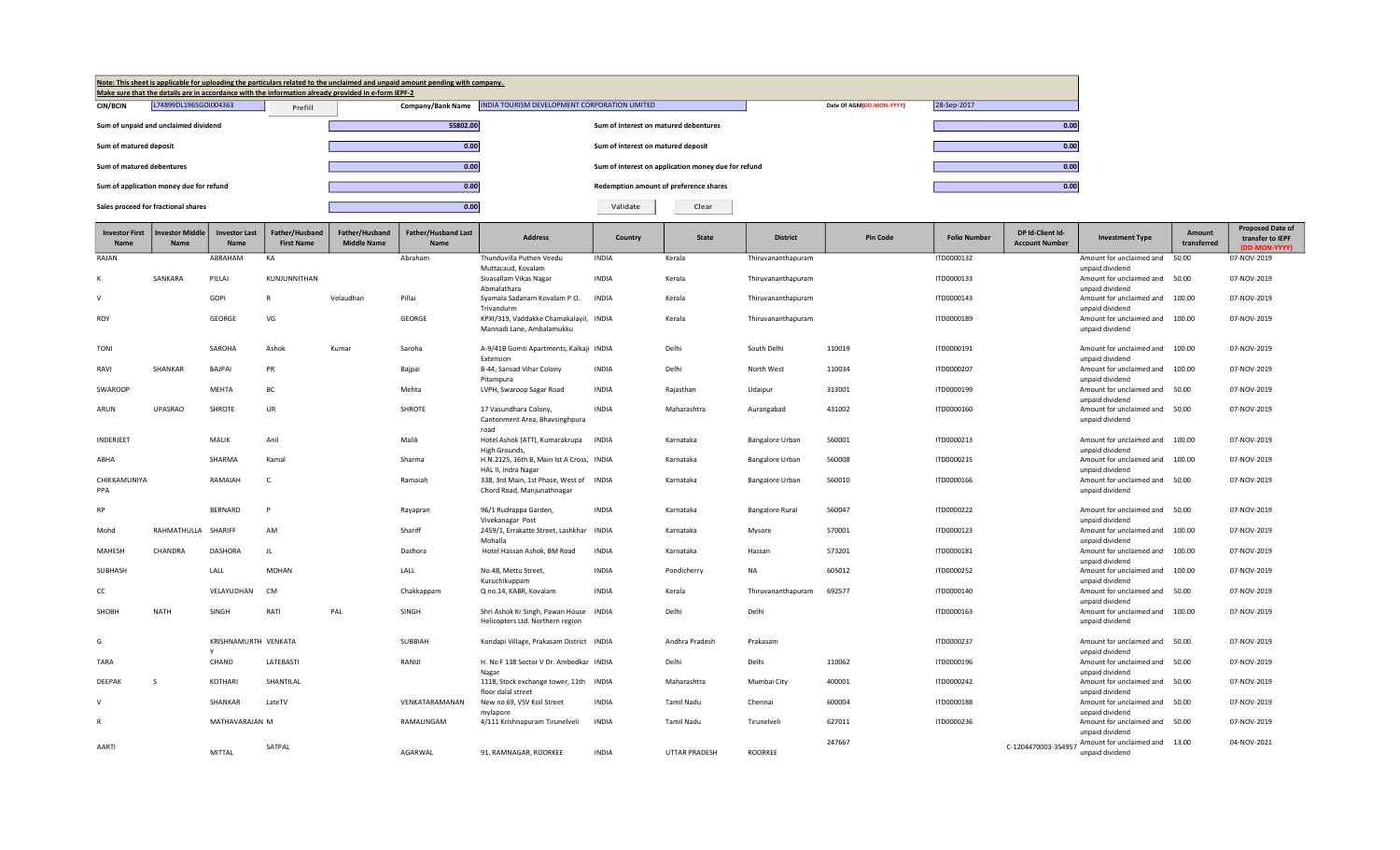| Note: This sheet is applicable for uploading the particulars related to the unclaimed and unpaid amount pending with company.<br>Make sure that the details are in accordance with the information already provided in e-form IEPF-2 |         |                   |                                                     |                          |             |
|--------------------------------------------------------------------------------------------------------------------------------------------------------------------------------------------------------------------------------------|---------|-------------------|-----------------------------------------------------|--------------------------|-------------|
| L74899DL1965GOI004363<br><b>CIN/BCIN</b>                                                                                                                                                                                             | Prefill | Company/Bank Name | INDIA TOURISM DEVELOPMENT CORPORATION LIMITED       | Date Of AGM(DD-MON-YYYY) | 28-Sep-2017 |
| Sum of unpaid and unclaimed dividend                                                                                                                                                                                                 |         | 55802.00          | Sum of interest on matured debentures               |                          | 0.00        |
| Sum of matured deposit                                                                                                                                                                                                               |         | 0.00              | Sum of interest on matured deposit                  |                          | 0.00        |
| Sum of matured debentures                                                                                                                                                                                                            |         | 0.00              | Sum of interest on application money due for refund |                          | 0.00        |
| Sum of application money due for refund                                                                                                                                                                                              |         | 0.00              | Redemption amount of preference shares              |                          | 0.00        |
| Sales proceed for fractional shares                                                                                                                                                                                                  |         | 0.00              | Validate<br>Clear                                   |                          |             |

| <b>Investor First</b><br>Name | <b>Investor Middle</b><br><b>Name</b> | <b>Investor Last</b><br>Name | Father/Husband<br><b>First Name</b> | Father/Husband<br><b>Middle Name</b> | <b>Father/Husband Last</b><br>Name | <b>Address</b>                                                 | Country      | <b>State</b>         | <b>District</b>        | <b>Pin Code</b> | <b>Folio Number</b> | DP Id-Client Id-<br><b>Account Number</b> | <b>Investment Type</b>                      | Amount<br>transferred | <b>Proposed Date of</b><br>transfer to IEPF<br>(DD-MON-YYYY) |
|-------------------------------|---------------------------------------|------------------------------|-------------------------------------|--------------------------------------|------------------------------------|----------------------------------------------------------------|--------------|----------------------|------------------------|-----------------|---------------------|-------------------------------------------|---------------------------------------------|-----------------------|--------------------------------------------------------------|
| RAJAN                         |                                       | ABRAHAM                      | KA                                  |                                      | Abraham                            | Thunduvilla Puthen Veedu                                       | <b>INDIA</b> | Kerala               | Thiruvananthapuram     |                 | ITD0000132          |                                           | Amount for unclaimed and                    | 50.00                 | 07-NOV-2019                                                  |
|                               |                                       |                              |                                     |                                      |                                    | Muttacaud, Kovalam                                             |              |                      |                        |                 |                     |                                           | unpaid dividend                             |                       |                                                              |
| K                             | SANKARA                               | PILLAI                       | KUNJUNNITHAN                        |                                      |                                    | Sivasallam Vikas Nagar<br>Abmalathara                          | <b>INDIA</b> | Kerala               | Thiruvananthapuram     |                 | ITD0000133          |                                           | Amount for unclaimed and<br>unpaid dividend | 50.00                 | 07-NOV-2019                                                  |
| $\mathsf{v}$                  |                                       | GOPI                         | R                                   | Velaudhan                            | Pillai                             | Svamala Sadanam Kovalam P.O.                                   | <b>INDIA</b> | Kerala               | Thiruvananthapuram     |                 | ITD0000143          |                                           | Amount for unclaimed and                    | 100.00                | 07-NOV-2019                                                  |
|                               |                                       |                              |                                     |                                      |                                    | Trivandurm                                                     |              |                      |                        |                 |                     |                                           | unpaid dividend                             |                       |                                                              |
| <b>ROY</b>                    |                                       | GEORGE                       | VG                                  |                                      | GEORGE                             | KPXI/319, Vaddakke Chamakalayil, INDIA                         |              | Kerala               | Thiruvananthapuram     |                 | ITD0000189          |                                           | Amount for unclaimed and                    | 100.00                | 07-NOV-2019                                                  |
|                               |                                       |                              |                                     |                                      |                                    | Mannadi Lane, Ambalamukku                                      |              |                      |                        |                 |                     |                                           | unpaid dividend                             |                       |                                                              |
| <b>TONI</b>                   |                                       | SAROHA                       | Ashok                               | Kumar                                | Saroha                             | A-9/41B Gomti Apartments, Kalkaji INDIA                        |              | Delhi                | South Delhi            | 110019          | ITD0000191          |                                           | Amount for unclaimed and                    | 100.00                | 07-NOV-2019                                                  |
| RAVI                          | SHANKAR                               | <b>BAJPAI</b>                | PR                                  |                                      | Bajpai                             | Extension<br>B-44, Sansad Vihar Colony                         | <b>INDIA</b> | Delhi                | North West             | 110034          | ITD0000207          |                                           | unpaid dividend<br>Amount for unclaimed and | 100.00                | 07-NOV-2019                                                  |
|                               |                                       |                              |                                     |                                      |                                    | Pitampura                                                      |              |                      |                        |                 |                     |                                           | unpaid dividend                             |                       |                                                              |
| SWAROOP                       |                                       | <b>MEHTA</b>                 | BC                                  |                                      | Mehta                              | LVPH, Swaroop Sagar Road                                       | <b>INDIA</b> | Rajasthan            | Udaipur                | 313001          | ITD0000199          |                                           | Amount for unclaimed and                    | 50.00                 | 07-NOV-2019                                                  |
|                               |                                       |                              |                                     |                                      |                                    |                                                                |              |                      |                        |                 |                     |                                           | unpaid dividend                             |                       |                                                              |
| ARUN                          | UPASRAO                               | <b>SHROTE</b>                | UR                                  |                                      | <b>SHROTE</b>                      | 17 Vasundhara Colony,<br>Cantonment Area, Bhavsinghpura        | <b>INDIA</b> | Maharashtra          | Aurangabad             | 431002          | ITD0000160          |                                           | Amount for unclaimed and<br>unpaid dividend | 50.00                 | 07-NOV-2019                                                  |
|                               |                                       |                              |                                     |                                      |                                    | road                                                           |              |                      |                        |                 |                     |                                           |                                             |                       |                                                              |
| INDERJEET                     |                                       | MALIK                        | Anil                                |                                      | Malik                              | Hotel Ashok (ATT), Kumarakrupa                                 | <b>INDIA</b> | Karnataka            | Bangalore Urban        | 560001          | ITD0000213          |                                           | Amount for unclaimed and                    | 100.00                | 07-NOV-2019                                                  |
|                               |                                       |                              |                                     |                                      |                                    | High Grounds,                                                  |              |                      |                        |                 |                     |                                           | unpaid dividend                             |                       |                                                              |
| ABHA                          |                                       | SHARMA                       | Kamal                               |                                      | Sharma                             | H.N.2125, 16th B, Main Ist A Cross, INDIA                      |              | Karnataka            | <b>Bangalore Urban</b> | 560008          | ITD0000215          |                                           | Amount for unclaimed and                    | 100.00                | 07-NOV-2019                                                  |
| CHIKKAMUNIYA                  |                                       | RAMAIAH                      |                                     |                                      | Ramaiah                            | HAL II, Indra Nagar<br>338, 3rd Main, 1st Phase, West of INDIA |              | Karnataka            | <b>Bangalore Urban</b> | 560010          | ITD0000166          |                                           | unpaid dividend<br>Amount for unclaimed and | 50.00                 | 07-NOV-2019                                                  |
| PPA                           |                                       |                              |                                     |                                      |                                    | Chord Road, Manjunathnagar                                     |              |                      |                        |                 |                     |                                           | unpaid dividend                             |                       |                                                              |
|                               |                                       |                              |                                     |                                      |                                    |                                                                |              |                      |                        |                 |                     |                                           |                                             |                       |                                                              |
| <b>RP</b>                     |                                       | <b>BERNARD</b>               | P                                   |                                      | Rayapran                           | 96/1 Rudrappa Garden,                                          | <b>INDIA</b> | Karnataka            | <b>Bangalore Rural</b> | 560047          | ITD0000222          |                                           | Amount for unclaimed and                    | 50.00                 | 07-NOV-2019                                                  |
| Mohd                          | RAHMATHULLA SHARIFF                   |                              | AM                                  |                                      | Shariff                            | Vivekanagar Post<br>2459/1, Errakatte Street, Lashkhar INDIA   |              | Karnataka            | Mysore                 | 570001          | ITD0000123          |                                           | unpaid dividend<br>Amount for unclaimed and | 100.00                | 07-NOV-2019                                                  |
|                               |                                       |                              |                                     |                                      |                                    | Mohalla                                                        |              |                      |                        |                 |                     |                                           | unpaid dividend                             |                       |                                                              |
| <b>MAHESH</b>                 | CHANDRA                               | <b>DASHORA</b>               | $\mathbf{H}$                        |                                      | Dashora                            | Hotel Hassan Ashok, BM Road                                    | <b>INDIA</b> | Karnataka            | Hassan                 | 573201          | ITD0000181          |                                           | Amount for unclaimed and                    | 100.00                | 07-NOV-2019                                                  |
|                               |                                       |                              |                                     |                                      |                                    |                                                                |              |                      |                        |                 |                     |                                           | unpaid dividend                             |                       |                                                              |
| SUBHASH                       |                                       | LALL                         | <b>MOHAN</b>                        |                                      | LALL                               | No.48, Mettu Street,<br>Kuruchikuppam                          | <b>INDIA</b> | Pondicherry          | NA                     | 605012          | ITD0000252          |                                           | Amount for unclaimed and<br>unpaid dividend | 100.00                | 07-NOV-2019                                                  |
| cc                            |                                       | VELAYUDHAN                   | <b>CM</b>                           |                                      | Chakkappam                         | Q no.14, KABR, Kovalam                                         | <b>INDIA</b> | Kerala               | Thiruvananthapuram     | 692577          | ITD0000140          |                                           | Amount for unclaimed and                    | 50.00                 | 07-NOV-2019                                                  |
|                               |                                       |                              |                                     |                                      |                                    |                                                                |              |                      |                        |                 |                     |                                           | unpaid dividend                             |                       |                                                              |
| SHOBH                         | <b>NATH</b>                           | SINGH                        | RATI                                | PAL                                  | SINGH                              | Shri Ashok Kr Singh, Pawan House                               | <b>INDIA</b> | Delhi                | Delhi                  |                 | ITD0000163          |                                           | Amount for unclaimed and                    | 100.00                | 07-NOV-2019                                                  |
|                               |                                       |                              |                                     |                                      |                                    | Helicopters Ltd. Northern region                               |              |                      |                        |                 |                     |                                           | unpaid dividend                             |                       |                                                              |
| G                             |                                       | KRISHNAMURTH VENKATA         |                                     |                                      | <b>SUBBIAH</b>                     | Kondapi Village, Prakasam District INDIA                       |              | Andhra Pradesh       | Prakasam               |                 | ITD0000237          |                                           | Amount for unclaimed and                    | 50.00                 | 07-NOV-2019                                                  |
|                               |                                       |                              |                                     |                                      |                                    |                                                                |              |                      |                        |                 |                     |                                           | unpaid dividend                             |                       |                                                              |
| TARA                          |                                       | CHAND                        | LATEBASTI                           |                                      | RANIJI                             | H. No F 138 Sector V Dr. Ambedkar INDIA                        |              | Delhi                | Delhi                  | 110062          | ITD0000196          |                                           | Amount for unclaimed and 50.00              |                       | 07-NOV-2019                                                  |
|                               |                                       |                              |                                     |                                      |                                    | Nagar                                                          |              |                      |                        |                 |                     |                                           | unpaid dividend                             |                       |                                                              |
| DEEPAK                        | <sub>S</sub>                          | <b>KOTHARI</b>               | SHANTILAL                           |                                      |                                    | 1118, Stock exchange tower, 11th INDIA                         |              | Maharashtra          | Mumbai City            | 400001          | ITD0000242          |                                           | Amount for unclaimed and                    | 50.00                 | 07-NOV-2019                                                  |
| $\mathsf{V}$                  |                                       | SHANKAR                      | LateTV                              |                                      | VENKATARAMANAN                     | floor dalal street<br>New no 69, VSV Koil Street               | <b>INDIA</b> | <b>Tamil Nadu</b>    | Chennai                | 600004          | ITD0000188          |                                           | unpaid dividend<br>Amount for unclaimed and | 50.00                 | 07-NOV-2019                                                  |
|                               |                                       |                              |                                     |                                      |                                    | mylapore                                                       |              |                      |                        |                 |                     |                                           | unpaid dividend                             |                       |                                                              |
| $\mathbb{R}$                  |                                       | MATHAVARAJAN M               |                                     |                                      | RAMALINGAM                         | 4/111 Krishnapuram Tirunelveli                                 | <b>INDIA</b> | <b>Tamil Nadu</b>    | Tirunelveli            | 627011          | ITD0000236          |                                           | Amount for unclaimed and                    | 50.00                 | 07-NOV-2019                                                  |
|                               |                                       |                              |                                     |                                      |                                    |                                                                |              |                      |                        |                 |                     |                                           | unpaid dividend                             |                       |                                                              |
| AARTI                         |                                       | <b>MITTAL</b>                | SATPAL                              |                                      | AGARWAL                            | 91. RAMNAGAR, ROORKEE                                          | <b>INDIA</b> | <b>UTTAR PRADESH</b> | <b>ROORKEE</b>         | 247667          |                     | C-1204470003-354957                       | Amount for unclaimed and<br>unpaid dividend | 13.00                 | 04-NOV-2021                                                  |
|                               |                                       |                              |                                     |                                      |                                    |                                                                |              |                      |                        |                 |                     |                                           |                                             |                       |                                                              |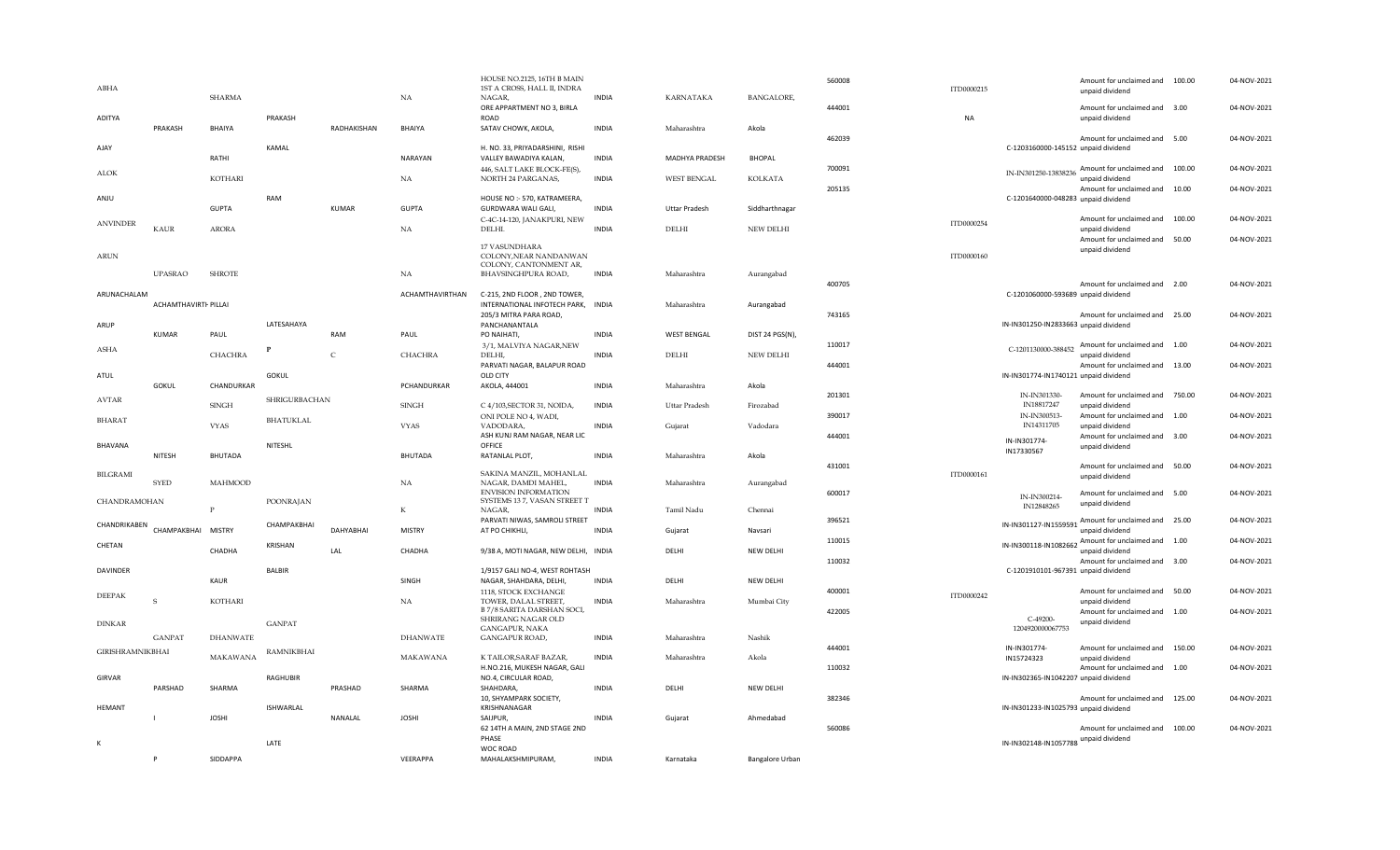| ABHA                    |                      | <b>SHARMA</b>   |                  |              | NA              | HOUSE NO.2125, 16TH B MAIN<br>1ST A CROSS, HALL II, INDRA<br>NAGAR, | <b>INDIA</b> | <b>KARNATAKA</b>      | <b>BANGALORE,</b> | 560008 | ITD0000215 |                                       | Amount for unclaimed and 100.00<br>unpaid dividend                     |        | 04-NOV-2021 |
|-------------------------|----------------------|-----------------|------------------|--------------|-----------------|---------------------------------------------------------------------|--------------|-----------------------|-------------------|--------|------------|---------------------------------------|------------------------------------------------------------------------|--------|-------------|
| ADITYA                  |                      |                 | PRAKASH          |              |                 | ORE APPARTMENT NO 3, BIRLA<br>ROAD                                  |              |                       |                   | 444001 | <b>NA</b>  |                                       | Amount for unclaimed and 3.00<br>unpaid dividend                       |        | 04-NOV-2021 |
|                         | PRAKASH              | BHAIYA          |                  | RADHAKISHAN  | BHAIYA          | SATAV CHOWK, AKOLA,                                                 | <b>INDIA</b> | Maharashtra           | Akola             | 462039 |            |                                       | Amount for unclaimed and 5.00                                          |        | 04-NOV-2021 |
| AJAY                    |                      | RATHI           | KAMAL            |              | <b>NARAYAN</b>  | H. NO. 33. PRIYADARSHINI. RISHI<br>VALLEY BAWADIYA KALAN,           | <b>INDIA</b> | <b>MADHYA PRADESH</b> | <b>BHOPAL</b>     |        |            | C-1203160000-145152 unpaid dividend   |                                                                        |        |             |
| <b>ALOK</b>             |                      | KOTHARI         |                  |              | NA              | 446, SALT LAKE BLOCK-FE(S),<br>NORTH 24 PARGANAS,                   | <b>INDIA</b> | <b>WEST BENGAL</b>    | <b>KOLKATA</b>    | 700091 |            | IN-IN301250-13838236                  | Amount for unclaimed and 100.00<br>unpaid dividend                     |        | 04-NOV-2021 |
| ANJU                    |                      |                 | RAM              |              |                 | HOUSE NO :- 570, KATRAMEERA,                                        |              |                       |                   | 205135 |            | C-1201640000-048283 unpaid dividend   | Amount for unclaimed and 10.00                                         |        | 04-NOV-2021 |
|                         |                      | <b>GUPTA</b>    |                  | <b>KUMAR</b> | <b>GUPTA</b>    | GURDWARA WALI GALI,<br>C-4C-14-120, JANAKPURI, NEW                  | <b>INDIA</b> | <b>Uttar Pradesh</b>  | Siddharthnagar    |        |            |                                       | Amount for unclaimed and                                               | 100.00 | 04-NOV-2021 |
| <b>ANVINDER</b>         | <b>KAUR</b>          | <b>ARORA</b>    |                  |              | NA              | DELHI.                                                              | <b>INDIA</b> | DELHI                 | NEW DELHI         |        | ITD0000254 |                                       | unpaid dividend                                                        |        |             |
| ARUN                    |                      |                 |                  |              |                 | 17 VASUNDHARA<br>COLONY, NEAR NANDANWAN<br>COLONY, CANTONMENT AR,   |              |                       |                   |        | ITD0000160 |                                       | Amount for unclaimed and<br>unpaid dividend                            | 50.00  | 04-NOV-2021 |
|                         | <b>UPASRAO</b>       | <b>SHROTE</b>   |                  |              | NA              | BHAVSINGHPURA ROAD,                                                 | <b>INDIA</b> | Maharashtra           | Aurangabad        |        |            |                                       |                                                                        |        |             |
| ARUNACHALAM             |                      |                 |                  |              | ACHAMTHAVIRTHAN | C-215, 2ND FLOOR, 2ND TOWER,                                        |              |                       |                   | 400705 |            | C-1201060000-593689 unpaid dividend   | Amount for unclaimed and 2.00                                          |        | 04-NOV-2021 |
|                         | ACHAMTHAVIRTI PILLAI |                 |                  |              |                 | INTERNATIONAL INFOTECH PARK, INDIA                                  |              | Maharashtra           | Aurangabad        |        |            |                                       |                                                                        |        |             |
| ARUP                    |                      |                 | LATESAHAYA       |              |                 | 205/3 MITRA PARA ROAD,<br>PANCHANANTALA                             |              |                       |                   | 743165 |            | IN-IN301250-IN2833663 unpaid dividend | Amount for unclaimed and 25.00                                         |        | 04-NOV-2021 |
|                         | <b>KUMAR</b>         | PAUL            |                  | RAM          | PAUL            | PO NAIHATI,                                                         | <b>INDIA</b> | <b>WEST BENGAL</b>    | DIST 24 PGS(N),   |        |            |                                       |                                                                        |        |             |
| <b>ASHA</b>             |                      |                 | $\mathbf P$      |              |                 | 3/1, MALVIYA NAGAR, NEW                                             |              |                       |                   | 110017 |            |                                       | C-1201130000-388452 Amount for unclaimed and 1.00                      |        | 04-NOV-2021 |
|                         |                      | CHACHRA         |                  | $\,c\,$      | CHACHRA         | DELHI,<br>PARVATI NAGAR, BALAPUR ROAD                               | <b>INDIA</b> | DELHI                 | NEW DELHI         | 444001 |            |                                       | unpaid dividend<br>Amount for unclaimed and 13.00                      |        | 04-NOV-2021 |
| ATUL                    |                      |                 | GOKUL            |              |                 | OLD CITY                                                            |              |                       |                   |        |            | IN-IN301774-IN1740121 unpaid dividend |                                                                        |        |             |
|                         | <b>GOKUL</b>         | CHANDURKAR      |                  |              | PCHANDURKAR     | AKOLA, 444001                                                       | <b>INDIA</b> | Maharashtra           | Akola             | 201301 |            | IN-IN301330-                          | Amount for unclaimed and 750.00                                        |        | 04-NOV-2021 |
| <b>AVTAR</b>            |                      | <b>SINGH</b>    | SHRIGURBACHAN    |              | <b>SINGH</b>    | C 4/103, SECTOR 31, NOIDA,                                          | <b>INDIA</b> | <b>Uttar Pradesh</b>  | Firozabad         |        |            | IN18817247                            | unpaid dividend                                                        |        |             |
| <b>BHARAT</b>           |                      |                 | <b>BHATUKLAL</b> |              |                 | ONI POLE NO 4, WADI,                                                |              |                       |                   | 390017 |            | IN-IN300513-                          | Amount for unclaimed and                                               | 1.00   | 04-NOV-2021 |
|                         |                      | <b>VYAS</b>     |                  |              | VYAS            | VADODARA,<br>ASH KUNJ RAM NAGAR, NEAR LIC                           | <b>INDIA</b> | Gujarat               | Vadodara          | 444001 |            | IN14311705                            | unpaid dividend                                                        |        | 04-NOV-2021 |
| BHAVANA                 |                      |                 | NITESHL          |              |                 | OFFICE                                                              |              |                       |                   |        |            | IN-IN301774-                          | Amount for unclaimed and 3.00<br>unpaid dividend                       |        |             |
|                         | NITESH               | <b>BHUTADA</b>  |                  |              | BHUTADA         | RATANLAL PLOT,                                                      | <b>INDIA</b> | Maharashtra           | Akola             |        |            | IN17330567                            |                                                                        |        |             |
| <b>BILGRAMI</b>         |                      |                 |                  |              |                 | SAKINA MANZIL, MOHANLAL                                             |              |                       |                   | 431001 | ITD0000161 |                                       | Amount for unclaimed and 50.00                                         |        | 04-NOV-2021 |
|                         | <b>SYED</b>          | <b>MAHMOOD</b>  |                  |              | NA              | NAGAR, DAMDI MAHEL,                                                 | <b>INDIA</b> | Maharashtra           | Aurangabad        |        |            |                                       | unpaid dividend                                                        |        |             |
|                         |                      |                 |                  |              |                 | <b>ENVISION INFORMATION</b>                                         |              |                       |                   | 600017 |            | IN-IN300214-                          | Amount for unclaimed and 5.00                                          |        | 04-NOV-2021 |
| CHANDRAMOHAN            |                      | $\mathbf{P}$    | POONRAJAN        |              | $_{\rm K}$      | SYSTEMS 13 7, VASAN STREET T<br>NAGAR,                              | <b>INDIA</b> | Tamil Nadu            | Chennai           |        |            | IN12848265                            | unpaid dividend                                                        |        |             |
| CHANDRIKABEN            |                      |                 | CHAMPAKBHAI      |              |                 | PARVATI NIWAS, SAMROLI STREET                                       |              |                       |                   | 396521 |            | IN-IN301127-IN1559591                 | Amount for unclaimed and 25.00                                         |        | 04-NOV-2021 |
|                         | CHAMPAKBHAI MISTRY   |                 |                  | DAHYABHAI    | <b>MISTRY</b>   | AT PO CHIKHLI,                                                      | <b>INDIA</b> | Gujarat               | Navsari           |        |            |                                       | unpaid dividend                                                        |        |             |
| CHFTAN                  |                      | CHADHA          | KRISHAN          | LAL          | CHADHA          | 9/38 A, MOTI NAGAR, NEW DELHI, INDIA                                |              | DELHI                 | NEW DELHI         | 110015 |            |                                       | IN-IN300118-IN1082662 Amount for unclaimed and 1.00<br>unpaid dividend |        | 04-NOV-2021 |
|                         |                      |                 |                  |              |                 |                                                                     |              |                       |                   | 110032 |            |                                       | Amount for unclaimed and 3.00                                          |        | 04-NOV-2021 |
| DAVINDER                |                      | KAUR            | <b>BALBIR</b>    |              | SINGH           | 1/9157 GALI NO-4, WEST ROHTASH<br>NAGAR, SHAHDARA, DELHI,           | <b>INDIA</b> | DELHI                 | NEW DELHI         |        |            | C-1201910101-967391 unpaid dividend   |                                                                        |        |             |
|                         |                      |                 |                  |              |                 | 1118, STOCK EXCHANGE                                                |              |                       |                   | 400001 |            |                                       | Amount for unclaimed and 50.00                                         |        | 04-NOV-2021 |
| <b>DEEPAK</b>           | $\mathbf S$          | KOTHARI         |                  |              | NA              | TOWER, DALAL STREET,                                                | <b>INDIA</b> | Maharashtra           | Mumbai City       |        | ITD0000242 |                                       | unpaid dividend                                                        |        |             |
|                         |                      |                 |                  |              |                 | B 7/8 SARITA DARSHAN SOCI,<br>SHRIRANG NAGAR OLD                    |              |                       |                   | 422005 |            | C-49200-                              | Amount for unclaimed and 1.00                                          |        | 04-NOV-2021 |
| <b>DINKAR</b>           |                      |                 | <b>GANPAT</b>    |              |                 | GANGAPUR, NAKA                                                      |              |                       |                   |        |            | 1204920000067753                      | unpaid dividend                                                        |        |             |
|                         | <b>GANPAT</b>        | <b>DHANWATE</b> |                  |              | <b>DHANWATE</b> | GANGAPUR ROAD,                                                      | <b>INDIA</b> | Maharashtra           | Nashik            |        |            |                                       |                                                                        |        |             |
| <b>GIRISHRAMNIKBHAI</b> |                      | MAKAWANA        | RAMNIKBHAI       |              | MAKAWANA        | K TAILOR, SARAF BAZAR,                                              | <b>INDIA</b> | Maharashtra           | Akola             | 444001 |            | IN-IN301774-<br>IN15724323            | Amount for unclaimed and 150.00<br>unpaid dividend                     |        | 04-NOV-2021 |
|                         |                      |                 |                  |              |                 | H.NO.216, MUKESH NAGAR, GALI                                        |              |                       |                   | 110032 |            |                                       | Amount for unclaimed and 1.00                                          |        | 04-NOV-2021 |
| GIRVAR                  |                      |                 | RAGHUBIR         |              |                 | NO.4, CIRCULAR ROAD,                                                |              |                       |                   |        |            | IN-IN302365-IN1042207 unpaid dividend |                                                                        |        |             |
|                         | PARSHAD              | SHARMA          |                  | PRASHAD      | SHARMA          | SHAHDARA,<br>10, SHYAMPARK SOCIETY,                                 | <b>INDIA</b> | DELHI                 | NEW DELHI         | 382346 |            |                                       | Amount for unclaimed and 125.00                                        |        | 04-NOV-2021 |
| <b>HEMANT</b>           |                      |                 | ISHWARLAL        |              |                 | KRISHNANAGAR                                                        |              |                       |                   |        |            | IN-IN301233-IN1025793 unpaid dividend |                                                                        |        |             |
|                         |                      | <b>JOSHI</b>    |                  | NANALAL      | <b>JOSHI</b>    | SAIJPUR,                                                            | <b>INDIA</b> | Gujarat               | Ahmedabad         |        |            |                                       |                                                                        |        |             |
|                         |                      |                 |                  |              |                 | 62 14TH A MAIN, 2ND STAGE 2ND                                       |              |                       |                   | 560086 |            |                                       | Amount for unclaimed and                                               | 100.00 | 04-NOV-2021 |
| К                       |                      |                 | LATE             |              |                 | PHASE<br>WOC ROAD                                                   |              |                       |                   |        |            | IN-IN302148-IN1057788 unpaid dividend |                                                                        |        |             |
|                         | P                    | SIDDAPPA        |                  |              | VEERAPPA        | MAHALAKSHMIPURAM,                                                   | <b>INDIA</b> | Karnataka             | Bangalore Urban   |        |            |                                       |                                                                        |        |             |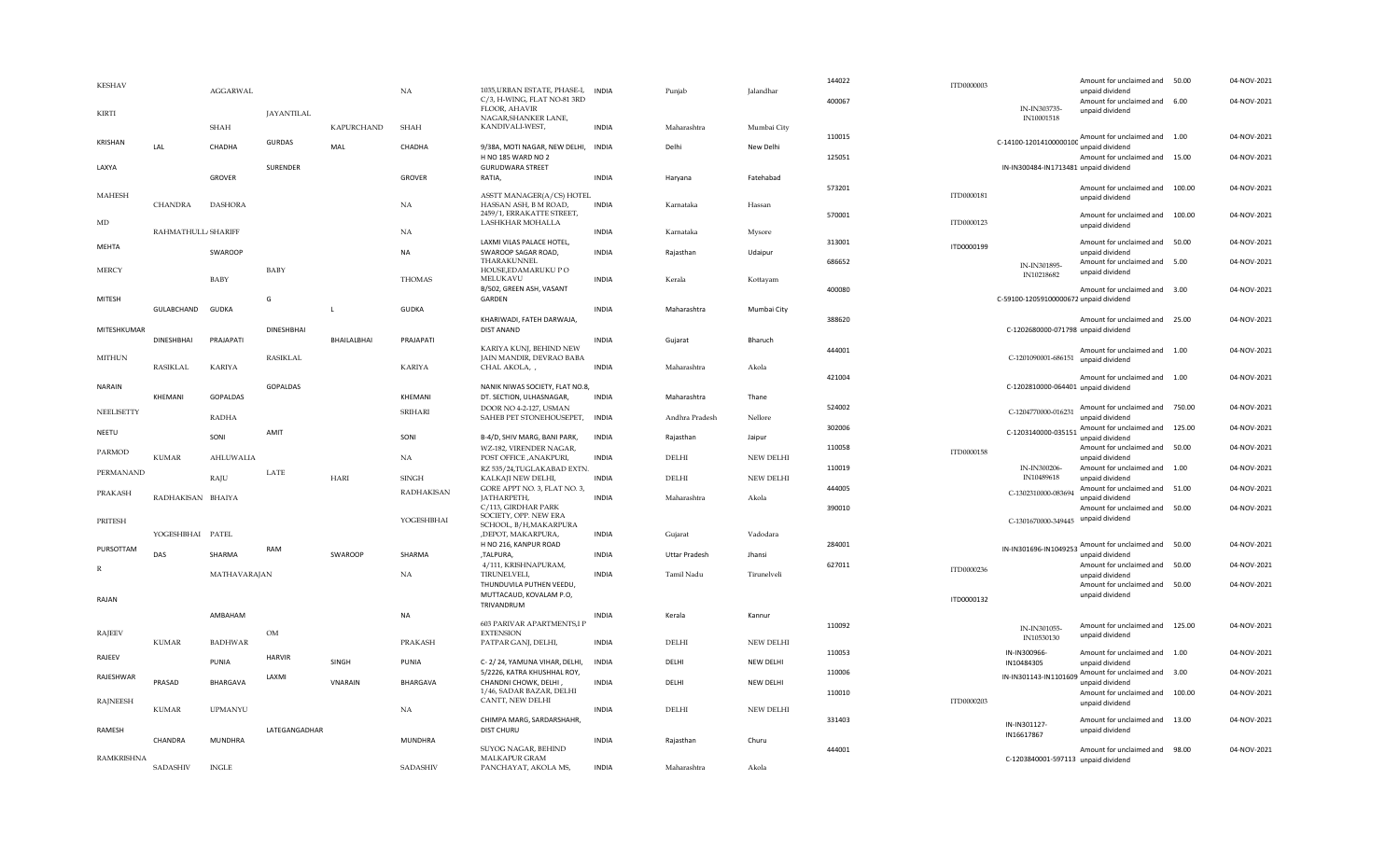| <b>KESHAV</b>     |                    | <b>AGGARWAL</b> |                   |                   | NA                | 1035, URBAN ESTATE, PHASE-I, INDIA                          |              | Punjab               | Jalandhar        | 144022 | ITD0000003 |                                        | Amount for unclaimed and 50.00<br>unpaid dividend                       |        | 04-NOV-2021 |
|-------------------|--------------------|-----------------|-------------------|-------------------|-------------------|-------------------------------------------------------------|--------------|----------------------|------------------|--------|------------|----------------------------------------|-------------------------------------------------------------------------|--------|-------------|
|                   |                    |                 |                   |                   |                   | C/3, H-WING, FLAT NO-81 3RD<br>FLOOR, AHAVIR                |              |                      |                  | 400067 |            |                                        | Amount for unclaimed and 6.00                                           |        | 04-NOV-2021 |
| <b>KIRTI</b>      |                    |                 | <b>JAYANTILAL</b> |                   |                   | NAGAR, SHANKER LANE,                                        |              |                      |                  |        |            | IN-IN303735-<br>IN10001518             | unpaid dividend                                                         |        |             |
|                   |                    | <b>SHAH</b>     |                   | <b>KAPURCHAND</b> | <b>SHAH</b>       | KANDIVALI-WEST,                                             | <b>INDIA</b> | Maharashtra          | Mumbai City      | 110015 |            |                                        | $C-14100-12014100000100$ Amount for unclaimed and 1.00                  |        | 04-NOV-2021 |
| <b>KRISHAN</b>    | LAL                | CHADHA          | <b>GURDAS</b>     | MAL               | CHADHA            | 9/38A, MOTI NAGAR, NEW DELHI,<br>H NO 185 WARD NO 2         | <b>INDIA</b> | Delhi                | New Delhi        | 125051 |            |                                        | unpaid dividend                                                         |        |             |
| LAXYA             |                    |                 | SURENDER          |                   |                   | <b>GURUDWARA STREET</b>                                     |              |                      |                  |        |            | IN-IN300484-IN1713481 unpaid dividend  | Amount for unclaimed and 15.00                                          |        | 04-NOV-2021 |
|                   |                    | <b>GROVER</b>   |                   |                   | <b>GROVER</b>     | RATIA,                                                      | <b>INDIA</b> | Haryana              | Fatehabad        | 573201 |            |                                        | Amount for unclaimed and 100.00                                         |        | 04-NOV-2021 |
| <b>MAHESH</b>     | <b>CHANDRA</b>     | <b>DASHORA</b>  |                   |                   | NA                | ASSTT MANAGER(A/CS) HOTEI<br>HASSAN ASH, B M ROAD,          | INDIA        | Karnataka            | Hassan           |        | ITD0000181 |                                        | unpaid dividend                                                         |        |             |
|                   |                    |                 |                   |                   |                   | 2459/1, ERRAKATTE STREET,                                   |              |                      |                  | 570001 |            |                                        | Amount for unclaimed and                                                | 100.00 | 04-NOV-2021 |
| $\rm MD$          | RAHMATHULL/SHARIFF |                 |                   |                   | NA                | LASHKHAR MOHALLA                                            | <b>INDIA</b> | Karnataka            | Mysore           |        | ITD0000123 |                                        | unpaid dividend                                                         |        |             |
| <b>MEHTA</b>      |                    | SWAROOP         |                   |                   | <b>NA</b>         | LAXMI VILAS PALACE HOTEL,<br>SWAROOP SAGAR ROAD,            | <b>INDIA</b> | Rajasthan            | Udaipur          | 313001 | ITD0000199 |                                        | Amount for unclaimed and<br>unpaid dividend                             | 50.00  | 04-NOV-2021 |
| <b>MERCY</b>      |                    |                 | <b>BABY</b>       |                   |                   | THARAKUNNEL<br>HOUSE, EDAMARUKU PO                          |              |                      |                  | 686652 |            | IN-IN301895-                           | Amount for unclaimed and 5.00                                           |        | 04-NOV-2021 |
|                   |                    | BABY            |                   |                   | <b>THOMAS</b>     | MELUKAVU                                                    | <b>INDIA</b> | Kerala               | Kottayam         |        |            | IN10218682                             | unpaid dividend                                                         |        |             |
| <b>MITESH</b>     |                    |                 | G                 |                   |                   | B/502, GREEN ASH, VASANT<br>GARDEN                          |              |                      |                  | 400080 |            | C-59100-12059100000672 unpaid dividend | Amount for unclaimed and 3.00                                           |        | 04-NOV-2021 |
|                   | GULABCHAND         | GUDKA           |                   | $\mathbf{L}$      | <b>GUDKA</b>      |                                                             | <b>INDIA</b> | Maharashtra          | Mumbai City      |        |            |                                        |                                                                         |        |             |
| MITESHKUMAR       |                    |                 | <b>DINESHBHAI</b> |                   |                   | KHARIWADI. FATEH DARWAJA.<br>DIST ANAND                     |              |                      |                  | 388620 |            | C-1202680000-071798 unpaid dividend    | Amount for unclaimed and 25.00                                          |        | 04-NOV-2021 |
|                   | DINESHBHAI         | PRAJAPATI       |                   | BHAILALBHAI       | PRAJAPATI         | KARIYA KUNJ, BEHIND NEW                                     | <b>INDIA</b> | Gujarat              | Bharuch          | 444001 |            |                                        | Amount for unclaimed and 1.00                                           |        | 04-NOV-2021 |
| <b>MITHUN</b>     |                    |                 | <b>RASIKLAL</b>   |                   |                   | JAIN MANDIR, DEVRAO BABA                                    |              |                      |                  |        |            | C-1201090001-686151 unpaid dividend    |                                                                         |        |             |
|                   | <b>RASIKLAL</b>    | <b>KARIYA</b>   |                   |                   | <b>KARIYA</b>     | CHAL AKOLA, ,                                               | <b>INDIA</b> | Maharashtra          | Akola            | 421004 |            |                                        | Amount for unclaimed and 1.00                                           |        | 04-NOV-2021 |
| <b>NARAIN</b>     | KHEMANI            | GOPALDAS        | <b>GOPALDAS</b>   |                   | KHEMANI           | NANIK NIWAS SOCIETY, FLAT NO.8,<br>DT. SECTION, ULHASNAGAR, | <b>INDIA</b> | Maharashtra          | Thane            |        |            | C-1202810000-064401 unpaid dividend    |                                                                         |        |             |
| NEELISETTY        |                    |                 |                   |                   | <b>SRIHARI</b>    | DOOR NO 4-2-127, USMAN                                      |              |                      |                  | 524002 |            | C-1204770000-016231                    | Amount for unclaimed and 750.00                                         |        | 04-NOV-2021 |
|                   |                    | <b>RADHA</b>    |                   |                   |                   | SAHEB PET STONEHOUSEPET,                                    | <b>INDIA</b> | Andhra Pradesh       | Nellore          | 302006 |            |                                        | unpaid dividend<br>C-1203140000-035151 Amount for unclaimed and 125.00  |        | 04-NOV-2021 |
| NEETU             |                    | SONI            | AMIT              |                   | SONI              | B-4/D, SHIV MARG, BANI PARK,                                | <b>INDIA</b> | Rajasthan            | Jaipur           | 110058 |            |                                        | unpaid dividend<br>Amount for unclaimed and 50.00                       |        | 04-NOV-2021 |
| PARMOD            | <b>KUMAR</b>       | AHLUWALIA       |                   |                   | NA                | WZ-182, VIRENDER NAGAR,<br>POST OFFICE , ANAKPURI,          | <b>INDIA</b> | DELHI                | NEW DELHI        |        | ITD0000158 |                                        | unpaid dividend                                                         |        |             |
| PERMANAND         |                    | RAJU            | LATE              | <b>HARI</b>       | <b>SINGH</b>      | RZ 535/24, TUGLAKABAD EXTN.<br>KALKAJI NEW DELHI,           | <b>INDIA</b> | DELHI                | NEW DELHI        | 110019 |            | IN-IN300206-<br>IN10489618             | Amount for unclaimed and 1.00<br>unpaid dividend                        |        | 04-NOV-2021 |
| PRAKASH           |                    |                 |                   |                   | <b>RADHAKISAN</b> | GORE APPT NO. 3, FLAT NO. 3,                                |              |                      |                  | 444005 |            | C-1302310000-083694                    | Amount for unclaimed and 51.00                                          |        | 04-NOV-2021 |
|                   | RADHAKISAN BHAIYA  |                 |                   |                   |                   | JATHARPETH,<br>C/113, GIRDHAR PARK                          | <b>INDIA</b> | Maharashtra          | Akola            | 390010 |            |                                        | unpaid dividend<br>Amount for unclaimed and 50.00                       |        | 04-NOV-2021 |
| PRITESH           |                    |                 |                   |                   | YOGESHBHAI        | SOCIETY, OPP. NEW ERA<br>SCHOOL, B/H, MAKARPURA             |              |                      |                  |        |            | C-1301670000-349445 unpaid dividend    |                                                                         |        |             |
|                   | YOGESHBHAI PATEL   |                 |                   |                   |                   | ,DEPOT, MAKARPURA,<br>H NO 216, KANPUR ROAD                 | <b>INDIA</b> | Gujarat              | Vadodara         | 284001 |            |                                        |                                                                         |        | 04-NOV-2021 |
| PURSOTTAM         | DAS                | SHARMA          | RAM               | SWAROOP           | SHARMA            | ,TALPURA,                                                   | <b>INDIA</b> | <b>Uttar Pradesh</b> | Ihansi           |        |            |                                        | IN-IN301696-IN1049253 Amount for unclaimed and 50.00<br>unpaid dividend |        |             |
| R                 |                    | MATHAVARAJAN    |                   |                   | NA.               | 4/111, KRISHNAPURAM,<br>TIRUNELVELI,                        | <b>INDIA</b> | Tamil Nadu           | Tirunelveli      | 627011 | ITD0000236 |                                        | Amount for unclaimed and 50.00<br>unpaid dividend                       |        | 04-NOV-2021 |
|                   |                    |                 |                   |                   |                   | THUNDUVILA PUTHEN VEEDU,                                    |              |                      |                  |        |            |                                        | Amount for unclaimed and 50.00                                          |        | 04-NOV-2021 |
| RAJAN             |                    |                 |                   |                   |                   | MUTTACAUD, KOVALAM P.O,<br>TRIVANDRUM                       |              |                      |                  |        | ITD0000132 |                                        | unpaid dividend                                                         |        |             |
|                   |                    | AMBAHAM         |                   |                   | <b>NA</b>         | 603 PARIVAR APARTMENTS,I P                                  | <b>INDIA</b> | Kerala               | Kannur           | 110092 |            |                                        | Amount for unclaimed and 125.00                                         |        | 04-NOV-2021 |
| <b>RAJEEV</b>     | <b>KUMAR</b>       | <b>BADHWAR</b>  | OM                |                   | PRAKASH           | <b>EXTENSION</b><br>PATPAR GANJ, DELHI,                     | <b>INDIA</b> | <b>DELHI</b>         | <b>NEW DELHI</b> |        |            | IN-IN301055-<br>IN10530130             | unpaid dividend                                                         |        |             |
| RAJEEV            |                    |                 | <b>HARVIR</b>     |                   |                   |                                                             |              |                      |                  | 110053 |            | IN-IN300966-                           | Amount for unclaimed and                                                | 1.00   | 04-NOV-2021 |
|                   |                    | PUNIA           |                   | SINGH             | PUNIA             | C-2/24, YAMUNA VIHAR, DELHI,<br>5/2226, KATRA KHUSHHAL ROY, | <b>INDIA</b> | DELHI                | NEW DELHI        | 110006 |            | IN10484305                             | unpaid dividend<br>IN-IN301143-IN1101609 Amount for unclaimed and 3.00  |        | 04-NOV-2021 |
| RAJESHWAR         | PRASAD             | <b>BHARGAVA</b> | LAXMI             | <b>VNARAIN</b>    | BHARGAVA          | CHANDNI CHOWK, DELHI,                                       | <b>INDIA</b> | DELHI                | NEW DELHI        |        |            |                                        | unpaid dividend                                                         |        |             |
| <b>RAJNEESH</b>   |                    |                 |                   |                   |                   | 1/46, SADAR BAZAR, DELHI<br>CANTT, NEW DELHI                |              |                      |                  | 110010 | ITD0000203 |                                        | Amount for unclaimed and 100.00<br>unpaid dividend                      |        | 04-NOV-2021 |
|                   | <b>KUMAR</b>       | <b>UPMANYU</b>  |                   |                   | NA.               | CHIMPA MARG, SARDARSHAHR,                                   | <b>INDIA</b> | <b>DELHI</b>         | <b>NEW DELHI</b> | 331403 |            |                                        | Amount for unclaimed and 13.00                                          |        | 04-NOV-2021 |
| RAMESH            |                    |                 | LATEGANGADHAR     |                   |                   | <b>DIST CHURU</b>                                           |              |                      |                  |        |            | IN-IN301127-<br>IN16617867             | unpaid dividend                                                         |        |             |
|                   | CHANDRA            | <b>MUNDHRA</b>  |                   |                   | <b>MUNDHRA</b>    | SUYOG NAGAR, BEHIND                                         | <b>INDIA</b> | Rajasthan            | Churu            | 444001 |            |                                        | Amount for unclaimed and 98.00                                          |        | 04-NOV-2021 |
| <b>RAMKRISHNA</b> | <b>SADASHIV</b>    | <b>INGLE</b>    |                   |                   | <b>SADASHIV</b>   | MALKAPUR GRAM<br>PANCHAYAT, AKOLA MS,                       | <b>INDIA</b> | Maharashtra          | Akola            |        |            | C-1203840001-597113 unpaid dividend    |                                                                         |        |             |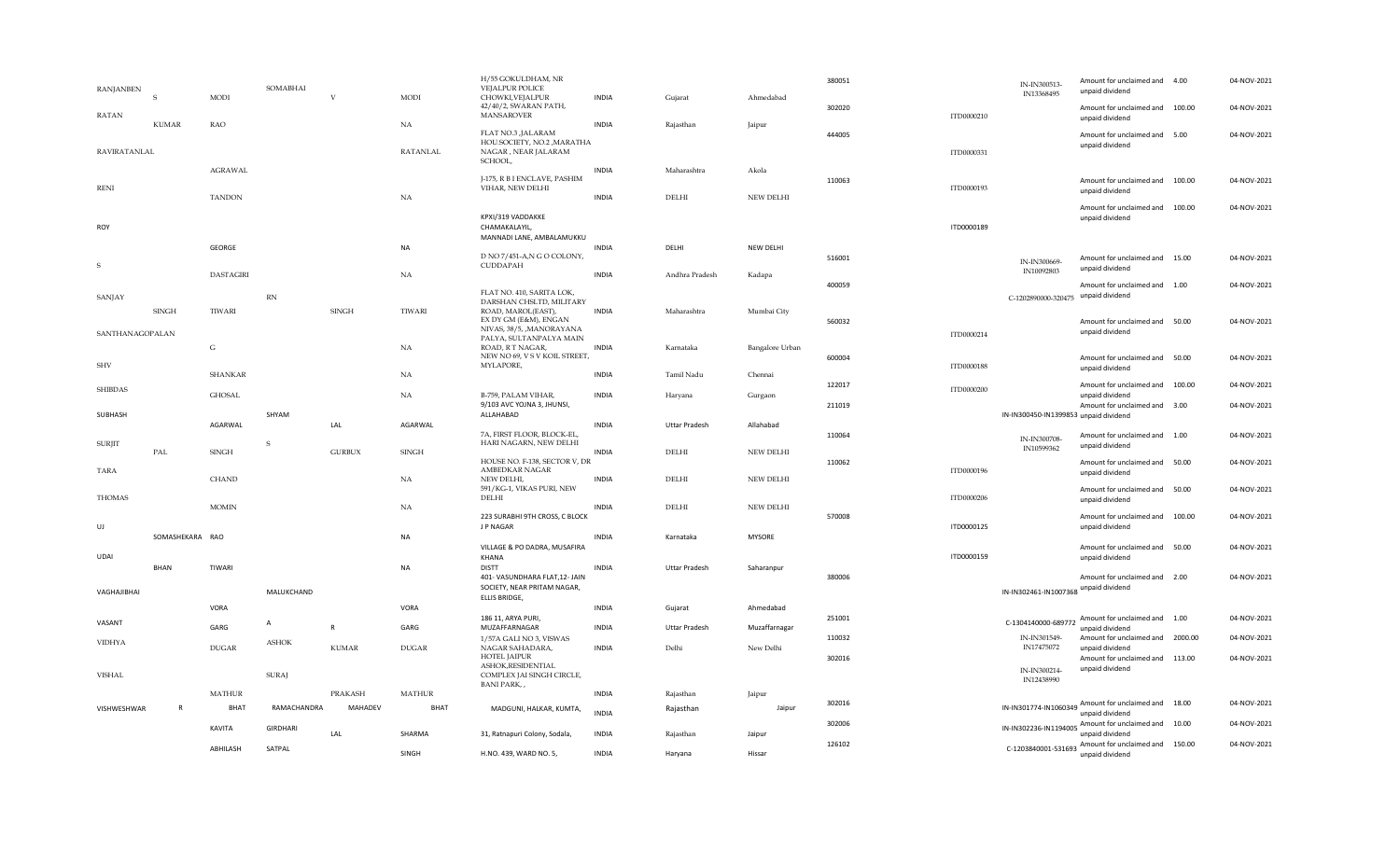|                 |                 | ABHILASH         | SATPAL                 |               | SINGH           | H.NO. 439, WARD NO. 5,                                                                               | <b>INDIA</b> | Haryana              | Hissar           |
|-----------------|-----------------|------------------|------------------------|---------------|-----------------|------------------------------------------------------------------------------------------------------|--------------|----------------------|------------------|
|                 |                 | KAVITA           | <b>GIRDHARI</b>        | LAL           | SHARMA          | 31, Ratnapuri Colony, Sodala,                                                                        | <b>INDIA</b> | Rajasthan            | Jaipur           |
| VISHWESHWAR     | R               | <b>BHAT</b>      | RAMACHANDRA            | MAHADEV       | <b>BHAT</b>     | MADGUNI, HALKAR, KUMTA,                                                                              | <b>INDIA</b> | Rajasthan            | Jaipur           |
|                 |                 | <b>MATHUR</b>    |                        | PRAKASH       | <b>MATHUR</b>   |                                                                                                      | <b>INDIA</b> | Rajasthan            | Jaipur           |
| <b>VISHAL</b>   |                 |                  | <b>SURAJ</b>           |               |                 | ASHOK, RESIDENTIAL<br>COMPLEX JAI SINGH CIRCLE,<br><b>BANI PARK,,</b>                                |              |                      |                  |
| <b>VIDHYA</b>   |                 | <b>DUGAR</b>     | <b>ASHOK</b>           | <b>KUMAR</b>  | <b>DUGAR</b>    | 1/57A GALI NO 3, VISWAS<br>NAGAR SAHADARA,<br><b>HOTEL JAIPUR</b>                                    | <b>INDIA</b> | Delhi                | New Delhi        |
| VASANT          |                 | GARG             | А                      | ${\sf R}$     | GARG            | 186 11, ARYA PURI,<br>MUZAFFARNAGAR                                                                  | <b>INDIA</b> | <b>Uttar Pradesh</b> | Muzaffarnagar    |
|                 |                 | VORA             |                        |               | VORA            | ELLIS BRIDGE,                                                                                        | <b>INDIA</b> | Gujarat              | Ahmedabad        |
| VAGHAJIBHAI     | BHAN            | TIWARI           | MALUKCHAND             |               | <b>NA</b>       | <b>DISTT</b><br>401- VASUNDHARA FLAT,12- JAIN<br>SOCIETY, NEAR PRITAM NAGAR,                         | <b>INDIA</b> | <b>Uttar Pradesh</b> | Saharanpur       |
| UDAI            |                 |                  |                        |               |                 | VILLAGE & PO DADRA, MUSAFIRA<br>KHANA                                                                |              |                      |                  |
| UJ              | SOMASHEKARA RAO |                  |                        |               | NA              | 223 SURABHI 9TH CROSS, C BLOCK<br>J P NAGAR                                                          | <b>INDIA</b> | Karnataka            | <b>MYSORE</b>    |
| <b>THOMAS</b>   |                 | <b>MOMIN</b>     |                        |               | NA              | DELHI                                                                                                | <b>INDIA</b> | DELHI                | <b>NEW DELHI</b> |
| <b>TARA</b>     |                 | <b>CHAND</b>     |                        |               | <b>NA</b>       | HOUSE NO. F-138, SECTOR V, DR<br>AMBEDKAR NAGAR<br>NEW DELHI,<br>591/KG-1, VIKAS PURI, NEW           | <b>INDIA</b> | <b>DELHI</b>         | <b>NEW DELHI</b> |
| <b>SURJIT</b>   | PAL             | SINGH            | S                      | <b>GURBUX</b> | <b>SINGH</b>    | 7A, FIRST FLOOR, BLOCK-EL,<br>HARI NAGARN, NEW DELHI                                                 | <b>INDIA</b> | DELHI                | <b>NEW DELHI</b> |
| SUBHASH         |                 | AGARWAL          | SHYAM                  | LAL           | AGARWAL         | ALLAHABAD                                                                                            | <b>INDIA</b> | <b>Uttar Pradesh</b> | Allahabad        |
| <b>SHIBDAS</b>  |                 | <b>GHOSAL</b>    |                        |               | NA              | B-759, PALAM VIHAR,<br>9/103 AVC YOJNA 3, JHUNSI,                                                    | <b>INDIA</b> | Haryana              | Gurgaon          |
| <b>SHV</b>      |                 | <b>SHANKAR</b>   |                        |               | NA              | MYLAPORE,                                                                                            | <b>INDIA</b> | Tamil Nadu           | Chennai          |
| SANTHANAGOPALAN |                 | G                |                        |               | NA              | PALYA, SULTANPALYA MAIN<br>ROAD, R T NAGAR,<br>NEW NO 69, V S V KOIL STREET,                         | <b>INDIA</b> | Karnataka            | Bangalore Urban  |
|                 | <b>SINGH</b>    | TIWARI           |                        | <b>SINGH</b>  | TIWARI          | DARSHAN CHSLTD, MILITARY<br>ROAD, MAROL(EAST),<br>EX DY GM (E&M), ENGAN<br>NIVAS, 38/5, , MANORAYANA | <b>INDIA</b> | Maharashtra          | Mumbai City      |
| SANJAY          |                 |                  | $\mathbb{R}\mathbb{N}$ |               |                 | FLAT NO. 410, SARITA LOK,                                                                            |              |                      |                  |
| S               |                 | <b>DASTAGIRI</b> |                        |               | NA              | D NO 7/451-A,N G O COLONY,<br>CUDDAPAH                                                               | <b>INDIA</b> | Andhra Pradesh       | Kadapa           |
| ROY             |                 | GEORGE           |                        |               | NA              | CHAMAKALAYIL,<br>MANNADI LANE, AMBALAMUKKU                                                           | <b>INDIA</b> | DELHI                | NEW DELHI        |
|                 |                 |                  |                        |               |                 | KPXI/319 VADDAKKE                                                                                    |              |                      |                  |
| <b>RENI</b>     |                 | <b>TANDON</b>    |                        |               | NA              | J-175, R B I ENCLAVE, PASHIM<br>VIHAR, NEW DELHI                                                     | <b>INDIA</b> | DELHI                | <b>NEW DELHI</b> |
| RAVIRATANLAL    |                 | <b>AGRAWAL</b>   |                        |               | <b>RATANLAL</b> | NAGAR, NEAR JALARAM<br>SCHOOL,                                                                       | <b>INDIA</b> | Maharashtra          | Akola            |
|                 | <b>KUMAR</b>    | <b>RAO</b>       |                        |               | NA              | FLAT NO.3 , JALARAM<br>HOU.SOCIETY, NO.2, MARATHA                                                    | <b>INDIA</b> | Rajasthan            | Jaipur           |
| <b>RATAN</b>    | S               | <b>MODI</b>      |                        | V             | <b>MODI</b>     | CHOWKI, VEJALPUR<br>42/40/2, SWARAN PATH,<br><b>MANSAROVER</b>                                       | <b>INDIA</b> | Gujarat              | Ahmedabad        |
| RANJANBEN       |                 |                  | SOMABHAI               |               |                 | H/55 GOKULDHAM, NR<br>VEJALPUR POLICE                                                                |              |                      |                  |

|                         | Ahmedabad                     | 380051 |            | IN-IN300513-<br>IN13368495               | Amount for unclaimed and<br>unpaid dividend                        | 4.00    | 04-NOV-2021 |
|-------------------------|-------------------------------|--------|------------|------------------------------------------|--------------------------------------------------------------------|---------|-------------|
| Gujarat                 |                               | 302020 | ITD0000210 |                                          | Amount for unclaimed and<br>unpaid dividend                        | 100.00  | 04-NOV-2021 |
| Rajasthan               | Jaipur                        | 444005 | ITD0000331 |                                          | Amount for unclaimed and<br>unpaid dividend                        | 5.00    | 04-NOV-2021 |
| Maharashtra<br>DELHI    | Akola<br><b>NEW DELHI</b>     | 110063 | ITD0000193 |                                          | Amount for unclaimed and<br>unpaid dividend                        | 100.00  | 04-NOV-2021 |
|                         |                               |        | ITD0000189 |                                          | Amount for unclaimed and<br>unpaid dividend                        | 100.00  | 04-NOV-2021 |
| DELHI                   | NEW DELHI                     | 516001 |            | IN-IN300669-<br>IN10092803               | Amount for unclaimed and<br>unpaid dividend                        | 15.00   | 04-NOV-2021 |
| Andhra Pradesh          | Kadapa                        | 400059 |            | C-1202890000-320475                      | Amount for unclaimed and<br>unpaid dividend                        | 1.00    | 04-NOV-2021 |
| Maharashtra             | Mumbai City                   | 560032 | ITD0000214 |                                          | Amount for unclaimed and<br>unpaid dividend                        | 50.00   | 04-NOV-2021 |
| Karnataka<br>Tamil Nadu | Bangalore Urban<br>Chennai    | 600004 | ITD0000188 |                                          | Amount for unclaimed and<br>unpaid dividend                        | 50.00   | 04-NOV-2021 |
| Haryana                 | Gurgaon                       | 122017 | ITD0000200 |                                          | Amount for unclaimed and<br>unpaid dividend                        | 100.00  | 04-NOV-2021 |
|                         |                               | 211019 |            | IN-IN300450-IN1399853 unpaid dividend    | Amount for unclaimed and                                           | 3.00    | 04-NOV-2021 |
| Uttar Pradesh<br>DELHI  | Allahabad<br><b>NEW DELHI</b> | 110064 |            | IN-IN300708-<br>IN10599362               | Amount for unclaimed and<br>unpaid dividend                        | 1.00    | 04-NOV-2021 |
| DELHI                   | <b>NEW DELHI</b>              | 110062 | ITD0000196 |                                          | Amount for unclaimed and<br>unpaid dividend                        | 50.00   | 04-NOV-2021 |
| DELHI                   | <b>NEW DELHI</b>              |        | ITD0000206 |                                          | Amount for unclaimed and<br>unpaid dividend                        | 50.00   | 04-NOV-2021 |
| Karnataka               | <b>MYSORE</b>                 | 570008 | ITD0000125 |                                          | Amount for unclaimed and<br>unpaid dividend                        | 100.00  | 04-NOV-2021 |
|                         |                               |        | ITD0000159 |                                          | Amount for unclaimed and<br>unpaid dividend                        | 50.00   | 04-NOV-2021 |
| Uttar Pradesh           | Saharanpur                    | 380006 |            | IN-IN302461-IN1007368                    | Amount for unclaimed and<br>unpaid dividend                        | 2.00    | 04-NOV-2021 |
| Gujarat                 | Ahmedabad                     | 251001 |            |                                          | Amount for unclaimed and                                           | 1.00    | 04-NOV-2021 |
| Uttar Pradesh           | Muzaffarnagar                 | 110032 |            | C-1304140000-689772<br>IN-IN301549-      | unpaid dividend<br>Amount for unclaimed and                        | 2000.00 | 04-NOV-2021 |
| Delhi                   | New Delhi                     | 302016 |            | IN17475072<br>IN-IN300214-<br>IN12438990 | unpaid dividend<br>Amount for unclaimed and<br>unpaid dividend     | 113.00  | 04-NOV-2021 |
| Rajasthan               | Jaipur                        |        |            |                                          |                                                                    |         |             |
| Rajasthan               | Jaipur                        | 302016 |            |                                          | IN-IN301774-IN1060349. Amount for unclaimed and<br>unpaid dividend | 18.00   | 04-NOV-2021 |
| Rajasthan               | Jaipur                        | 302006 |            | IN-IN302236-IN1194005                    | Amount for unclaimed and<br>unpaid dividend                        | 10.00   | 04-NOV-2021 |
| Haryana                 | Hissar                        | 126102 |            |                                          | C-1203840001-531693 Amount for unclaimed and<br>unpaid dividend    | 150.00  | 04-NOV-2021 |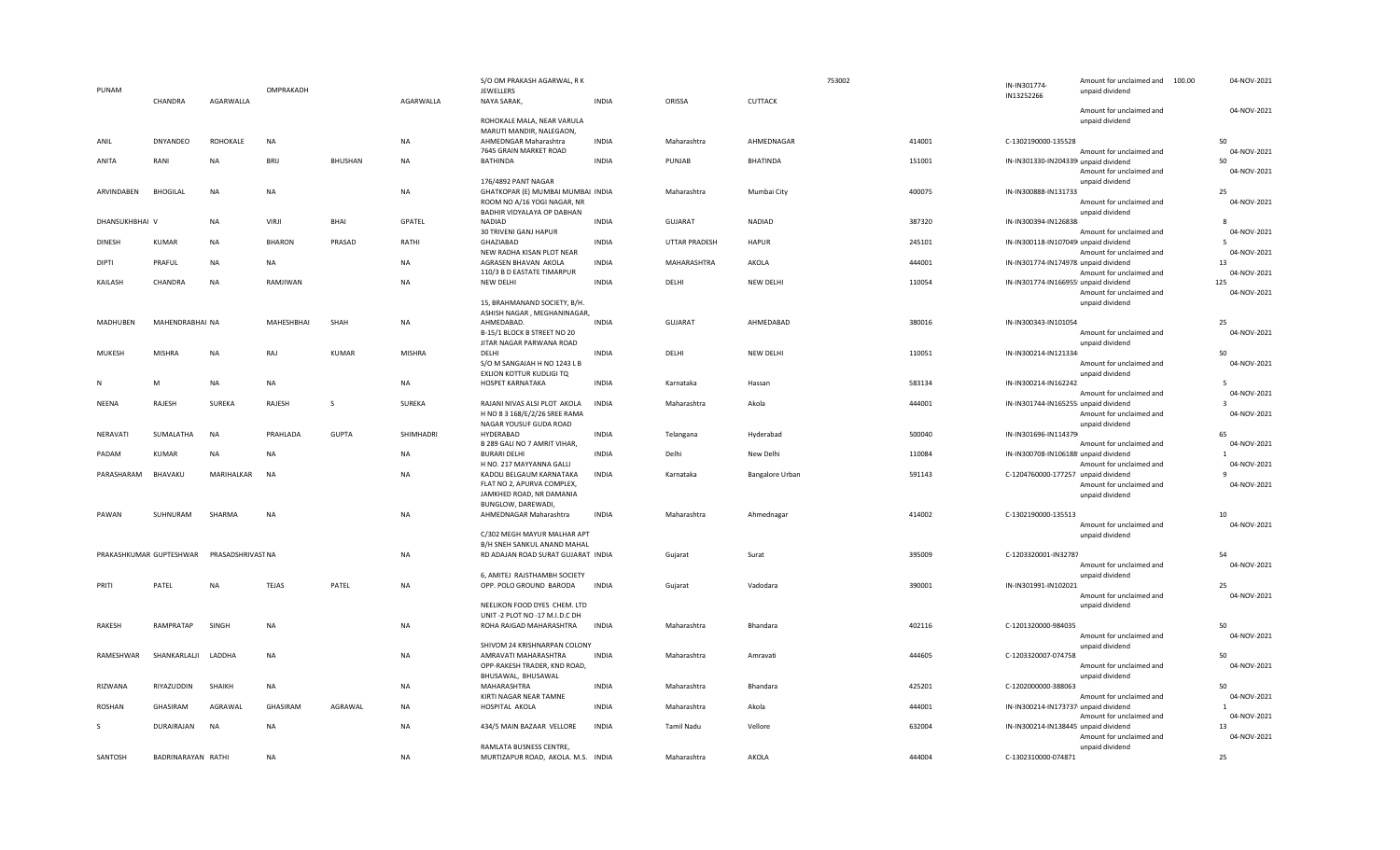|                |                         |                   |                   |                |               | S/O OM PRAKASH AGARWAL, R K                                    |              |               |                  | 753002 | IN-IN301774                           | Amount for unclaimed and 100.00             | 04-NOV-2021             |
|----------------|-------------------------|-------------------|-------------------|----------------|---------------|----------------------------------------------------------------|--------------|---------------|------------------|--------|---------------------------------------|---------------------------------------------|-------------------------|
| PUNAM          |                         |                   | OMPRAKADH         |                |               | JEWELLERS                                                      |              |               |                  |        | IN13252266                            | unpaid dividend                             |                         |
|                | CHANDRA                 | AGARWALLA         |                   |                | AGARWALLA     | NAYA SARAK,                                                    | <b>INDIA</b> | ORISSA        | CUTTACK          |        |                                       |                                             |                         |
|                |                         |                   |                   |                |               | ROHOKALE MALA, NEAR VARULA                                     |              |               |                  |        |                                       | Amount for unclaimed and<br>unpaid dividend | 04-NOV-2021             |
|                |                         |                   |                   |                |               | MARUTI MANDIR, NALEGAON,                                       |              |               |                  |        |                                       |                                             |                         |
| ANIL           | <b>DNYANDEO</b>         | ROHOKALE          | <b>NA</b>         |                | <b>NA</b>     | AHMEDNGAR Maharashtra                                          | <b>INDIA</b> | Maharashtra   | AHMEDNAGAR       | 414001 | C-1302190000-135528                   |                                             | 50                      |
|                |                         |                   |                   |                |               | 7645 GRAIN MARKET ROAD                                         |              |               |                  |        |                                       | Amount for unclaimed and                    | 04-NOV-2021             |
| ANITA          | RANI                    | <b>NA</b>         | BRIJ              | <b>BHUSHAN</b> | NA            | <b>BATHINDA</b>                                                | <b>INDIA</b> | PUNJAB        | <b>BHATINDA</b>  | 151001 | IN-IN301330-IN204339 unpaid dividend  |                                             | 50                      |
|                |                         |                   |                   |                |               | 176/4892 PANT NAGAR                                            |              |               |                  |        |                                       | Amount for unclaimed and<br>unpaid dividend | 04-NOV-2021             |
| ARVINDABEN     | <b>BHOGILAL</b>         | <b>NA</b>         | <b>NA</b>         |                | <b>NA</b>     | GHATKOPAR (E) MUMBAI MUMBAI INDIA                              |              | Maharashtra   | Mumbai City      | 400075 | IN-IN300888-IN131733                  |                                             | 25                      |
|                |                         |                   |                   |                |               | ROOM NO A/16 YOGI NAGAR, NR                                    |              |               |                  |        |                                       | Amount for unclaimed and                    | 04-NOV-2021             |
|                |                         |                   |                   |                |               | BADHIR VIDYALAYA OP DABHAN                                     |              |               |                  |        |                                       | unpaid dividend                             |                         |
| DHANSUKHBHAI V |                         | <b>NA</b>         | VIRJI             | <b>BHAI</b>    | GPATEL        | NADIAD                                                         | <b>INDIA</b> | GUJARAT       | <b>NADIAD</b>    | 387320 | IN-IN300394-IN126838                  |                                             |                         |
| <b>DINESH</b>  | <b>KUMAR</b>            | <b>NA</b>         | <b>BHARON</b>     | PRASAD         | RATHI         | 30 TRIVENI GANJ HAPUR<br>GHAZIABAD                             | <b>INDIA</b> | UTTAR PRADESH | <b>HAPUR</b>     | 245101 | IN-IN300118-IN107049 unpaid dividend  | Amount for unclaimed and                    | 04-NOV-2021<br>-5       |
|                |                         |                   |                   |                |               | NEW RADHA KISAN PLOT NEAR                                      |              |               |                  |        |                                       | Amount for unclaimed and                    | 04-NOV-2021             |
| <b>DIPTI</b>   | PRAFUL                  | <b>NA</b>         | NA                |                | <b>NA</b>     | AGRASEN BHAVAN AKOLA                                           | <b>INDIA</b> | MAHARASHTRA   | AKOLA            | 444001 | IN-IN301774-IN174978 unpaid dividend  |                                             | 13                      |
|                |                         |                   |                   |                |               | 110/3 B D EASTATE TIMARPUR                                     |              |               |                  |        |                                       | Amount for unclaimed and                    | 04-NOV-2021             |
| KAILASH        | CHANDRA                 | NA                | RAMJIWAN          |                | NA            | <b>NEW DELHI</b>                                               | <b>INDIA</b> | DELHI         | <b>NEW DELHI</b> | 110054 | IN-IN301774-IN166955! unpaid dividend |                                             | 125                     |
|                |                         |                   |                   |                |               | 15, BRAHMANAND SOCIETY, B/H.                                   |              |               |                  |        |                                       | Amount for unclaimed and<br>unpaid dividend | 04-NOV-2021             |
|                |                         |                   |                   |                |               | ASHISH NAGAR, MEGHANINAGAR,                                    |              |               |                  |        |                                       |                                             |                         |
| MADHUBEN       | MAHENDRABHAI NA         |                   | <b>MAHESHBHAI</b> | SHAH           | <b>NA</b>     | AHMEDABAD.                                                     | <b>INDIA</b> | GUJARAT       | AHMEDABAD        | 380016 | IN-IN300343-IN101054                  |                                             | 25                      |
|                |                         |                   |                   |                |               | B-15/1 BLOCK B STREET NO 20                                    |              |               |                  |        |                                       | Amount for unclaimed and                    | 04-NOV-2021             |
|                |                         |                   |                   |                |               | JITAR NAGAR PARWANA ROAD                                       |              |               |                  |        |                                       | unpaid dividend                             |                         |
| <b>MUKESH</b>  | <b>MISHRA</b>           | <b>NA</b>         | RAJ               | <b>KUMAR</b>   | <b>MISHRA</b> | DELHI<br>S/O M SANGAIAH H NO 1243 L B                          | <b>INDIA</b> | DELHI         | NEW DELHI        | 110051 | IN-IN300214-IN121334                  | Amount for unclaimed and                    | 50<br>04-NOV-2021       |
|                |                         |                   |                   |                |               | EXLION KOTTUR KUDLIGI TQ                                       |              |               |                  |        |                                       | unpaid dividend                             |                         |
| N              | M                       | <b>NA</b>         | <b>NA</b>         |                | NA            | HOSPET KARNATAKA                                               | <b>INDIA</b> | Karnataka     | Hassan           | 583134 | IN-IN300214-IN162242                  |                                             | -5                      |
|                |                         |                   |                   |                |               |                                                                |              |               |                  |        |                                       | Amount for unclaimed and                    | 04-NOV-2021             |
| NEENA          | RAJESH                  | SUREKA            | RAJESH            | S              | SUREKA        | RAJANI NIVAS ALSI PLOT AKOLA                                   | <b>INDIA</b> | Maharashtra   | Akola            | 444001 | IN-IN301744-IN165255 unpaid dividend  |                                             | $\overline{\mathbf{3}}$ |
|                |                         |                   |                   |                |               | H NO 8 3 168/E/2/26 SREE RAMA<br>NAGAR YOUSUF GUDA ROAD        |              |               |                  |        |                                       | Amount for unclaimed and<br>unpaid dividend | 04-NOV-2021             |
| NERAVATI       | SUMALATHA               | NA                | PRAHLADA          | <b>GUPTA</b>   | SHIMHADRI     | HYDERABAD                                                      | <b>INDIA</b> | Telangana     | Hyderabad        | 500040 | IN-IN301696-IN114379                  |                                             | 65                      |
|                |                         |                   |                   |                |               | B 289 GALI NO 7 AMRIT VIHAR,                                   |              |               |                  |        |                                       | Amount for unclaimed and                    | 04-NOV-2021             |
| PADAM          | <b>KUMAR</b>            | <b>NA</b>         | <b>NA</b>         |                | <b>NA</b>     | <b>BURARI DELHI</b>                                            | <b>INDIA</b> | Delhi         | New Delhi        | 110084 | IN-IN300708-IN106188! unpaid dividend |                                             | $\overline{1}$          |
|                |                         |                   |                   |                |               | H NO. 217 MAYYANNA GALLI                                       |              |               |                  |        |                                       | Amount for unclaimed and                    | 04-NOV-2021             |
| PARASHARAM     | BHAVAKU                 | MARIHALKAR        | <b>NA</b>         |                | <b>NA</b>     | KADOLI BELGAUM KARNATAKA                                       | <b>INDIA</b> | Karnataka     | Bangalore Urban  | 591143 | C-1204760000-177257 unpaid dividend   |                                             | $\mathbf{q}$            |
|                |                         |                   |                   |                |               | FLAT NO 2, APURVA COMPLEX,<br>JAMKHED ROAD, NR DAMANIA         |              |               |                  |        |                                       | Amount for unclaimed and<br>unpaid dividend | 04-NOV-2021             |
|                |                         |                   |                   |                |               | BUNGLOW, DAREWADI,                                             |              |               |                  |        |                                       |                                             |                         |
| PAWAN          | SUHNURAM                | SHARMA            | <b>NA</b>         |                | NA            | AHMEDNAGAR Maharashtra                                         | <b>INDIA</b> | Maharashtra   | Ahmednagar       | 414002 | C-1302190000-135513                   |                                             | 10                      |
|                |                         |                   |                   |                |               |                                                                |              |               |                  |        |                                       | Amount for unclaimed and                    | 04-NOV-2021             |
|                |                         |                   |                   |                |               | C/302 MEGH MAYUR MALHAR APT<br>B/H SNEH SANKUL ANAND MAHAL     |              |               |                  |        |                                       | unpaid dividend                             |                         |
|                | PRAKASHKUMAR GUPTESHWAR | PRASADSHRIVAST NA |                   |                | NA            | RD ADAJAN ROAD SURAT GUJARAT INDIA                             |              | Gujarat       | Surat            | 395009 | C-1203320001-IN32787                  |                                             | 54                      |
|                |                         |                   |                   |                |               |                                                                |              |               |                  |        |                                       | Amount for unclaimed and                    | 04-NOV-2021             |
|                |                         |                   |                   |                |               | 6, AMITEJ RAJSTHAMBH SOCIETY                                   |              |               |                  |        |                                       | unpaid dividend                             |                         |
| PRITI          | PATEL                   | <b>NA</b>         | <b>TEJAS</b>      | PATEL          | NA            | OPP. POLO GROUND BARODA                                        | <b>INDIA</b> | Gujarat       | Vadodara         | 390001 | IN-IN301991-IN102021                  |                                             | 25                      |
|                |                         |                   |                   |                |               |                                                                |              |               |                  |        |                                       | Amount for unclaimed and                    | 04-NOV-2021             |
|                |                         |                   |                   |                |               | NEELIKON FOOD DYES CHEM. LTD<br>UNIT -2 PLOT NO -17 M.I.D.C DH |              |               |                  |        |                                       | unpaid dividend                             |                         |
| RAKESH         | RAMPRATAP               | SINGH             | <b>NA</b>         |                | NA            | ROHA RAIGAD MAHARASHTRA                                        | <b>INDIA</b> | Maharashtra   | Bhandara         | 402116 | C-1201320000-984035                   |                                             | 50                      |
|                |                         |                   |                   |                |               |                                                                |              |               |                  |        |                                       | Amount for unclaimed and                    | 04-NOV-2021             |
|                |                         |                   |                   |                |               | SHIVOM 24 KRISHNARPAN COLONY                                   |              |               |                  |        |                                       | unpaid dividend                             |                         |
| RAMESHWAR      | SHANKARLALJI            | LADDHA            | NA                |                | NA            | AMRAVATI MAHARASHTRA                                           | <b>INDIA</b> | Maharashtra   | Amravati         | 444605 | C-1203320007-074758                   |                                             | 50<br>04-NOV-2021       |
|                |                         |                   |                   |                |               | OPP-RAKESH TRADER, KND ROAD,<br>BHUSAWAL, BHUSAWAL             |              |               |                  |        |                                       | Amount for unclaimed and<br>unpaid dividend |                         |
| RIZWANA        | RIYAZUDDIN              | SHAIKH            | <b>NA</b>         |                | <b>NA</b>     | MAHARASHTRA                                                    | <b>INDIA</b> | Maharashtra   | Bhandara         | 425201 | C-1202000000-388063                   |                                             | 50                      |
|                |                         |                   |                   |                |               | KIRTI NAGAR NEAR TAMNE                                         |              |               |                  |        |                                       | Amount for unclaimed and                    | 04-NOV-2021             |
| ROSHAN         | GHASIRAM                | AGRAWAL           | GHASIRAM          | AGRAWAL        | NA            | HOSPITAL AKOLA                                                 | <b>INDIA</b> | Maharashtra   | Akola            | 444001 | IN-IN300214-IN173737 unpaid dividend  |                                             | $\mathbf{1}$            |
|                |                         |                   |                   |                |               |                                                                |              |               |                  |        |                                       | Amount for unclaimed and                    | 04-NOV-2021             |
| S              | DURAIRAJAN              | NA                | <b>NA</b>         |                | NA            | 434/5 MAIN BAZAAR VELLORE                                      | <b>INDIA</b> | Tamil Nadu    | Vellore          | 632004 | IN-IN300214-IN138445 unpaid dividend  | Amount for unclaimed and                    | 13<br>04-NOV-2021       |
|                |                         |                   |                   |                |               | RAMLATA BUSNESS CENTRE.                                        |              |               |                  |        |                                       | unpaid dividend                             |                         |
| SANTOSH        | BADRINARAYAN RATHI      |                   | <b>NA</b>         |                | <b>NA</b>     | MURTIZAPUR ROAD, AKOLA. M.S. INDIA                             |              | Maharashtra   | AKOLA            | 444004 | C-1302310000-074871                   |                                             | 25                      |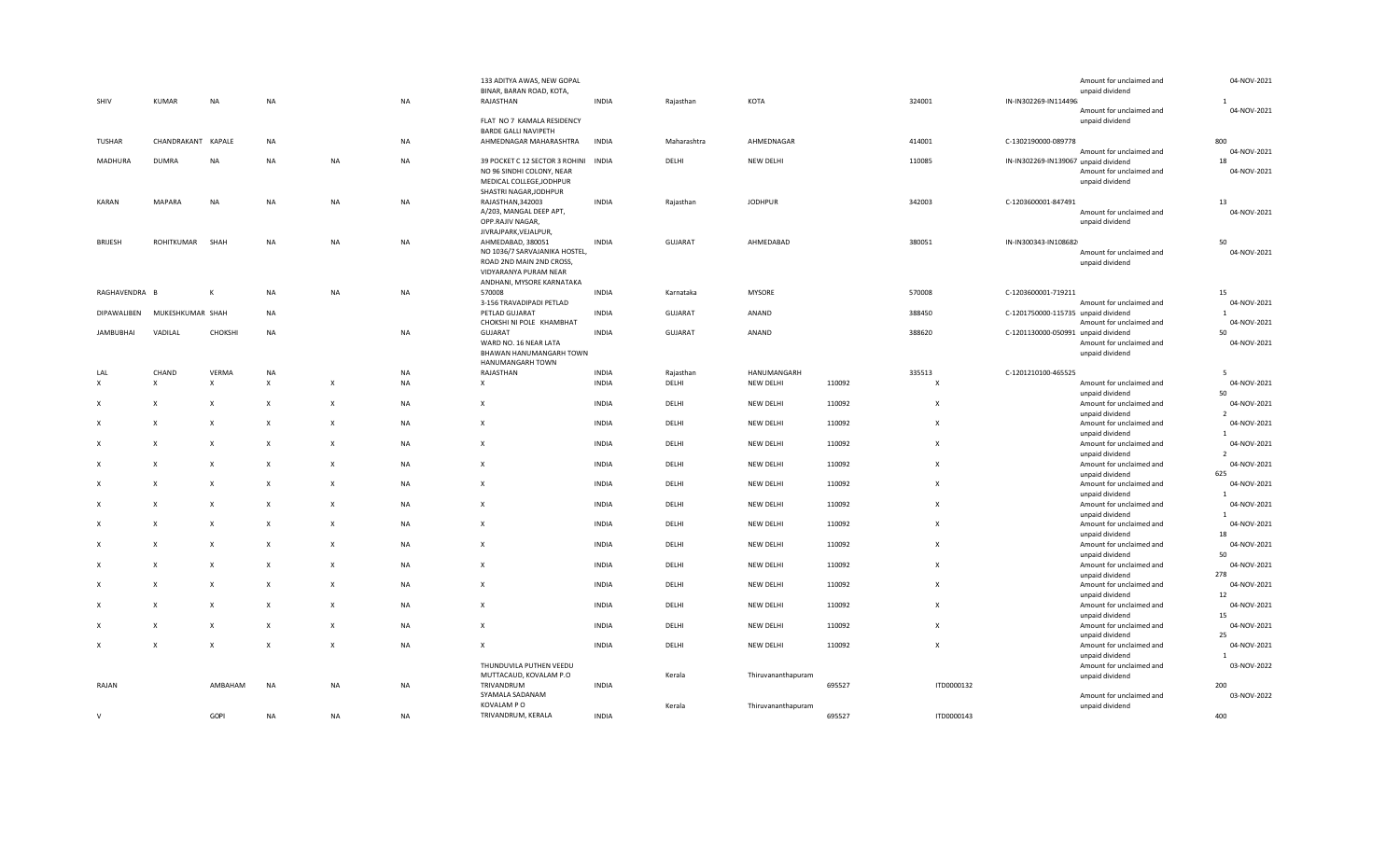| SHIV                      | <b>KUMAR</b>              | <b>NA</b>                 | NA                        |                           | NA        | 133 ADITYA AWAS, NEW GOPAL<br>BINAR, BARAN ROAD, KOTA,<br>RAJASTHAN                                             | <b>INDIA</b> | Rajasthan      | KOTA               |        | 324001                    | Amount for unclaimed and<br>unpaid dividend<br>IN-IN302269-IN114496 | 04-NOV-2021<br>$\mathbf{1}$ |
|---------------------------|---------------------------|---------------------------|---------------------------|---------------------------|-----------|-----------------------------------------------------------------------------------------------------------------|--------------|----------------|--------------------|--------|---------------------------|---------------------------------------------------------------------|-----------------------------|
|                           |                           |                           |                           |                           |           | FLAT NO 7 KAMALA RESIDENCY                                                                                      |              |                |                    |        |                           | Amount for unclaimed and<br>unpaid dividend                         | 04-NOV-2021                 |
| TUSHAR                    | CHANDRAKANT KAPALE        |                           | NA                        |                           | NA        | <b>BARDE GALLI NAVIPETH</b><br>AHMEDNAGAR MAHARASHTRA                                                           | <b>INDIA</b> | Maharashtra    | AHMEDNAGAR         |        | 414001                    | C-1302190000-089778                                                 | 800                         |
|                           |                           |                           |                           |                           |           |                                                                                                                 |              |                |                    |        |                           | Amount for unclaimed and                                            | 04-NOV-2021                 |
| MADHURA                   | <b>DUMRA</b>              | <b>NA</b>                 | NA                        | <b>NA</b>                 | NA        | 39 POCKET C 12 SECTOR 3 ROHINI INDIA                                                                            |              | DELHI          | NEW DELHI          |        | 110085                    | IN-IN302269-IN139067 unpaid dividend                                | 18                          |
|                           |                           |                           |                           |                           |           | NO 96 SINDHI COLONY, NEAR<br>MEDICAL COLLEGE, JODHPUR<br>SHASTRI NAGAR, JODHPUR                                 |              |                |                    |        |                           | Amount for unclaimed and<br>unpaid dividend                         | 04-NOV-2021                 |
| KARAN                     | <b>MAPARA</b>             | <b>NA</b>                 | NA                        | <b>NA</b>                 | NA        | RAJASTHAN, 342003                                                                                               | <b>INDIA</b> | Rajasthan      | <b>JODHPUR</b>     |        | 342003                    | C-1203600001-847491                                                 | 13                          |
|                           |                           |                           |                           |                           |           | A/203, MANGAL DEEP APT,<br>OPP.RAJIV NAGAR,<br>JIVRAJPARK, VEJALPUR,                                            |              |                |                    |        |                           | Amount for unclaimed and<br>unpaid dividend                         | 04-NOV-2021                 |
| <b>BRIJESH</b>            | ROHITKUMAR                | SHAH                      | NA                        | <b>NA</b>                 | NA        | AHMEDABAD, 380051                                                                                               | <b>INDIA</b> | GUJARAT        | AHMEDABAD          |        | 380051                    | IN-IN300343-IN108682                                                | 50                          |
|                           |                           |                           |                           |                           |           | NO 1036/7 SARVAJANIKA HOSTEL,<br>ROAD 2ND MAIN 2ND CROSS,<br>VIDYARANYA PURAM NEAR<br>ANDHANI, MYSORE KARNATAKA |              |                |                    |        |                           | Amount for unclaimed and<br>unpaid dividend                         | 04-NOV-2021                 |
| RAGHAVENDRA B             |                           |                           | NA                        | <b>NA</b>                 | NA        | 570008                                                                                                          | <b>INDIA</b> | Karnataka      | <b>MYSORE</b>      |        | 570008                    | C-1203600001-719211                                                 | 15                          |
|                           |                           |                           |                           |                           |           | 3-156 TRAVADIPADI PETLAD                                                                                        |              |                |                    |        |                           | Amount for unclaimed and                                            | 04-NOV-2021                 |
| DIPAWALIBEN               | MUKESHKUMAR SHAH          |                           | <b>NA</b>                 |                           |           | PETLAD GUJARAT                                                                                                  | <b>INDIA</b> | <b>GUJARAT</b> | ANAND              |        | 388450                    | C-1201750000-115735 unpaid dividend                                 | $\mathbf{1}$                |
| <b>JAMBUBHAI</b>          | VADILAL                   | CHOKSHI                   | <b>NA</b>                 |                           | NA        | CHOKSHI NI POLE KHAMBHAT<br>GUJARAT                                                                             | <b>INDIA</b> | GUJARAT        | ANAND              |        | 388620                    | Amount for unclaimed and                                            | 04-NOV-2021<br>50           |
|                           |                           |                           |                           |                           |           | WARD NO. 16 NEAR LATA                                                                                           |              |                |                    |        |                           | C-1201130000-050991 unpaid dividend<br>Amount for unclaimed and     | 04-NOV-2021                 |
|                           |                           |                           |                           |                           |           | BHAWAN HANUMANGARH TOWN<br>HANUMANGARH TOWN                                                                     |              |                |                    |        |                           | unpaid dividend                                                     |                             |
| LAL                       | CHAND                     | VERMA                     | <b>NA</b>                 |                           | <b>NA</b> | RAJASTHAN                                                                                                       | <b>INDIA</b> | Rajasthan      | HANUMANGARH        |        | 335513                    | C-1201210100-465525                                                 | 5                           |
| $\boldsymbol{\mathsf{x}}$ | X                         | X                         | $\boldsymbol{\mathsf{x}}$ | X                         | NA        | $\boldsymbol{\mathsf{x}}$                                                                                       | <b>INDIA</b> | DELHI          | NEW DELHI          | 110092 | $\boldsymbol{\mathsf{x}}$ | Amount for unclaimed and                                            | 04-NOV-2021                 |
|                           |                           |                           |                           |                           |           |                                                                                                                 |              |                |                    |        |                           | unpaid dividend                                                     | 50                          |
| $\boldsymbol{\mathsf{x}}$ | $\boldsymbol{\mathsf{x}}$ | X                         | $\boldsymbol{\mathsf{x}}$ | $\boldsymbol{\mathsf{x}}$ | NA        | $\mathsf{x}$                                                                                                    | <b>INDIA</b> | DELHI          | NEW DELHI          | 110092 | $\boldsymbol{\mathsf{x}}$ | Amount for unclaimed and                                            | 04-NOV-2021                 |
|                           |                           |                           |                           |                           |           |                                                                                                                 |              |                |                    |        |                           | unpaid dividend                                                     | $\overline{2}$              |
| х                         | X                         | $\times$                  | X                         | х                         | NA        | $\boldsymbol{\mathsf{x}}$                                                                                       | <b>INDIA</b> | DELHI          | NEW DELHI          | 110092 | Х                         | Amount for unclaimed and                                            | 04-NOV-2021                 |
|                           |                           |                           |                           |                           |           |                                                                                                                 |              |                |                    |        |                           | unpaid dividend                                                     | $\mathbf{1}$                |
| X                         | X                         | $\mathsf{x}$              | $\mathsf{x}$              | X                         | NA        | $\mathsf{x}$                                                                                                    | <b>INDIA</b> | DELHI          | NEW DELHI          | 110092 | $\boldsymbol{\mathsf{x}}$ | Amount for unclaimed and                                            | 04-NOV-2021                 |
|                           |                           |                           |                           |                           |           |                                                                                                                 |              |                |                    |        |                           | unpaid dividend                                                     | $\overline{\phantom{a}}$    |
| $\boldsymbol{\mathsf{x}}$ | $\boldsymbol{\mathsf{x}}$ | $\boldsymbol{\mathsf{x}}$ | $\mathsf{x}$              | $\boldsymbol{\mathsf{x}}$ | NA        | $\mathsf{x}$                                                                                                    | <b>INDIA</b> | DELHI          | NEW DELHI          | 110092 | $\boldsymbol{\mathsf{x}}$ | Amount for unclaimed and                                            | 04-NOV-2021                 |
|                           |                           |                           |                           |                           |           |                                                                                                                 |              |                |                    |        |                           | unpaid dividend                                                     | 625                         |
| х                         | X                         | $\times$                  | $\boldsymbol{\mathsf{x}}$ | X                         | NA        | $\boldsymbol{\mathsf{x}}$                                                                                       | <b>INDIA</b> | DELHI          | NEW DELHI          | 110092 | Х                         | Amount for unclaimed and                                            | 04-NOV-2021                 |
|                           |                           |                           |                           |                           |           |                                                                                                                 |              |                |                    |        |                           | unpaid dividend                                                     | $\overline{1}$              |
| X                         | $\times$                  | $\mathsf{x}$              | X                         | $\boldsymbol{\mathsf{x}}$ | NA        | $\mathsf{x}$                                                                                                    | <b>INDIA</b> | DELHI          | NEW DELHI          | 110092 | $\boldsymbol{\mathsf{x}}$ | Amount for unclaimed and                                            | 04-NOV-2021                 |
| $\boldsymbol{\mathsf{x}}$ | $\boldsymbol{\mathsf{x}}$ |                           |                           | $\boldsymbol{\mathsf{x}}$ |           | $\mathbf{x}$                                                                                                    |              |                | NEW DELHI          |        | $\boldsymbol{\mathsf{x}}$ | unpaid dividend                                                     | $\mathbf{1}$                |
|                           |                           | $\boldsymbol{\mathsf{x}}$ | $\mathsf{x}$              |                           | NA        |                                                                                                                 | <b>INDIA</b> | DELHI          |                    | 110092 |                           | Amount for unclaimed and                                            | 04-NOV-2021                 |
| х                         | $\pmb{\chi}$              | $\times$                  | $\boldsymbol{\mathsf{x}}$ | X                         | NA        | $\boldsymbol{\mathsf{x}}$                                                                                       | <b>INDIA</b> | DELHI          | NEW DELHI          | 110092 | X                         | unpaid dividend                                                     | 18<br>04-NOV-2021           |
|                           |                           |                           |                           |                           |           |                                                                                                                 |              |                |                    |        |                           | Amount for unclaimed and<br>unpaid dividend                         | 50                          |
| X                         | $\times$                  | $\mathsf{x}$              | X                         | X                         | NA        | $\mathsf{x}$                                                                                                    | <b>INDIA</b> | DELHI          | NEW DELHI          | 110092 | X                         | Amount for unclaimed and                                            | 04-NOV-2021                 |
|                           |                           |                           |                           |                           |           |                                                                                                                 |              |                |                    |        |                           | unpaid dividend                                                     | 278                         |
| $\boldsymbol{\mathsf{x}}$ | $\boldsymbol{\mathsf{x}}$ | $\mathsf{x}$              | $\boldsymbol{\mathsf{x}}$ | X                         | NA        | $\mathsf{x}$                                                                                                    | <b>INDIA</b> | DELHI          | NEW DELHI          | 110092 | X                         | Amount for unclaimed and                                            | 04-NOV-2021                 |
|                           |                           |                           |                           |                           |           |                                                                                                                 |              |                |                    |        |                           | unpaid dividend                                                     | 12                          |
| X                         | $\pmb{\chi}$              | X                         | $\boldsymbol{\mathsf{x}}$ | X                         | NA        | X                                                                                                               | <b>INDIA</b> | DELHI          | NEW DELHI          | 110092 | Х                         | Amount for unclaimed and                                            | 04-NOV-2021                 |
|                           |                           |                           |                           |                           |           |                                                                                                                 |              |                |                    |        |                           | unpaid dividend                                                     | 15                          |
| X                         | $\times$                  | $\mathsf{x}$              | $\mathsf{x}$              | X                         | NA        | X                                                                                                               | <b>INDIA</b> | DELHI          | NEW DELHI          | 110092 | $\boldsymbol{\mathsf{x}}$ | Amount for unclaimed and                                            | 04-NOV-2021                 |
|                           |                           |                           |                           |                           |           |                                                                                                                 |              |                |                    |        |                           | unpaid dividend                                                     | 25                          |
| $\boldsymbol{\mathsf{x}}$ | $\boldsymbol{\mathsf{x}}$ | $\boldsymbol{\mathsf{x}}$ | $\boldsymbol{\mathsf{x}}$ | $\boldsymbol{\mathsf{x}}$ | NA        | $\boldsymbol{\mathsf{x}}$                                                                                       | <b>INDIA</b> | DELHI          | NEW DELHI          | 110092 | X                         | Amount for unclaimed and                                            | 04-NOV-2021                 |
|                           |                           |                           |                           |                           |           |                                                                                                                 |              |                |                    |        |                           | unpaid dividend                                                     | $\mathbf{1}$                |
|                           |                           |                           |                           |                           |           | THUNDUVILA PUTHEN VEEDU                                                                                         |              |                |                    |        |                           | Amount for unclaimed and                                            | 03-NOV-2022                 |
|                           |                           |                           |                           |                           |           | MUTTACAUD, KOVALAM P.O                                                                                          |              | Kerala         | Thiruvananthapuram |        |                           | unpaid dividend                                                     |                             |
| RAJAN                     |                           | AMBAHAM                   | <b>NA</b>                 | <b>NA</b>                 | NA        | TRIVANDRUM                                                                                                      | <b>INDIA</b> |                |                    | 695527 | ITD0000132                |                                                                     | 200                         |
|                           |                           |                           |                           |                           |           | SYAMALA SADANAM                                                                                                 |              |                |                    |        |                           | Amount for unclaimed and                                            | 03-NOV-2022                 |
|                           |                           |                           |                           |                           |           | KOVALAM PO                                                                                                      |              | Kerala         | Thiruvananthapuram |        |                           | unpaid dividend                                                     |                             |
| $\mathsf{V}$              |                           | GOPI                      | <b>NA</b>                 | <b>NA</b>                 | <b>NA</b> | TRIVANDRUM, KERALA                                                                                              | <b>INDIA</b> |                |                    | 695527 | ITD0000143                |                                                                     | 400                         |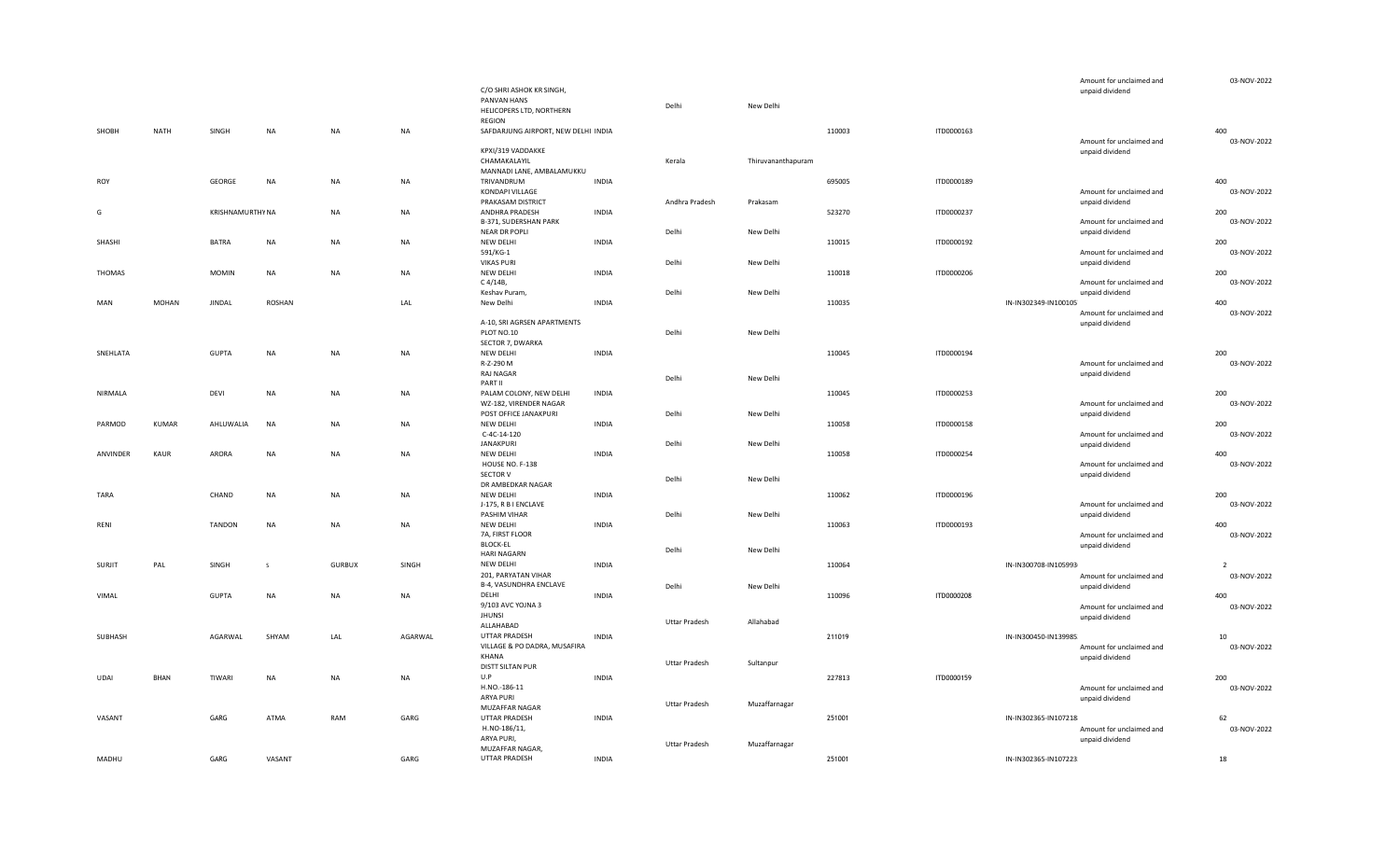|               |              |               |                  |               |           |                                         |              |                      |                    |        |            | Amount for unclaimed and                    | 03-NOV-2022        |
|---------------|--------------|---------------|------------------|---------------|-----------|-----------------------------------------|--------------|----------------------|--------------------|--------|------------|---------------------------------------------|--------------------|
|               |              |               |                  |               |           | C/O SHRI ASHOK KR SINGH,<br>PANVAN HANS |              |                      |                    |        |            | unpaid dividend                             |                    |
|               |              |               |                  |               |           | HELICOPERS LTD, NORTHERN                |              | Delhi                | New Delhi          |        |            |                                             |                    |
|               |              |               |                  |               |           | REGION                                  |              |                      |                    |        |            |                                             |                    |
| SHOBH         | NATH         | SINGH         | <b>NA</b>        | NA            | NA        | SAFDARJUNG AIRPORT, NEW DELHI INDIA     |              |                      |                    | 110003 | ITD0000163 |                                             | 400                |
|               |              |               |                  |               |           |                                         |              |                      |                    |        |            | Amount for unclaimed and                    | 03-NOV-2022        |
|               |              |               |                  |               |           | KPXI/319 VADDAKKE<br>CHAMAKALAYIL       |              |                      |                    |        |            | unpaid dividend                             |                    |
|               |              |               |                  |               |           | MANNADI LANE, AMBALAMUKKU               |              | Kerala               | Thiruvananthapuram |        |            |                                             |                    |
| <b>ROY</b>    |              | GEORGE        | NA               | NA.           | NA        | TRIVANDRUM                              | <b>INDIA</b> |                      |                    | 695005 | ITD0000189 |                                             | 400                |
|               |              |               |                  |               |           | KONDAPI VILLAGE                         |              |                      |                    |        |            | Amount for unclaimed and                    | 03-NOV-2022        |
|               |              |               |                  |               |           | PRAKASAM DISTRICT                       |              | Andhra Pradesh       | Prakasam           |        |            | unpaid dividend                             |                    |
| G             |              |               | KRISHNAMURTHY NA | NA.           | NA        | ANDHRA PRADESH                          | <b>INDIA</b> |                      |                    | 523270 | ITD0000237 |                                             | 200                |
|               |              |               |                  |               |           | B-371, SUDERSHAN PARK                   |              |                      |                    |        |            | Amount for unclaimed and                    | 03-NOV-2022        |
|               |              |               |                  |               |           | <b>NEAR DR POPLI</b>                    |              | Delhi                | New Delhi          |        |            | unpaid dividend                             |                    |
| SHASHI        |              | <b>BATRA</b>  | <b>NA</b>        | NA            | NA        | NEW DELHI                               | <b>INDIA</b> |                      |                    | 110015 | ITD0000192 |                                             | 200                |
|               |              |               |                  |               |           | 591/KG-1<br><b>VIKAS PURI</b>           |              | Delhi                |                    |        |            | Amount for unclaimed and                    | 03-NOV-2022        |
| <b>THOMAS</b> |              | <b>MOMIN</b>  | <b>NA</b>        | <b>NA</b>     | <b>NA</b> | <b>NEW DELHI</b>                        | <b>INDIA</b> |                      | New Delhi          | 110018 | ITD0000206 | unpaid dividend                             | 200                |
|               |              |               |                  |               |           | C 4/14B,                                |              |                      |                    |        |            | Amount for unclaimed and                    | 03-NOV-2022        |
|               |              |               |                  |               |           | Keshav Puram,                           |              | Delhi                | New Delhi          |        |            | unpaid dividend                             |                    |
| MAN           | MOHAN        | <b>JINDAL</b> | <b>ROSHAN</b>    |               | LAL       | New Delhi                               | <b>INDIA</b> |                      |                    | 110035 |            | IN-IN302349-IN100105                        | 400                |
|               |              |               |                  |               |           |                                         |              |                      |                    |        |            | Amount for unclaimed and                    | 03-NOV-2022        |
|               |              |               |                  |               |           | A-10, SRI AGRSEN APARTMENTS             |              |                      |                    |        |            | unpaid dividend                             |                    |
|               |              |               |                  |               |           | PLOT NO.10                              |              | Delhi                | New Delhi          |        |            |                                             |                    |
|               |              |               |                  |               |           | SECTOR 7, DWARKA                        |              |                      |                    |        |            |                                             |                    |
| SNEHLATA      |              | <b>GUPTA</b>  | NA               | NA            | NA        | <b>NEW DELHI</b>                        | <b>INDIA</b> |                      |                    | 110045 | ITD0000194 |                                             | 200<br>03-NOV-2022 |
|               |              |               |                  |               |           | R-Z-290 M<br>RAJ NAGAR                  |              |                      |                    |        |            | Amount for unclaimed and<br>unpaid dividend |                    |
|               |              |               |                  |               |           | PART II                                 |              | Delhi                | New Delhi          |        |            |                                             |                    |
| NIRMALA       |              | DEVI          | NA               | NA            | NA        | PALAM COLONY, NEW DELHI                 | INDIA        |                      |                    | 110045 | ITD0000253 |                                             | 200                |
|               |              |               |                  |               |           | WZ-182, VIRENDER NAGAR                  |              |                      |                    |        |            | Amount for unclaimed and                    | 03-NOV-2022        |
|               |              |               |                  |               |           | POST OFFICE JANAKPURI                   |              | Delhi                | New Delhi          |        |            | unpaid dividend                             |                    |
| PARMOD        | <b>KUMAR</b> | AHLUWALIA     | <b>NA</b>        | <b>NA</b>     | NA        | NEW DELHI                               | <b>INDIA</b> |                      |                    | 110058 | ITD0000158 |                                             | 200                |
|               |              |               |                  |               |           | $C-4C-14-120$                           |              |                      |                    |        |            | Amount for unclaimed and                    | 03-NOV-2022        |
|               |              |               |                  |               |           | <b>JANAKPURI</b>                        |              | Delhi                | New Delhi          |        |            | unpaid dividend                             |                    |
| ANVINDER      | KAUR         | <b>ARORA</b>  | NA               | ΝA            | NA        | NEW DELHI                               | <b>INDIA</b> |                      |                    | 110058 | ITD0000254 |                                             | 400<br>03-NOV-2022 |
|               |              |               |                  |               |           | HOUSE NO. F-138<br>SECTOR V             |              |                      |                    |        |            | Amount for unclaimed and<br>unpaid dividend |                    |
|               |              |               |                  |               |           | DR AMBEDKAR NAGAR                       |              | Delhi                | New Delhi          |        |            |                                             |                    |
| TARA          |              | CHAND         | <b>NA</b>        | NA.           | NA        | NEW DELHI                               | <b>INDIA</b> |                      |                    | 110062 | ITD0000196 |                                             | 200                |
|               |              |               |                  |               |           | J-175, R B I ENCLAVE                    |              |                      |                    |        |            | Amount for unclaimed and                    | 03-NOV-2022        |
|               |              |               |                  |               |           | PASHIM VIHAR                            |              | Delhi                | New Delhi          |        |            | unpaid dividend                             |                    |
| RENI          |              | <b>TANDON</b> | <b>NA</b>        | <b>NA</b>     | NA        | NEW DELHI                               | <b>INDIA</b> |                      |                    | 110063 | ITD0000193 |                                             | 400                |
|               |              |               |                  |               |           | 7A, FIRST FLOOR                         |              |                      |                    |        |            | Amount for unclaimed and                    | 03-NOV-2022        |
|               |              |               |                  |               |           | <b>BLOCK-EL</b><br><b>HARI NAGARN</b>   |              | Delhi                | New Delhi          |        |            | unpaid dividend                             |                    |
| <b>SURJIT</b> | PAL          | SINGH         | -S               | <b>GURBUX</b> | SINGH     | NEW DELHI                               | <b>INDIA</b> |                      |                    | 110064 |            | IN-IN300708-IN105993                        | $\overline{2}$     |
|               |              |               |                  |               |           | 201, PARYATAN VIHAR                     |              |                      |                    |        |            | Amount for unclaimed and                    | 03-NOV-2022        |
|               |              |               |                  |               |           | B-4, VASUNDHRA ENCLAVE                  |              | Delhi                | New Delhi          |        |            | unpaid dividend                             |                    |
| VIMAL         |              | <b>GUPTA</b>  | NA               | <b>NA</b>     | NA        | DELHI                                   | <b>INDIA</b> |                      |                    | 110096 | ITD0000208 |                                             | 400                |
|               |              |               |                  |               |           | 9/103 AVC YOJNA 3                       |              |                      |                    |        |            | Amount for unclaimed and                    | 03-NOV-2022        |
|               |              |               |                  |               |           | <b>JHUNSI</b>                           |              | <b>Uttar Pradesh</b> | Allahabad          |        |            | unpaid dividend                             |                    |
|               |              |               |                  |               |           | ALLAHABAD                               |              |                      |                    |        |            |                                             |                    |
| SUBHASH       |              | AGARWAL       | SHYAM            | LAL           | AGARWAL   | UTTAR PRADESH                           | <b>INDIA</b> |                      |                    | 211019 |            | IN-IN300450-IN139985                        | 10                 |
|               |              |               |                  |               |           | VILLAGE & PO DADRA, MUSAFIRA<br>KHANA   |              |                      |                    |        |            | Amount for unclaimed and                    | 03-NOV-2022        |
|               |              |               |                  |               |           | DISTT SILTAN PUR                        |              | <b>Uttar Pradesh</b> | Sultanpur          |        |            | unpaid dividend                             |                    |
| UDAI          | BHAN         | TIWARI        | <b>NA</b>        | <b>NA</b>     | <b>NA</b> | U.P                                     | <b>INDIA</b> |                      |                    | 227813 | ITD0000159 |                                             | 200                |
|               |              |               |                  |               |           | H.NO.-186-11                            |              |                      |                    |        |            | Amount for unclaimed and                    | 03-NOV-2022        |
|               |              |               |                  |               |           | ARYA PURI                               |              |                      |                    |        |            | unpaid dividend                             |                    |
|               |              |               |                  |               |           | MUZAFFAR NAGAR                          |              | <b>Uttar Pradesh</b> | Muzaffarnagar      |        |            |                                             |                    |
| VASANT        |              | GARG          | ATMA             | RAM           | GARG      | UTTAR PRADESH                           | <b>INDIA</b> |                      |                    | 251001 |            | IN-IN302365-IN107218                        | 62                 |
|               |              |               |                  |               |           | H.NO-186/11,                            |              |                      |                    |        |            | Amount for unclaimed and                    | 03-NOV-2022        |
|               |              |               |                  |               |           | ARYA PURI,                              |              | <b>Uttar Pradesh</b> | Muzaffarnagar      |        |            | unpaid dividend                             |                    |
|               |              | GARG          | VASANT           |               | GARG      | MUZAFFAR NAGAR,<br>UTTAR PRADESH        |              |                      |                    | 251001 |            |                                             |                    |
| MADHU         |              |               |                  |               |           |                                         | <b>INDIA</b> |                      |                    |        |            | IN-IN302365-IN107223                        | 18                 |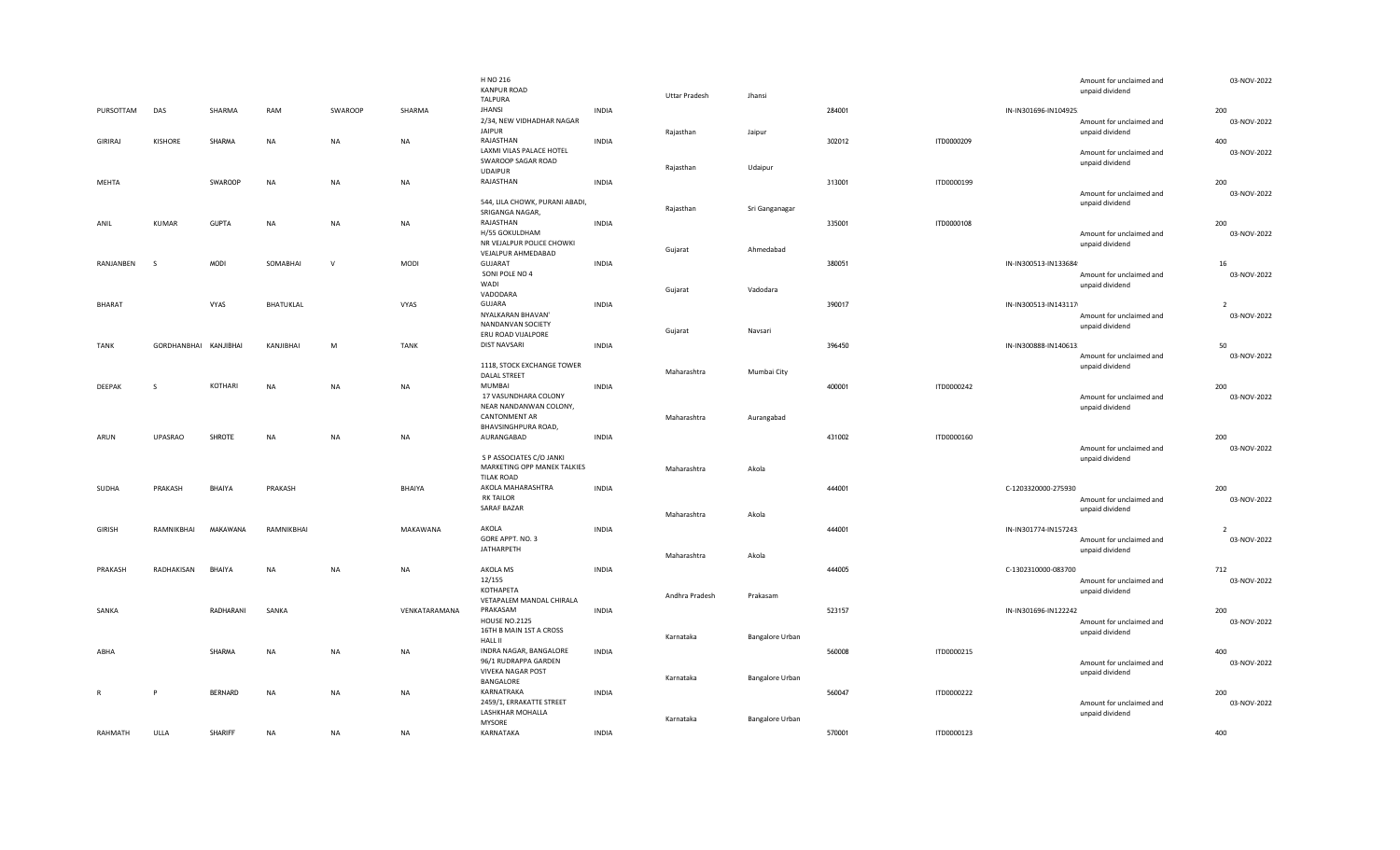|                |                       |                |            |              |               | H NO 216<br><b>KANPUR ROAD</b><br><b>TALPURA</b>  |              | <b>Uttar Pradesh</b> | Jhansi          |        |            |                       | Amount for unclaimed and<br>unpaid dividend | 03-NOV-2022        |
|----------------|-----------------------|----------------|------------|--------------|---------------|---------------------------------------------------|--------------|----------------------|-----------------|--------|------------|-----------------------|---------------------------------------------|--------------------|
| PURSOTTAM      | DAS                   | SHARMA         | RAM        | SWAROOP      | SHARMA        | <b>JHANSI</b>                                     | <b>INDIA</b> |                      |                 | 284001 |            | IN-IN301696-IN104925  |                                             | 200                |
|                |                       |                |            |              |               | 2/34, NEW VIDHADHAR NAGAR<br><b>JAIPUR</b>        |              | Rajasthan            | Jaipur          |        |            |                       | Amount for unclaimed and<br>unpaid dividend | 03-NOV-2022        |
| <b>GIRIRAJ</b> | KISHORE               | SHARMA         | <b>NA</b>  | NA           | <b>NA</b>     | RAJASTHAN                                         | <b>INDIA</b> |                      |                 | 302012 | ITD0000209 |                       |                                             | 400                |
|                |                       |                |            |              |               | LAXMI VILAS PALACE HOTEL<br>SWAROOP SAGAR ROAD    |              | Rajasthan            | Udaipur         |        |            |                       | Amount for unclaimed and<br>unpaid dividend | 03-NOV-2022        |
|                |                       |                |            |              |               | <b>UDAIPUR</b><br>RAJASTHAN                       |              |                      |                 |        |            |                       |                                             |                    |
| <b>MEHTA</b>   |                       | SWAROOP        | <b>NA</b>  | NA           | NA            |                                                   | <b>INDIA</b> |                      |                 | 313001 | ITD0000199 |                       |                                             | 200                |
|                |                       |                |            |              |               | 544, LILA CHOWK, PURANI ABADI,<br>SRIGANGA NAGAR, |              | Rajasthan            | Sri Ganganagar  |        |            |                       | Amount for unclaimed and<br>unpaid dividend | 03-NOV-2022        |
| ANIL           | KUMAR                 | <b>GUPTA</b>   | <b>NA</b>  | NA           | NA            | RAJASTHAN                                         | <b>INDIA</b> |                      |                 | 335001 | ITD0000108 |                       |                                             | 200                |
|                |                       |                |            |              |               | H/55 GOKULDHAM<br>NR VEJALPUR POLICE CHOWKI       |              | Gujarat              | Ahmedabad       |        |            |                       | Amount for unclaimed and<br>unpaid dividend | 03-NOV-2022        |
|                |                       |                |            | $\mathsf{v}$ |               | VEJALPUR AHMEDABAD                                |              |                      |                 |        |            |                       |                                             |                    |
| RANJANBEN      | - S                   | MODI           | SOMABHAI   |              | MODI          | <b>GUJARAT</b>                                    | <b>INDIA</b> |                      |                 | 380051 |            | IN-IN300513-IN133684  |                                             | 16                 |
|                |                       |                |            |              |               | SONI POLE NO 4<br>WADI                            |              |                      |                 |        |            |                       | Amount for unclaimed and                    | 03-NOV-2022        |
|                |                       |                |            |              |               | VADODARA                                          |              | Gujarat              | Vadodara        |        |            |                       | unpaid dividend                             |                    |
| <b>BHARAT</b>  |                       | VYAS           | BHATUKLAL  |              | VYAS          | GUJARA                                            | <b>INDIA</b> |                      |                 | 390017 |            | IN-IN300513-IN143117  |                                             | $\overline{2}$     |
|                |                       |                |            |              |               | NYALKARAN BHAVAN'                                 |              |                      |                 |        |            |                       | Amount for unclaimed and                    | 03-NOV-2022        |
|                |                       |                |            |              |               | NANDANVAN SOCIETY                                 |              |                      |                 |        |            |                       | unpaid dividend                             |                    |
|                |                       |                |            |              |               | ERU ROAD VIJALPORE                                |              | Gujarat              | Navsari         |        |            |                       |                                             |                    |
| TANK           | GORDHANBHAI KANJIBHAI |                | KANJIBHAI  | M            | <b>TANK</b>   | <b>DIST NAVSARI</b>                               | <b>INDIA</b> |                      |                 | 396450 |            | IN-IN300888-IN140613  |                                             | 50                 |
|                |                       |                |            |              |               |                                                   |              |                      |                 |        |            |                       | Amount for unclaimed and                    | 03-NOV-2022        |
|                |                       |                |            |              |               | 1118, STOCK EXCHANGE TOWER                        |              |                      |                 |        |            |                       | unpaid dividend                             |                    |
|                |                       |                |            |              |               | <b>DALAL STREET</b>                               |              | Maharashtra          | Mumbai City     |        |            |                       |                                             |                    |
| DEEPAK         | <sub>S</sub>          | KOTHARI        | <b>NA</b>  | NA           | NA            | MUMBAI                                            | <b>INDIA</b> |                      |                 | 400001 | ITD0000242 |                       |                                             | 200                |
|                |                       |                |            |              |               | 17 VASUNDHARA COLONY                              |              |                      |                 |        |            |                       | Amount for unclaimed and                    | 03-NOV-2022        |
|                |                       |                |            |              |               | NEAR NANDANWAN COLONY,                            |              |                      |                 |        |            |                       | unpaid dividend                             |                    |
|                |                       |                |            |              |               | <b>CANTONMENT AR</b>                              |              | Maharashtra          | Aurangabad      |        |            |                       |                                             |                    |
|                |                       |                |            |              |               | BHAVSINGHPURA ROAD,                               |              |                      |                 |        |            |                       |                                             |                    |
| ARUN           | <b>UPASRAO</b>        | SHROTE         | <b>NA</b>  | NA           | NA            | AURANGABAD                                        | <b>INDIA</b> |                      |                 | 431002 | ITD0000160 |                       |                                             | 200<br>03-NOV-2022 |
|                |                       |                |            |              |               | S P ASSOCIATES C/O JANKI                          |              |                      |                 |        |            |                       | Amount for unclaimed and<br>unpaid dividend |                    |
|                |                       |                |            |              |               | MARKETING OPP MANEK TALKIES                       |              | Maharashtra          | Akola           |        |            |                       |                                             |                    |
|                |                       |                |            |              |               | <b>TILAK ROAD</b>                                 |              |                      |                 |        |            |                       |                                             |                    |
| SUDHA          | PRAKASH               | BHAIYA         | PRAKASH    |              | BHAIYA        | AKOLA MAHARASHTRA                                 | <b>INDIA</b> |                      |                 | 444001 |            | C-1203320000-275930   |                                             | 200                |
|                |                       |                |            |              |               | <b>RK TAILOR</b>                                  |              |                      |                 |        |            |                       | Amount for unclaimed and                    | 03-NOV-2022        |
|                |                       |                |            |              |               | <b>SARAF BAZAR</b>                                |              |                      |                 |        |            |                       | unpaid dividend                             |                    |
|                |                       |                |            |              |               |                                                   |              | Maharashtra          | Akola           |        |            |                       |                                             |                    |
| <b>GIRISH</b>  | RAMNIKBHAI            | MAKAWANA       | RAMNIKBHAI |              | MAKAWANA      | AKOLA                                             | <b>INDIA</b> |                      |                 | 444001 |            | IN-IN301774-IN157243. |                                             | $\overline{z}$     |
|                |                       |                |            |              |               | GORE APPT. NO. 3                                  |              |                      |                 |        |            |                       | Amount for unclaimed and                    | 03-NOV-2022        |
|                |                       |                |            |              |               | <b>JATHARPETH</b>                                 |              | Maharashtra          | Akola           |        |            |                       | unpaid dividend                             |                    |
|                |                       | BHAIYA         |            |              |               | AKOLA MS                                          |              |                      |                 |        |            |                       |                                             |                    |
| PRAKASH        | RADHAKISAN            |                | <b>NA</b>  | NA           | <b>NA</b>     | 12/155                                            | <b>INDIA</b> |                      |                 | 444005 |            | C-1302310000-083700   |                                             | 712                |
|                |                       |                |            |              |               | KOTHAPETA                                         |              |                      |                 |        |            |                       | Amount for unclaimed and<br>unpaid dividend | 03-NOV-2022        |
|                |                       |                |            |              |               | VETAPALEM MANDAL CHIRALA                          |              | Andhra Pradesh       | Prakasam        |        |            |                       |                                             |                    |
| SANKA          |                       | RADHARANI      | SANKA      |              | VENKATARAMANA | PRAKASAM                                          | <b>INDIA</b> |                      |                 | 523157 |            | IN-IN301696-IN122242  |                                             | 200                |
|                |                       |                |            |              |               | <b>HOUSE NO.2125</b>                              |              |                      |                 |        |            |                       | Amount for unclaimed and                    | 03-NOV-2022        |
|                |                       |                |            |              |               | 16TH B MAIN 1ST A CROSS                           |              |                      |                 |        |            |                       | unpaid dividend                             |                    |
|                |                       |                |            |              |               | <b>HALL II</b>                                    |              | Karnataka            | Bangalore Urban |        |            |                       |                                             |                    |
| ABHA           |                       | SHARMA         | <b>NA</b>  | NA           | NA            | INDRA NAGAR, BANGALORE                            | <b>INDIA</b> |                      |                 | 560008 | ITD0000215 |                       |                                             | 400                |
|                |                       |                |            |              |               | 96/1 RUDRAPPA GARDEN                              |              |                      |                 |        |            |                       | Amount for unclaimed and                    | 03-NOV-2022        |
|                |                       |                |            |              |               | <b>VIVEKA NAGAR POST</b>                          |              |                      |                 |        |            |                       | unpaid dividend                             |                    |
|                |                       |                |            |              |               | BANGALORE                                         |              | Karnataka            | Bangalore Urban |        |            |                       |                                             |                    |
| $\mathsf{R}$   |                       | <b>BERNARD</b> | NA         | NA           | $\sf NA$      | KARNATRAKA                                        | <b>INDIA</b> |                      |                 | 560047 | ITD0000222 |                       |                                             | 200                |
|                |                       |                |            |              |               | 2459/1, ERRAKATTE STREET                          |              |                      |                 |        |            |                       | Amount for unclaimed and                    | 03-NOV-2022        |
|                |                       |                |            |              |               | LASHKHAR MOHALLA                                  |              | Karnataka            | Bangalore Urban |        |            |                       | unpaid dividend                             |                    |
|                |                       |                |            |              |               | <b>MYSORE</b><br>KARNATAKA                        |              |                      |                 |        |            |                       |                                             |                    |
| RAHMATH        | ULLA                  | <b>SHARIFF</b> | <b>NA</b>  | NA           | NA            |                                                   | <b>INDIA</b> |                      |                 | 570001 | ITD0000123 |                       |                                             | 400                |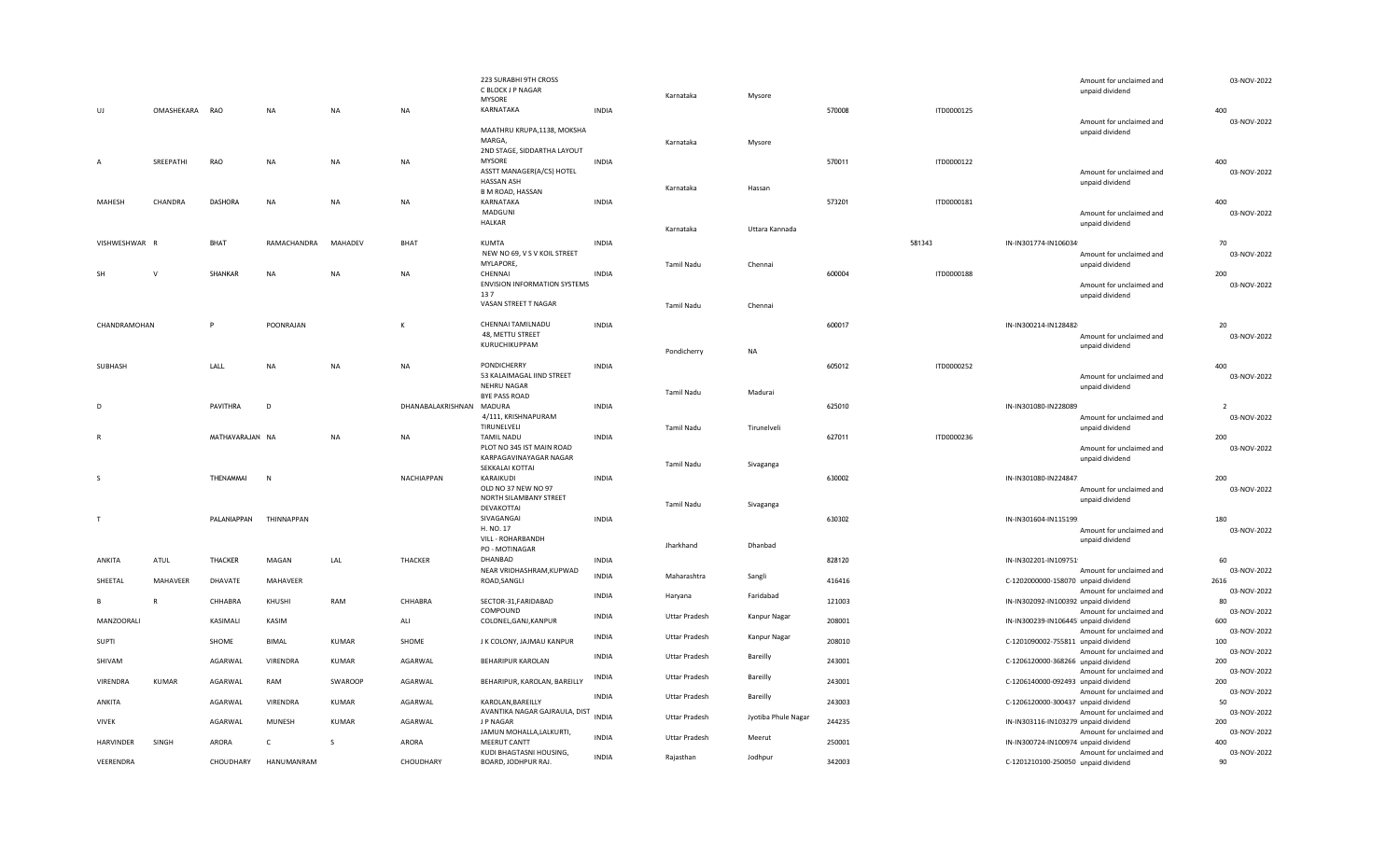|                  |                |                 |              |              |                   | 223 SURABHI 9TH CROSS<br>C BLOCK J P NAGAR<br><b>MYSORE</b>     |              | Karnataka            | Mysore              |        |            |                                      | Amount for unclaimed and<br>unpaid dividend | 03-NOV-2022         |
|------------------|----------------|-----------------|--------------|--------------|-------------------|-----------------------------------------------------------------|--------------|----------------------|---------------------|--------|------------|--------------------------------------|---------------------------------------------|---------------------|
| UJ               | OMASHEKARA RAO |                 | <b>NA</b>    | NA           | <b>NA</b>         | KARNATAKA                                                       | <b>INDIA</b> |                      |                     | 570008 | ITD0000125 |                                      |                                             | 400                 |
|                  |                |                 |              |              |                   | MAATHRU KRUPA,1138, MOKSHA<br>MARGA,                            |              | Karnataka            | Mysore              |        |            |                                      | Amount for unclaimed and<br>unpaid dividend | 03-NOV-2022         |
|                  |                |                 |              |              |                   | 2ND STAGE, SIDDARTHA LAYOUT                                     |              |                      |                     |        |            |                                      |                                             |                     |
| $\overline{A}$   | SREEPATHI      | RAO             | <b>NA</b>    | NA           | NA                | <b>MYSORE</b><br>ASSTT MANAGER(A/CS) HOTEL<br><b>HASSAN ASH</b> | <b>INDIA</b> | Karnataka            | Hassan              | 570011 | ITD0000122 |                                      | Amount for unclaimed and<br>unpaid dividend | 400<br>03-NOV-2022  |
| MAHESH           | CHANDRA        | <b>DASHORA</b>  | <b>NA</b>    | <b>NA</b>    | <b>NA</b>         | <b>B M ROAD, HASSAN</b><br>KARNATAKA                            | <b>INDIA</b> |                      |                     | 573201 | ITD0000181 |                                      |                                             | 400                 |
|                  |                |                 |              |              |                   | MADGUNI                                                         |              |                      |                     |        |            |                                      | Amount for unclaimed and                    | 03-NOV-2022         |
|                  |                |                 |              |              |                   | <b>HALKAR</b>                                                   |              | Karnataka            | Uttara Kannada      |        |            |                                      | unpaid dividend                             |                     |
|                  |                |                 |              |              |                   | <b>KUMTA</b>                                                    |              |                      |                     |        |            |                                      |                                             |                     |
| VISHWESHWAR R    |                | BHAT            | RAMACHANDRA  | MAHADEV      | BHAT              | NEW NO 69, V S V KOIL STREET                                    | <b>INDIA</b> |                      |                     |        | 581343     | IN-IN301774-IN106034                 | Amount for unclaimed and                    | 70<br>03-NOV-2022   |
|                  |                |                 |              |              |                   | MYLAPORE,                                                       |              | <b>Tamil Nadu</b>    | Chennai             |        |            |                                      | unpaid dividend                             |                     |
| <b>SH</b>        | $\mathsf{V}$   | SHANKAR         | <b>NA</b>    | NA           | NA                | CHENNAI                                                         | <b>INDIA</b> |                      |                     | 600004 | ITD0000188 |                                      |                                             | 200                 |
|                  |                |                 |              |              |                   | ENVISION INFORMATION SYSTEMS                                    |              |                      |                     |        |            |                                      | Amount for unclaimed and                    | 03-NOV-2022         |
|                  |                |                 |              |              |                   | 137<br>VASAN STREET T NAGAR                                     |              |                      |                     |        |            |                                      | unpaid dividend                             |                     |
|                  |                |                 |              |              |                   |                                                                 |              | Tamil Nadu           | Chennai             |        |            |                                      |                                             |                     |
| CHANDRAMOHAN     |                | P               | POONRAJAN    |              | $\,$ K            | CHENNAI TAMILNADU                                               | <b>INDIA</b> |                      |                     | 600017 |            | IN-IN300214-IN128482                 |                                             | 20                  |
|                  |                |                 |              |              |                   | 48, METTU STREET                                                |              |                      |                     |        |            |                                      | Amount for unclaimed and                    | 03-NOV-2022         |
|                  |                |                 |              |              |                   | KURUCHIKUPPAM                                                   |              | Pondicherry          | <b>NA</b>           |        |            |                                      | unpaid dividend                             |                     |
| SUBHASH          |                | LALL            | <b>NA</b>    | NA           | NA                | PONDICHERRY                                                     | <b>INDIA</b> |                      |                     | 605012 | ITD0000252 |                                      |                                             | 400                 |
|                  |                |                 |              |              |                   | 53 KALAIMAGAL IIND STREET                                       |              |                      |                     |        |            |                                      | Amount for unclaimed and                    | 03-NOV-2022         |
|                  |                |                 |              |              |                   | NEHRU NAGAR                                                     |              | <b>Tamil Nadu</b>    | Madurai             |        |            |                                      | unpaid dividend                             |                     |
|                  |                |                 |              |              |                   | <b>BYE PASS ROAD</b><br>MADURA                                  |              |                      |                     |        |            |                                      |                                             |                     |
| D                |                | PAVITHRA        | D            |              | DHANABALAKRISHNAN | 4/111, KRISHNAPURAM                                             | <b>INDIA</b> |                      |                     | 625010 |            | IN-IN301080-IN228089                 | Amount for unclaimed and                    | 03-NOV-2022         |
|                  |                |                 |              |              |                   | TIRUNELVELI                                                     |              | Tamil Nadu           | Tirunelveli         |        |            |                                      | unpaid dividend                             |                     |
| B                |                | MATHAVARAJAN NA |              | <b>NA</b>    | NA                | <b>TAMIL NADU</b>                                               | <b>INDIA</b> |                      |                     | 627011 | ITD0000236 |                                      |                                             | 200                 |
|                  |                |                 |              |              |                   | PLOT NO 345 IST MAIN ROAD                                       |              |                      |                     |        |            |                                      | Amount for unclaimed and                    | 03-NOV-2022         |
|                  |                |                 |              |              |                   | KARPAGAVINAYAGAR NAGAR<br>SEKKALAI KOTTAI                       |              | <b>Tamil Nadu</b>    | Sivaganga           |        |            |                                      | unpaid dividend                             |                     |
| S                |                | THENAMMAI       | N            |              | NACHIAPPAN        | KARAIKUDI                                                       | <b>INDIA</b> |                      |                     | 630002 |            | IN-IN301080-IN224847                 |                                             | 200                 |
|                  |                |                 |              |              |                   | OLD NO 37 NEW NO 97                                             |              |                      |                     |        |            |                                      | Amount for unclaimed and                    | 03-NOV-2022         |
|                  |                |                 |              |              |                   | NORTH SILAMBANY STREET                                          |              | Tamil Nadu           | Sivaganga           |        |            |                                      | unpaid dividend                             |                     |
| T                |                |                 |              |              |                   | DEVAKOTTAI<br>SIVAGANGAI                                        |              |                      |                     | 630302 |            |                                      |                                             |                     |
|                  |                | PALANIAPPAN     | THINNAPPAN   |              |                   | H. NO. 17                                                       | <b>INDIA</b> |                      |                     |        |            | IN-IN301604-IN115199                 | Amount for unclaimed and                    | 180<br>03-NOV-2022  |
|                  |                |                 |              |              |                   | VILL - ROHARBANDH                                               |              |                      |                     |        |            |                                      | unpaid dividend                             |                     |
|                  |                |                 |              |              |                   | PO - MOTINAGAR                                                  |              | Jharkhand            | Dhanbad             |        |            |                                      |                                             |                     |
| ANKITA           | ATUL           | <b>THACKER</b>  | MAGAN        | LAL          | THACKER           | DHANBAD                                                         | <b>INDIA</b> |                      |                     | 828120 |            | IN-IN302201-IN109751                 |                                             | 60                  |
| SHEETAL          | MAHAVEER       | DHAVATE         | MAHAVEER     |              |                   | NEAR VRIDHASHRAM, KUPWAD<br>ROAD, SANGLI                        | <b>INDIA</b> | Maharashtra          | Sangli              | 416416 |            | C-1202000000-158070 unpaid dividend  | Amount for unclaimed and                    | 03-NOV-2022<br>2616 |
|                  |                |                 |              |              |                   |                                                                 |              |                      |                     |        |            |                                      | Amount for unclaimed and                    | 03-NOV-2022         |
| B                | R              | CHHABRA         | KHUSHI       | RAM          | CHHABRA           | SECTOR-31, FARIDABAD                                            | <b>INDIA</b> | Haryana              | Faridabad           | 121003 |            | IN-IN302092-IN100392 unpaid dividend |                                             | 80                  |
|                  |                |                 |              |              |                   | COMPOUND                                                        | <b>INDIA</b> | <b>Uttar Pradesh</b> | Kanpur Nagar        | 208001 |            |                                      | Amount for unclaimed and                    | 03-NOV-2022         |
| MANZOORALI       |                | KASIMALI        | KASIM        |              | ALI               | COLONEL, GANJ, KANPUR                                           |              |                      |                     |        |            | IN-IN300239-IN106445 unpaid dividend | Amount for unclaimed and                    | 600<br>03-NOV-2022  |
| SUPTI            |                | SHOME           | <b>BIMAL</b> | <b>KUMAR</b> | SHOME             | J K COLONY, JAJMAU KANPUR                                       | <b>INDIA</b> | <b>Uttar Pradesh</b> | Kanpur Nagar        | 208010 |            | C-1201090002-755811 unpaid dividend  |                                             | 100                 |
|                  |                |                 |              |              |                   |                                                                 | <b>INDIA</b> | <b>Uttar Pradesh</b> | Bareilly            |        |            |                                      | Amount for unclaimed and                    | 03-NOV-2022         |
| SHIVAM           |                | AGARWAL         | VIRENDRA     | <b>KUMAR</b> | AGARWAL           | BEHARIPUR KAROLAN                                               |              |                      |                     | 243001 |            | C-1206120000-368266 unpaid dividend  |                                             | 200                 |
| VIRENDRA         | KUMAR          | AGARWAL         | RAM          | SWAROOP      | AGARWAL           | BEHARIPUR, KAROLAN, BAREILLY                                    | <b>INDIA</b> | <b>Uttar Pradesh</b> | Bareilly            | 243001 |            | C-1206140000-092493 unpaid dividend  | Amount for unclaimed and                    | 03-NOV-2022<br>200  |
|                  |                |                 |              |              |                   |                                                                 |              |                      |                     |        |            |                                      | Amount for unclaimed and                    | 03-NOV-2022         |
| ANKITA           |                | AGARWAL         | VIRENDRA     | <b>KUMAR</b> | AGARWAL           | KAROLAN, BAREILLY                                               | <b>INDIA</b> | <b>Uttar Pradesh</b> | Bareilly            | 243003 |            | C-1206120000-300437 unpaid dividend  |                                             | 50                  |
|                  |                |                 |              |              |                   | AVANTIKA NAGAR GAJRAULA, DIST                                   | <b>INDIA</b> | <b>Uttar Pradesh</b> | Jyotiba Phule Nagar |        |            |                                      | Amount for unclaimed and                    | 03-NOV-2022         |
| <b>VIVEK</b>     |                | AGARWAL         | MUNESH       | <b>KUMAR</b> | AGARWAL           | J P NAGAR<br>JAMUN MOHALLA, LALKURTI,                           |              |                      |                     | 244235 |            | IN-IN303116-IN103279 unpaid dividend | Amount for unclaimed and                    | 200<br>03-NOV-2022  |
| <b>HARVINDER</b> | SINGH          | ARORA           | C            | S            | ARORA             | MEERUT CANTT                                                    | <b>INDIA</b> | <b>Uttar Pradesh</b> | Meerut              | 250001 |            | IN-IN300724-IN100974 unpaid dividend |                                             | 400                 |
|                  |                |                 |              |              |                   | KUDI BHAGTASNI HOUSING,                                         | <b>INDIA</b> | Rajasthan            | Jodhpur             |        |            |                                      | Amount for unclaimed and                    | 03-NOV-2022         |
| VEERENDRA        |                | CHOUDHARY       | HANUMANRAM   |              | CHOUDHARY         | BOARD, JODHPUR RAJ.                                             |              |                      |                     | 342003 |            | C-1201210100-250050 unpaid dividend  |                                             | 90                  |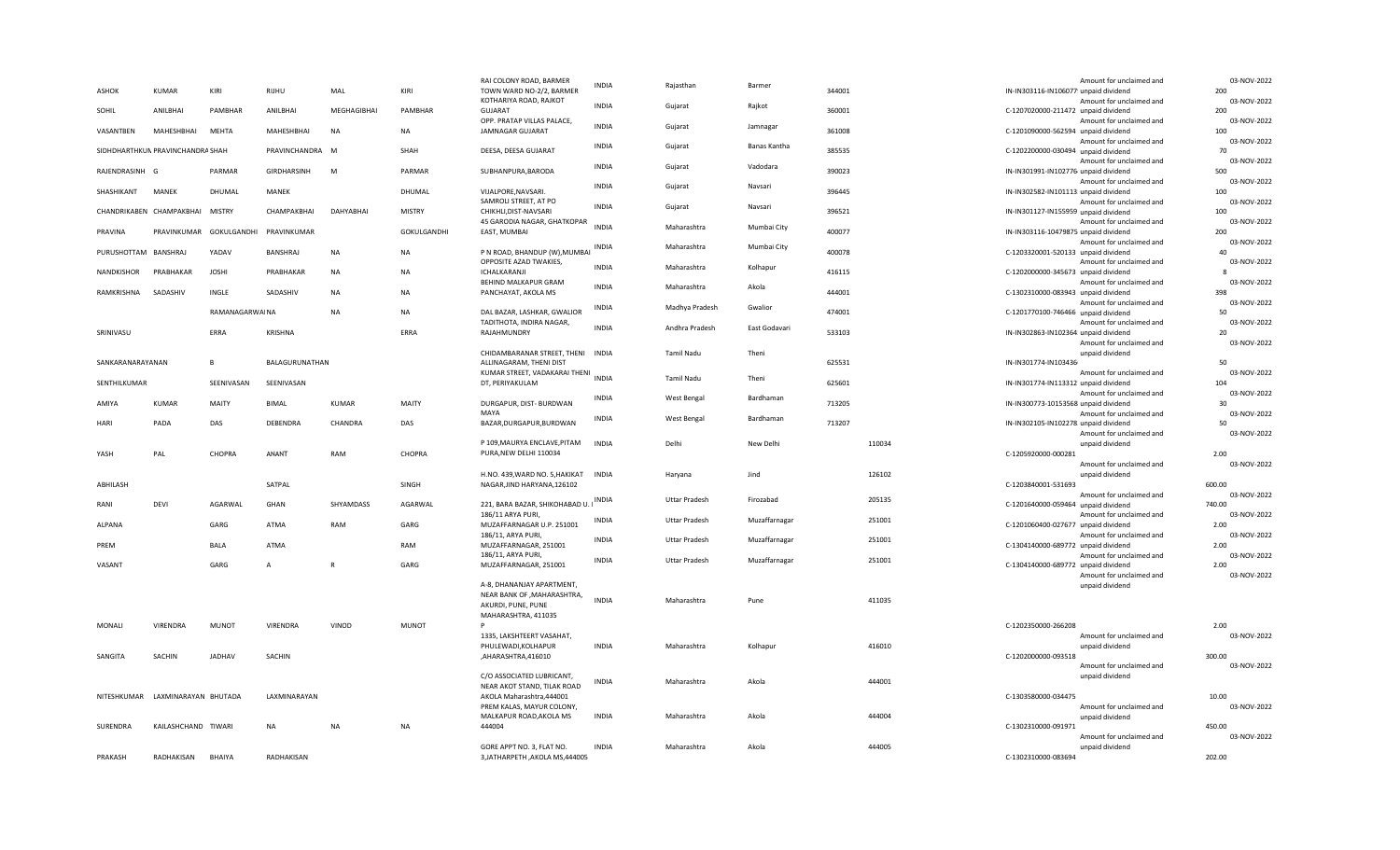|                      |                                  |                |                 |              |               | RAI COLONY ROAD, BARMER                                 | <b>INDIA</b> | Rajasthan            | Barmer        |        |        |                                        | Amount for unclaimed and | 03-NOV-2022         |
|----------------------|----------------------------------|----------------|-----------------|--------------|---------------|---------------------------------------------------------|--------------|----------------------|---------------|--------|--------|----------------------------------------|--------------------------|---------------------|
| <b>ASHOK</b>         | <b>KUMAR</b>                     | KIRI           | RIJHU           | MAL          | KIRI          | TOWN WARD NO-2/2, BARMER                                |              |                      |               | 344001 |        | IN-IN303116-IN106077! unpaid dividend  |                          | 200                 |
|                      |                                  |                |                 |              |               | KOTHARIYA ROAD, RAJKOT                                  | <b>INDIA</b> | Gujarat              | Rajkot        |        |        |                                        | Amount for unclaimed and | 03-NOV-2022         |
| SOHIL                | ANILBHAI                         | PAMBHAR        | ANILBHAI        | MEGHAGIBHAI  | PAMBHAR       | <b>GUJARAT</b><br>OPP. PRATAP VILLAS PALACE,            |              |                      |               | 360001 |        | C-1207020000-211472 unpaid dividend    |                          | 200<br>03-NOV-2022  |
| VASANTBEN            | MAHESHBHAI                       | <b>MEHTA</b>   | MAHESHBHAI      | <b>NA</b>    | <b>NA</b>     | JAMNAGAR GUJARAT                                        | <b>INDIA</b> | Gujarat              | Jamnagar      | 361008 |        | C-1201090000-562594 unpaid dividend    | Amount for unclaimed and | 100                 |
|                      |                                  |                |                 |              |               |                                                         |              |                      |               |        |        |                                        | Amount for unclaimed and | 03-NOV-2022         |
|                      | SIDHDHARTHKUN PRAVINCHANDRA SHAH |                | PRAVINCHANDRA M |              | SHAH          | DEESA, DEESA GUJARAT                                    | <b>INDIA</b> | Gujarat              | Banas Kantha  | 385535 |        | C-1202200000-030494 unpaid dividend    |                          | 70                  |
|                      |                                  |                |                 |              |               |                                                         | <b>INDIA</b> |                      |               |        |        |                                        | Amount for unclaimed and | 03-NOV-2022         |
| RAJENDRASINH G       |                                  | PARMAR         | GIRDHARSINH     | M            | PARMAR        | SUBHANPURA, BARODA                                      |              | Gujarat              | Vadodara      | 390023 |        | IN-IN301991-IN102776 unpaid dividend   |                          | 500                 |
|                      |                                  |                |                 |              |               |                                                         | <b>INDIA</b> | Gujarat              | Navsari       |        |        |                                        | Amount for unclaimed and | 03-NOV-2022         |
| SHASHIKANT           | <b>MANEK</b>                     | DHUMAL         | MANEK           |              | DHUMAL        | VIJALPORE, NAVSARI.                                     |              |                      |               | 396445 |        | IN-IN302582-IN101113! unpaid dividend  |                          | 100                 |
|                      | CHANDRIKABEN CHAMPAKBHAI         | <b>MISTRY</b>  | CHAMPAKBHAI     | DAHYABHAI    | <b>MISTRY</b> | SAMROLI STREET, AT PO                                   | <b>INDIA</b> | Gujarat              | Navsari       |        |        |                                        | Amount for unclaimed and | 03-NOV-2022<br>100  |
|                      |                                  |                |                 |              |               | CHIKHLI, DIST-NAVSARI<br>45 GARODIA NAGAR, GHATKOPAR    |              |                      |               | 396521 |        | IN-IN301127-IN155959 unpaid dividend   | Amount for unclaimed and | 03-NOV-2022         |
| PRAVINA              | PRAVINKUMAR                      | GOKULGANDHI    | PRAVINKUMAR     |              | GOKULGANDHI   | EAST, MUMBAI                                            | <b>INDIA</b> | Maharashtra          | Mumbai City   | 400077 |        | IN-IN303116-10479875 unpaid dividend   |                          | 200                 |
|                      |                                  |                |                 |              |               |                                                         |              |                      |               |        |        |                                        | Amount for unclaimed and | 03-NOV-2022         |
| PURUSHOTTAM BANSHRAJ |                                  | YADAV          | BANSHRAJ        | <b>NA</b>    | <b>NA</b>     | P N ROAD, BHANDUP (W), MUMBAI                           | INDIA        | Maharashtra          | Mumbai City   | 400078 |        | C-1203320001-520133 unpaid dividend    |                          | 40                  |
|                      |                                  |                |                 |              |               | OPPOSITE AZAD TWAKIES,                                  | <b>INDIA</b> | Maharashtra          | Kolhapur      |        |        |                                        | Amount for unclaimed and | 03-NOV-2022         |
| NANDKISHOR           | PRABHAKAR                        | <b>JOSHI</b>   | PRABHAKAR       | <b>NA</b>    | <b>NA</b>     | ICHALKARANJI                                            |              |                      |               | 416115 |        | C-1202000000-345673 unpaid dividend    |                          |                     |
|                      |                                  |                |                 |              |               | BEHIND MALKAPUR GRAM                                    | <b>INDIA</b> | Maharashtra          | Akola         |        |        |                                        | Amount for unclaimed and | 03-NOV-2022         |
| RAMKRISHNA           | SADASHIV                         | INGLE          | SADASHIV        | <b>NA</b>    | NA            | PANCHAYAT, AKOLA MS                                     |              |                      |               | 444001 |        | C-1302310000-083943 unpaid dividend    | Amount for unclaimed and | 398<br>03-NOV-2022  |
|                      |                                  | RAMANAGARWA NA |                 | NA           | NA            | DAL BAZAR, LASHKAR, GWALIOR                             | <b>INDIA</b> | Madhya Pradesh       | Gwalior       | 474001 |        | C-1201770100-746466 unpaid dividend    |                          | 50                  |
|                      |                                  |                |                 |              |               | TADITHOTA, INDIRA NAGAR,                                |              |                      |               |        |        |                                        | Amount for unclaimed and | 03-NOV-2022         |
| SRINIVASU            |                                  | ERRA           | <b>KRISHNA</b>  |              | ERRA          | RAJAHMUNDRY                                             | <b>INDIA</b> | Andhra Pradesh       | East Godavari | 533103 |        | IN-IN302863-IN102364 unpaid dividend   |                          | 20                  |
|                      |                                  |                |                 |              |               |                                                         |              |                      |               |        |        |                                        | Amount for unclaimed and | 03-NOV-2022         |
|                      |                                  |                |                 |              |               | CHIDAMBARANAR STREET, THENI INDIA                       |              | <b>Tamil Nadu</b>    | Theni         |        |        | unpaid dividend                        |                          |                     |
| SANKARANARAYANAN     |                                  | B              | BALAGURUNATHAN  |              |               | ALLINAGARAM, THENI DIST                                 |              |                      |               | 625531 |        | IN-IN301774-IN103436                   |                          | 50<br>03-NOV-2022   |
| SENTHILKUMAR         |                                  | SEENIVASAN     | SEENIVASAN      |              |               | KUMAR STREET, VADAKARAI THENI<br>DT, PERIYAKULAM        | <b>INDIA</b> | <b>Tamil Nadu</b>    | Theni         | 625601 |        | IN-IN301774-IN113312 unpaid dividend   | Amount for unclaimed and | 104                 |
|                      |                                  |                |                 |              |               |                                                         |              |                      |               |        |        |                                        | Amount for unclaimed and | 03-NOV-2022         |
| AMIYA                | <b>KUMAR</b>                     | <b>MAITY</b>   | <b>BIMAL</b>    | <b>KUMAR</b> | MAITY         | DURGAPUR, DIST- BURDWAN                                 | <b>INDIA</b> | West Bengal          | Bardhaman     | 713205 |        | IN-IN300773-10153568 unpaid dividend   |                          | 30                  |
|                      |                                  |                |                 |              |               | MAYA                                                    | <b>INDIA</b> |                      | Bardhaman     |        |        |                                        | Amount for unclaimed and | 03-NOV-2022         |
| HARI                 | PADA                             | DAS            | DEBENDRA        | CHANDRA      | DAS           | BAZAR, DURGAPUR, BURDWAN                                |              | West Bengal          |               | 713207 |        | IN-IN302105-IN102278 unpaid dividend   |                          | 50                  |
|                      |                                  |                |                 |              |               |                                                         |              |                      |               |        |        |                                        | Amount for unclaimed and | 03-NOV-2022         |
| YASH                 | PAL                              | CHOPRA         | ANANT           | RAM          | CHOPRA        | P 109, MAURYA ENCLAVE, PITAM<br>PURA, NEW DELHI 110034  | <b>INDIA</b> | Delhi                | New Delhi     |        | 110034 | unpaid dividend<br>C-1205920000-000281 |                          | 2.00                |
|                      |                                  |                |                 |              |               |                                                         |              |                      |               |        |        |                                        | Amount for unclaimed and | 03-NOV-2022         |
|                      |                                  |                |                 |              |               | H.NO. 439, WARD NO. 5, HAKIKAT INDIA                    |              | Haryana              | Jind          |        | 126102 | unpaid dividend                        |                          |                     |
| ABHILASH             |                                  |                | SATPAL          |              | SINGH         | NAGAR, JIND HARYANA, 126102                             |              |                      |               |        |        | C-1203840001-531693                    |                          | 600.00              |
|                      |                                  |                |                 |              |               |                                                         | <b>INDIA</b> |                      |               |        | 205135 |                                        | Amount for unclaimed and | 03-NOV-2022         |
| RANI                 | DEVI                             | AGARWAL        | GHAN            | SHYAMDASS    | AGARWAL       | 221, BARA BAZAR, SHIKOHABAD U.                          |              | <b>Uttar Pradesh</b> | Firozabad     |        |        | C-1201640000-059464 unpaid dividend    |                          | 740.00              |
|                      |                                  |                |                 |              |               | 186/11 ARYA PURI,                                       | <b>INDIA</b> | <b>Uttar Pradesh</b> | Muzaffarnagar |        | 251001 |                                        | Amount for unclaimed and | 03-NOV-2022         |
| ALPANA               |                                  | GARG           | ATMA            | RAM          | GARG          | MUZAFFARNAGAR U.P. 251001                               |              |                      |               |        |        | C-1201060400-027677 unpaid dividend    |                          | 2.00                |
| PREM                 |                                  | BALA           | ATMA            |              | RAM           | 186/11, ARYA PURI,<br>MUZAFFARNAGAR, 251001             | <b>INDIA</b> | <b>Uttar Pradesh</b> | Muzaffarnagar |        | 251001 | C-1304140000-689772 unpaid dividend    | Amount for unclaimed and | 03-NOV-2022<br>2.00 |
|                      |                                  |                |                 |              |               | 186/11, ARYA PURI,                                      |              |                      |               |        |        |                                        | Amount for unclaimed and | 03-NOV-2022         |
| VASANT               |                                  | GARG           | $\overline{A}$  | R            | GARG          | MUZAFFARNAGAR, 251001                                   | <b>INDIA</b> | <b>Uttar Pradesh</b> | Muzaffarnagar |        | 251001 | C-1304140000-689772 unpaid dividend    |                          | 2.00                |
|                      |                                  |                |                 |              |               |                                                         |              |                      |               |        |        |                                        | Amount for unclaimed and | 03-NOV-2022         |
|                      |                                  |                |                 |              |               | A-8, DHANANJAY APARTMENT,                               |              |                      |               |        |        | unpaid dividend                        |                          |                     |
|                      |                                  |                |                 |              |               | NEAR BANK OF , MAHARASHTRA,                             | <b>INDIA</b> | Maharashtra          | Pune          |        | 411035 |                                        |                          |                     |
|                      |                                  |                |                 |              |               | AKURDI, PUNE, PUNE<br>MAHARASHTRA, 411035               |              |                      |               |        |        |                                        |                          |                     |
| MONALI               | VIRENDRA                         | <b>MUNOT</b>   | VIRENDRA        | VINOD        | <b>MUNOT</b>  |                                                         |              |                      |               |        |        | C-1202350000-266208                    |                          | 2.00                |
|                      |                                  |                |                 |              |               | 1335, LAKSHTEERT VASAHAT,                               |              |                      |               |        |        |                                        | Amount for unclaimed and | 03-NOV-2022         |
|                      |                                  |                |                 |              |               | PHULEWADI, KOLHAPUR                                     | <b>INDIA</b> | Maharashtra          | Kolhapur      |        | 416010 | unpaid dividend                        |                          |                     |
| SANGITA              | SACHIN                           | JADHAV         | SACHIN          |              |               | AHARASHTRA,416010,                                      |              |                      |               |        |        | C-1202000000-093518                    |                          | 300.00              |
|                      |                                  |                |                 |              |               |                                                         |              |                      |               |        |        |                                        | Amount for unclaimed and | 03-NOV-2022         |
|                      |                                  |                |                 |              |               | C/O ASSOCIATED LUBRICANT,                               | <b>INDIA</b> | Maharashtra          | Akola         |        | 444001 | unpaid dividend                        |                          |                     |
| NITESHKUMAR          | LAXMINARAYAN BHUTADA             |                | LAXMINARAYAN    |              |               | NEAR AKOT STAND, TILAK ROAD<br>AKOLA Maharashtra,444001 |              |                      |               |        |        | C-1303580000-034475                    |                          | 10.00               |
|                      |                                  |                |                 |              |               | PREM KALAS, MAYUR COLONY,                               |              |                      |               |        |        |                                        | Amount for unclaimed and | 03-NOV-2022         |
|                      |                                  |                |                 |              |               | MALKAPUR ROAD, AKOLA MS                                 | <b>INDIA</b> | Maharashtra          | Akola         |        | 444004 | unpaid dividend                        |                          |                     |
| SURENDRA             | KAILASHCHAND TIWARI              |                | <b>NA</b>       | <b>NA</b>    | NA            | 444004                                                  |              |                      |               |        |        | C-1302310000-091971                    |                          | 450.00              |
|                      |                                  |                |                 |              |               |                                                         |              |                      |               |        |        |                                        | Amount for unclaimed and | 03-NOV-2022         |
|                      |                                  |                |                 |              |               | GORE APPT NO. 3, FLAT NO.                               | <b>INDIA</b> | Maharashtra          | Akola         |        | 444005 | unpaid dividend                        |                          |                     |
| PRAKASH              | RADHAKISAN                       | BHAIYA         | RADHAKISAN      |              |               | 3, JATHARPETH, AKOLA MS, 444005                         |              |                      |               |        |        | C-1302310000-083694                    |                          | 202.00              |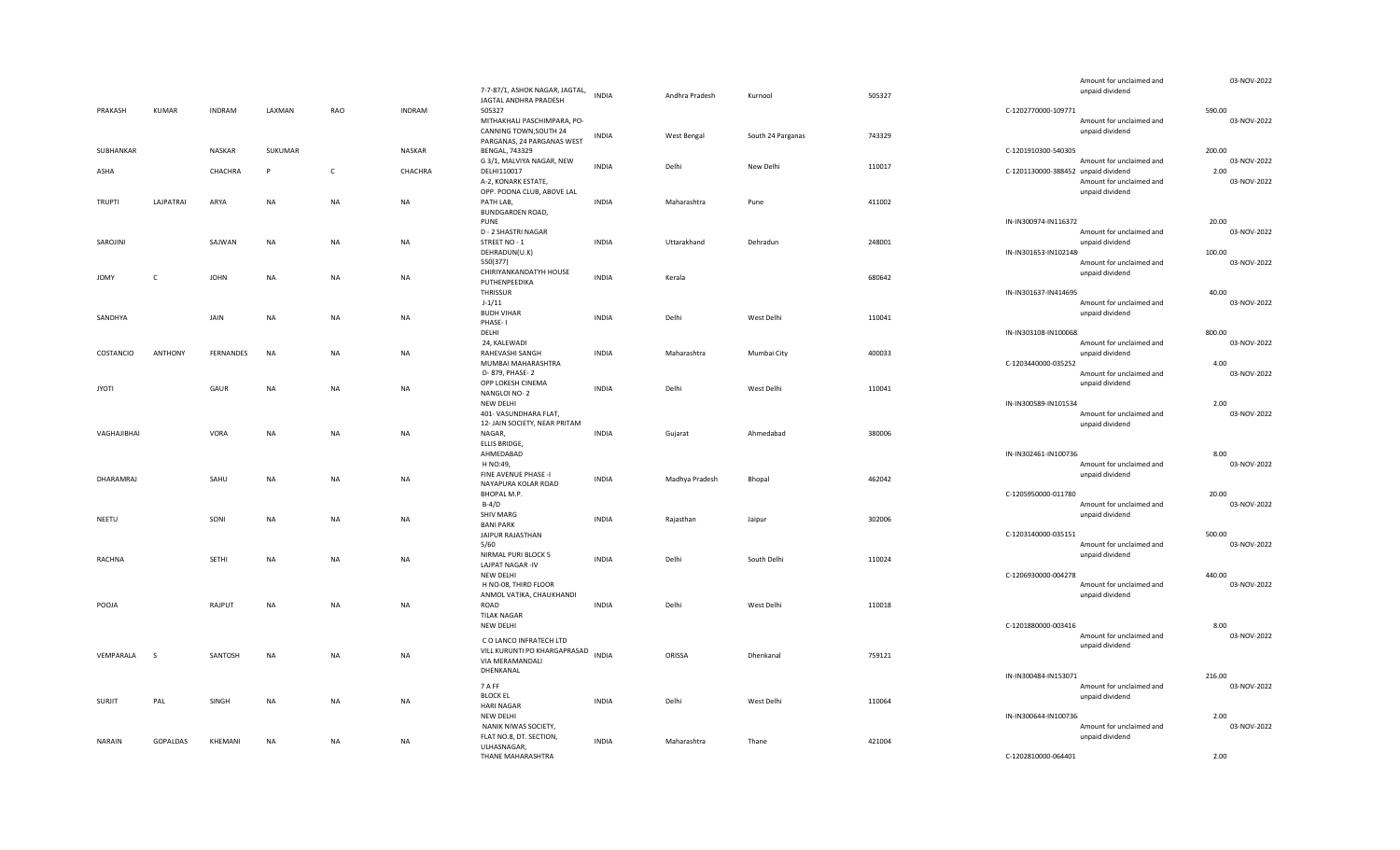|               |              |               |           |              |               |                                                      |              |                |                   |        |                                     | Amount for unclaimed and | 03-NOV-2022 |
|---------------|--------------|---------------|-----------|--------------|---------------|------------------------------------------------------|--------------|----------------|-------------------|--------|-------------------------------------|--------------------------|-------------|
|               |              |               |           |              |               | 7-7-87/1, ASHOK NAGAR, JAGTAL,                       | <b>INDIA</b> | Andhra Pradesh | Kurnool           | 505327 |                                     | unpaid dividend          |             |
|               |              |               |           |              |               | JAGTAL ANDHRA PRADESH                                |              |                |                   |        |                                     |                          |             |
| PRAKASH       | KUMAR        | <b>INDRAM</b> | LAXMAN    | RAO          | <b>INDRAM</b> | 505327                                               |              |                |                   |        | C-1202770000-109771                 |                          | 590.00      |
|               |              |               |           |              |               | MITHAKHALI PASCHIMPARA, PO-                          |              |                |                   |        |                                     | Amount for unclaimed and | 03-NOV-2022 |
|               |              |               |           |              |               | CANNING TOWN, SOUTH 24<br>PARGANAS, 24 PARGANAS WEST | <b>INDIA</b> | West Bengal    | South 24 Parganas | 743329 |                                     | unpaid dividend          |             |
| SUBHANKAR     |              | NASKAR        | SUKUMAR   |              | NASKAR        | <b>BENGAL, 743329</b>                                |              |                |                   |        | C-1201910300-540305                 |                          | 200.00      |
|               |              |               |           |              |               | G 3/1, MALVIYA NAGAR, NEW                            |              |                |                   |        |                                     | Amount for unclaimed and | 03-NOV-2022 |
| ASHA          |              | CHACHRA       | P         | $\mathsf{C}$ | CHACHRA       | DELHI110017                                          | <b>INDIA</b> | Delhi          | New Delhi         | 110017 | C-1201130000-388452 unpaid dividend |                          | 2.00        |
|               |              |               |           |              |               | A-2, KONARK ESTATE,                                  |              |                |                   |        |                                     | Amount for unclaimed and | 03-NOV-2022 |
|               |              |               |           |              |               | OPP. POONA CLUB, ABOVE LAL                           |              |                |                   |        |                                     | unpaid dividend          |             |
| <b>TRUPTI</b> | LAJPATRAI    | ARYA          | <b>NA</b> | NA           | NA            | PATH LAB,                                            | <b>INDIA</b> | Maharashtra    | Pune              | 411002 |                                     |                          |             |
|               |              |               |           |              |               | BUNDGARDEN ROAD,                                     |              |                |                   |        |                                     |                          |             |
|               |              |               |           |              |               | PUNE                                                 |              |                |                   |        | IN-IN300974-IN116372                |                          | 20.00       |
|               |              |               |           |              |               | D - 2 SHASTRI NAGAR                                  |              |                |                   |        |                                     | Amount for unclaimed and | 03-NOV-2022 |
| SAROJINI      |              | SAJWAN        | <b>NA</b> | <b>NA</b>    | NA            | STREET NO - 1                                        | <b>INDIA</b> | Uttarakhand    | Dehradun          | 248001 |                                     | unpaid dividend          |             |
|               |              |               |           |              |               | DEHRADUN(U.K)                                        |              |                |                   |        | IN-IN301653-IN102148                |                          | 100.00      |
|               |              |               |           |              |               | 550(377)                                             |              |                |                   |        |                                     | Amount for unclaimed and | 03-NOV-2022 |
| <b>JOMY</b>   | $\mathsf{C}$ | <b>JOHN</b>   | NA        | NA           | NA            | CHIRIYANKANDATYH HOUSE                               | <b>INDIA</b> | Kerala         |                   | 680642 |                                     | unpaid dividend          |             |
|               |              |               |           |              |               | PUTHENPEEDIKA                                        |              |                |                   |        |                                     |                          |             |
|               |              |               |           |              |               | THRISSUR                                             |              |                |                   |        | IN-IN301637-IN414695                |                          | 40.00       |
|               |              |               |           |              |               | $J-1/11$                                             |              |                |                   |        |                                     | Amount for unclaimed and | 03-NOV-2022 |
| SANDHYA       |              | JAIN          | <b>NA</b> | NA           | NA            | <b>BUDH VIHAR</b>                                    | <b>INDIA</b> | Delhi          | West Delhi        | 110041 |                                     | unpaid dividend          |             |
|               |              |               |           |              |               | PHASE-1<br>DELHI                                     |              |                |                   |        | IN-IN303108-IN100068.               |                          | 800.00      |
|               |              |               |           |              |               | 24, KALEWADI                                         |              |                |                   |        |                                     | Amount for unclaimed and | 03-NOV-2022 |
| COSTANCIO     | ANTHONY      | FERNANDES     | NA        | NA           | NA            | RAHEVASHI SANGH                                      | <b>INDIA</b> | Maharashtra    | Mumbai City       | 400033 |                                     | unpaid dividend          |             |
|               |              |               |           |              |               | MUMBAI MAHARASHTRA                                   |              |                |                   |        | C-1203440000-035252                 |                          | 4.00        |
|               |              |               |           |              |               | D- 879, PHASE-2                                      |              |                |                   |        |                                     | Amount for unclaimed and | 03-NOV-2022 |
|               |              |               |           |              |               | OPP LOKESH CINEMA                                    |              |                |                   |        |                                     | unpaid dividend          |             |
| <b>JYOTI</b>  |              | GAUR          | <b>NA</b> | NA           | NA            | NANGLOI NO-2                                         | <b>INDIA</b> | Delhi          | West Delhi        | 110041 |                                     |                          |             |
|               |              |               |           |              |               | NEW DELHI                                            |              |                |                   |        | IN-IN300589-IN101534                |                          | 2.00        |
|               |              |               |           |              |               | 401- VASUNDHARA FLAT,                                |              |                |                   |        |                                     | Amount for unclaimed and | 03-NOV-2022 |
|               |              |               |           |              |               | 12- JAIN SOCIETY, NEAR PRITAM                        |              |                |                   |        |                                     | unpaid dividend          |             |
| VAGHAJIBHAI   |              | <b>VORA</b>   | <b>NA</b> | <b>NA</b>    | <b>NA</b>     | NAGAR,                                               | <b>INDIA</b> | Gujarat        | Ahmedabad         | 380006 |                                     |                          |             |
|               |              |               |           |              |               | ELLIS BRIDGE,                                        |              |                |                   |        |                                     |                          |             |
|               |              |               |           |              |               | AHMEDABAD                                            |              |                |                   |        | IN-IN302461-IN100736                |                          | 8.00        |
|               |              |               |           |              |               | H NO:49,                                             |              |                |                   |        |                                     | Amount for unclaimed and | 03-NOV-2022 |
| DHARAMRAJ     |              | SAHU          | <b>NA</b> | NA           | <b>NA</b>     | FINE AVENUE PHASE -I                                 | <b>INDIA</b> | Madhya Pradesh | Bhopal            | 462042 |                                     | unpaid dividend          |             |
|               |              |               |           |              |               | NAYAPURA KOLAR ROAD                                  |              |                |                   |        |                                     |                          |             |
|               |              |               |           |              |               | BHOPAL M.P.                                          |              |                |                   |        | C-1205950000-011780                 |                          | 20.00       |
|               |              |               |           |              |               | $B-4/D$                                              |              |                |                   |        |                                     | Amount for unclaimed and | 03-NOV-2022 |
| NEETU         |              | SONI          | <b>NA</b> | NA           | NA            | <b>SHIV MARG</b>                                     | <b>INDIA</b> | Rajasthan      | Jaipur            | 302006 |                                     | unpaid dividend          |             |
|               |              |               |           |              |               | <b>BANI PARK</b><br>JAIPUR RAJASTHAN                 |              |                |                   |        | C-1203140000-035151                 |                          | 500.00      |
|               |              |               |           |              |               | 5/60                                                 |              |                |                   |        |                                     | Amount for unclaimed and | 03-NOV-2022 |
|               |              |               |           |              |               | NIRMAL PURI BLOCK 5                                  |              |                |                   |        |                                     | unpaid dividend          |             |
| RACHNA        |              | SETHI         | NA        | NA           | <b>NA</b>     | LAJPAT NAGAR -IV                                     | <b>INDIA</b> | Delhi          | South Delhi       | 110024 |                                     |                          |             |
|               |              |               |           |              |               | NEW DELHI                                            |              |                |                   |        | C-1206930000-004278                 |                          | 440.00      |
|               |              |               |           |              |               | H NO-08, THIRD FLOOR                                 |              |                |                   |        |                                     | Amount for unclaimed and | 03-NOV-2022 |
|               |              |               |           |              |               | ANMOL VATIKA, CHAUKHANDI                             |              |                |                   |        |                                     | unpaid dividend          |             |
| POOJA         |              | RAJPUT        | $\sf NA$  | NA           | NA            | ROAD                                                 | <b>INDIA</b> | Delhi          | West Delhi        | 110018 |                                     |                          |             |
|               |              |               |           |              |               | <b>TILAK NAGAR</b>                                   |              |                |                   |        |                                     |                          |             |
|               |              |               |           |              |               | NEW DELHI                                            |              |                |                   |        | C-1201880000-003416                 |                          | 8.00        |
|               |              |               |           |              |               | C O LANCO INFRATECH LTD                              |              |                |                   |        |                                     | Amount for unclaimed and | 03-NOV-2022 |
|               |              |               |           |              |               | VILL KURUNTI PO KHARGAPRASAD                         |              |                |                   |        |                                     | unpaid dividend          |             |
| VEMPARALA     | S.           | SANTOSH       | <b>NA</b> | NA           | NA            | VIA MERAMANDALI                                      | <b>INDIA</b> | ORISSA         | Dhenkanal         | 759121 |                                     |                          |             |
|               |              |               |           |              |               | DHENKANAL                                            |              |                |                   |        |                                     |                          |             |
|               |              |               |           |              |               |                                                      |              |                |                   |        | IN-IN300484-IN153071                |                          | 216.00      |
|               |              |               |           |              |               | 7 A FF                                               |              |                |                   |        |                                     | Amount for unclaimed and | 03-NOV-2022 |
| SURJIT        | PAL          | SINGH         | <b>NA</b> | NA           | NA            | <b>BLOCK EL</b>                                      | <b>INDIA</b> | Delhi          | West Delhi        | 110064 |                                     | unpaid dividend          |             |
|               |              |               |           |              |               | <b>HARI NAGAR</b><br>NEW DELHI                       |              |                |                   |        | IN-IN300644-IN100736                |                          | 2.00        |
|               |              |               |           |              |               | NANIK NIWAS SOCIETY,                                 |              |                |                   |        |                                     | Amount for unclaimed and | 03-NOV-2022 |
|               |              |               |           |              |               | FLAT NO.8, DT. SECTION,                              |              |                |                   |        |                                     | unpaid dividend          |             |
| NARAIN        | GOPALDAS     | KHEMANI       | NA        | NA           | NA            | ULHASNAGAR,                                          | <b>INDIA</b> | Maharashtra    | Thane             | 421004 |                                     |                          |             |
|               |              |               |           |              |               | THANE MAHARASHTRA                                    |              |                |                   |        | C-1202810000-064401                 |                          | 2.00        |
|               |              |               |           |              |               |                                                      |              |                |                   |        |                                     |                          |             |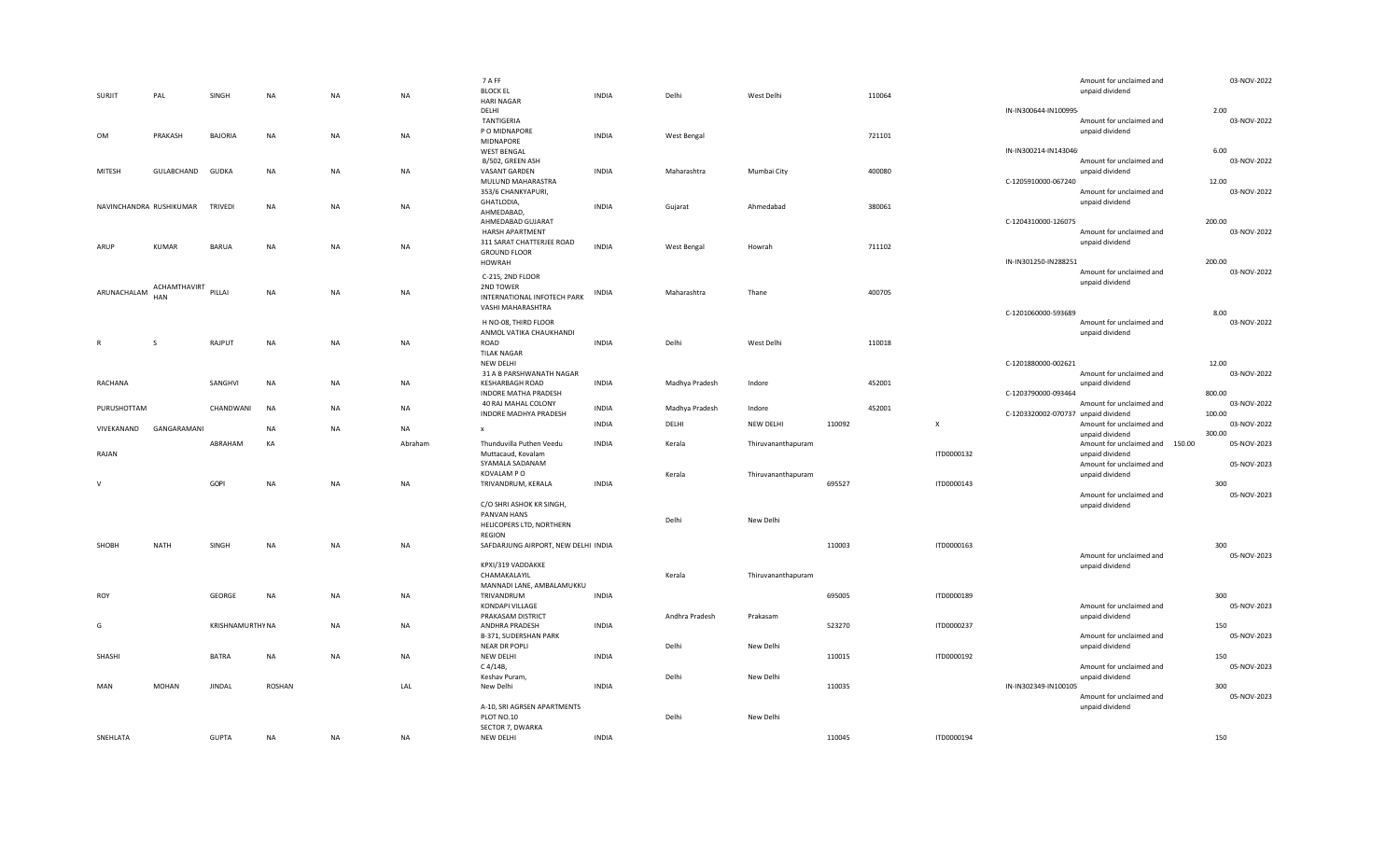| <b>SURJIT</b>           | PAL          | SINGH                   | <b>NA</b> | NA        | NA        | 7 A FF<br><b>BLOCK EL</b>                                            | <b>INDIA</b> | Delhi          | West Delhi         |        | 110064 |            |                                                            | Amount for unclaimed and<br>unpaid dividend                                    | 03-NOV-2022                     |
|-------------------------|--------------|-------------------------|-----------|-----------|-----------|----------------------------------------------------------------------|--------------|----------------|--------------------|--------|--------|------------|------------------------------------------------------------|--------------------------------------------------------------------------------|---------------------------------|
|                         |              |                         |           |           |           | <b>HARI NAGAR</b><br>DELHI                                           |              |                |                    |        |        |            | IN-IN300644-IN100995                                       |                                                                                | 2.00                            |
| OM                      | PRAKASH      | <b>BAJORIA</b>          | <b>NA</b> | <b>NA</b> | NA        | TANTIGERIA<br>P O MIDNAPORE<br>MIDNAPORE                             | <b>INDIA</b> | West Bengal    |                    |        | 721101 |            |                                                            | Amount for unclaimed and<br>unpaid dividend                                    | 03-NOV-2022                     |
|                         |              |                         |           |           |           | <b>WEST BENGAL</b><br>B/502, GREEN ASH                               |              |                |                    |        |        |            | IN-IN300214-IN143046                                       | Amount for unclaimed and                                                       | 6.00<br>03-NOV-2022             |
| MITESH                  | GULABCHAND   | GUDKA                   | <b>NA</b> | NA        | NA        | VASANT GARDEN<br>MULUND MAHARASTRA<br>353/6 CHANKYAPURI,             | <b>INDIA</b> | Maharashtra    | Mumbai City        |        | 400080 |            | C-1205910000-067240                                        | unpaid dividend<br>Amount for unclaimed and                                    | 12.00<br>03-NOV-2022            |
| NAVINCHANDRA RUSHIKUMAR |              | <b>TRIVEDI</b>          | <b>NA</b> | <b>NA</b> | NA        | GHATLODIA,<br>AHMEDABAD,                                             | <b>INDIA</b> | Gujarat        | Ahmedabad          |        | 380061 |            |                                                            | unpaid dividend                                                                |                                 |
|                         |              |                         |           |           |           | AHMEDABAD GUJARAT<br>HARSH APARTMENT                                 |              |                |                    |        |        |            | C-1204310000-126075                                        | Amount for unclaimed and                                                       | 200.00<br>03-NOV-2022           |
| ARUP                    | <b>KUMAR</b> | <b>BARUA</b>            | <b>NA</b> | NA        | NA        | 311 SARAT CHATTERJEE ROAD<br><b>GROUND FLOOR</b><br>HOWRAH           | <b>INDIA</b> | West Bengal    | Howrah             |        | 711102 |            | IN-IN301250-IN288251                                       | unpaid dividend                                                                | 200.00                          |
|                         | ACHAMTHAVIRT |                         |           |           |           | C-215, 2ND FLOOR<br>2ND TOWER                                        |              |                |                    |        |        |            |                                                            | Amount for unclaimed and<br>unpaid dividend                                    | 03-NOV-2022                     |
| ARUNACHALAM             | HAN          | PILLAI                  | <b>NA</b> | <b>NA</b> | <b>NA</b> | INTERNATIONAL INFOTECH PARK<br>VASHI MAHARASHTRA                     | <b>INDIA</b> | Maharashtra    | Thane              |        | 400705 |            | C-1201060000-593689                                        |                                                                                | 8.00                            |
|                         |              |                         |           |           |           | H NO-08, THIRD FLOOR<br>ANMOL VATIKA CHAUKHANDI                      |              |                |                    |        |        |            |                                                            | Amount for unclaimed and<br>unpaid dividend                                    | 03-NOV-2022                     |
| R                       | <sub>S</sub> | RAJPUT                  | <b>NA</b> | <b>NA</b> | NA        | ROAD<br><b>TILAK NAGAR</b><br><b>NEW DELHI</b>                       | <b>INDIA</b> | Delhi          | West Delhi         |        | 110018 |            | C-1201880000-002621                                        |                                                                                | 12.00                           |
| RACHANA                 |              | SANGHVI                 | <b>NA</b> | <b>NA</b> | NA        | 31 A B PARSHWANATH NAGAR<br>KESHARBAGH ROAD                          | <b>INDIA</b> | Madhya Pradesh | Indore             |        | 452001 |            |                                                            | Amount for unclaimed and<br>unpaid dividend                                    | 03-NOV-2022                     |
| PURUSHOTTAM             |              | CHANDWANI               | <b>NA</b> | <b>NA</b> | NA        | INDORE MATHA PRADESH<br>40 RAJ MAHAL COLONY<br>INDORE MADHYA PRADESH | <b>INDIA</b> | Madhya Pradesh | Indore             |        | 452001 |            | C-1203790000-093464<br>C-1203320002-070737 unpaid dividend | Amount for unclaimed and                                                       | 800.00<br>03-NOV-2022<br>100.00 |
| VIVEKANAND              | GANGARAMANI  |                         | <b>NA</b> | <b>NA</b> | <b>NA</b> | $\mathbf{x}$                                                         | <b>INDIA</b> | DELHI          | NEW DELHI          | 110092 |        | X          |                                                            | Amount for unclaimed and<br>unpaid dividend                                    | 03-NOV-2022<br>300.00           |
| RAJAN                   |              | ABRAHAM                 | KA        |           | Abraham   | Thunduvilla Puthen Veedu<br>Muttacaud, Kovalam<br>SYAMALA SADANAM    | <b>INDIA</b> | Kerala         | Thiruvananthapuram |        |        | ITD0000132 |                                                            | Amount for unclaimed and 150.00<br>unpaid dividend<br>Amount for unclaimed and | 05-NOV-2023<br>05-NOV-2023      |
| $\mathsf{V}$            |              | GOPI                    | <b>NA</b> | <b>NA</b> | <b>NA</b> | KOVALAM P O<br>TRIVANDRUM, KERALA                                    | <b>INDIA</b> | Kerala         | Thiruvananthapuram | 695527 |        | ITD0000143 |                                                            | unpaid dividend                                                                | 300                             |
|                         |              |                         |           |           |           | C/O SHRI ASHOK KR SINGH,                                             |              |                |                    |        |        |            |                                                            | Amount for unclaimed and<br>unpaid dividend                                    | 05-NOV-2023                     |
|                         |              |                         |           |           |           | PANVAN HANS<br>HELICOPERS LTD, NORTHERN<br><b>REGION</b>             |              | Delhi          | New Delhi          |        |        |            |                                                            |                                                                                |                                 |
| SHOBH                   | <b>NATH</b>  | SINGH                   | <b>NA</b> | NA        | NA        | SAFDARJUNG AIRPORT, NEW DELHI INDIA                                  |              |                |                    | 110003 |        | ITD0000163 |                                                            | Amount for unclaimed and                                                       | 300<br>05-NOV-2023              |
|                         |              |                         |           |           |           | KPXI/319 VADDAKKE<br>CHAMAKALAYIL                                    |              | Kerala         | Thiruvananthapuram |        |        |            |                                                            | unpaid dividend                                                                |                                 |
| ROY                     |              | GEORGE                  | <b>NA</b> | <b>NA</b> | <b>NA</b> | MANNADI LANE, AMBALAMUKKU<br>TRIVANDRUM<br>KONDAPI VILLAGE           | <b>INDIA</b> |                |                    | 695005 |        | ITD0000189 |                                                            | Amount for unclaimed and                                                       | 300<br>05-NOV-2023              |
| G                       |              | <b>KRISHNAMURTHY NA</b> |           | NA        | NA        | PRAKASAM DISTRICT<br>ANDHRA PRADESH                                  | <b>INDIA</b> | Andhra Pradesh | Prakasam           | 523270 |        | ITD0000237 |                                                            | unpaid dividend                                                                | 150                             |
|                         |              |                         |           |           |           | B-371, SUDERSHAN PARK<br>NEAR DR POPLI                               |              | Delhi          | New Delhi          |        |        |            |                                                            | Amount for unclaimed and<br>unpaid dividend                                    | 05-NOV-2023                     |
| SHASHI                  |              | <b>BATRA</b>            | <b>NA</b> | NA        | NA        | <b>NEW DELHI</b><br>C 4/14B,<br>Keshav Puram,                        | <b>INDIA</b> | Delhi          | New Delhi          | 110015 |        | ITD0000192 |                                                            | Amount for unclaimed and<br>unpaid dividend                                    | 150<br>05-NOV-2023              |
| MAN                     | <b>MOHAN</b> | <b>JINDAL</b>           | ROSHAN    |           | LAL       | New Delhi                                                            | <b>INDIA</b> |                |                    | 110035 |        |            | IN-IN302349-IN100105                                       |                                                                                | 300<br>05-NOV-2023              |
|                         |              |                         |           |           |           | A-10, SRI AGRSEN APARTMENTS<br>PLOT NO.10                            |              | Delhi          | New Delhi          |        |        |            |                                                            | Amount for unclaimed and<br>unpaid dividend                                    |                                 |
|                         |              |                         |           |           |           | SECTOR 7, DWARKA                                                     |              |                |                    |        |        |            |                                                            |                                                                                |                                 |
| SNEHLATA                |              | <b>GUPTA</b>            | <b>NA</b> | <b>NA</b> | NA        | NEW DELHI                                                            | <b>INDIA</b> |                |                    | 110045 |        | ITD0000194 |                                                            |                                                                                | 150                             |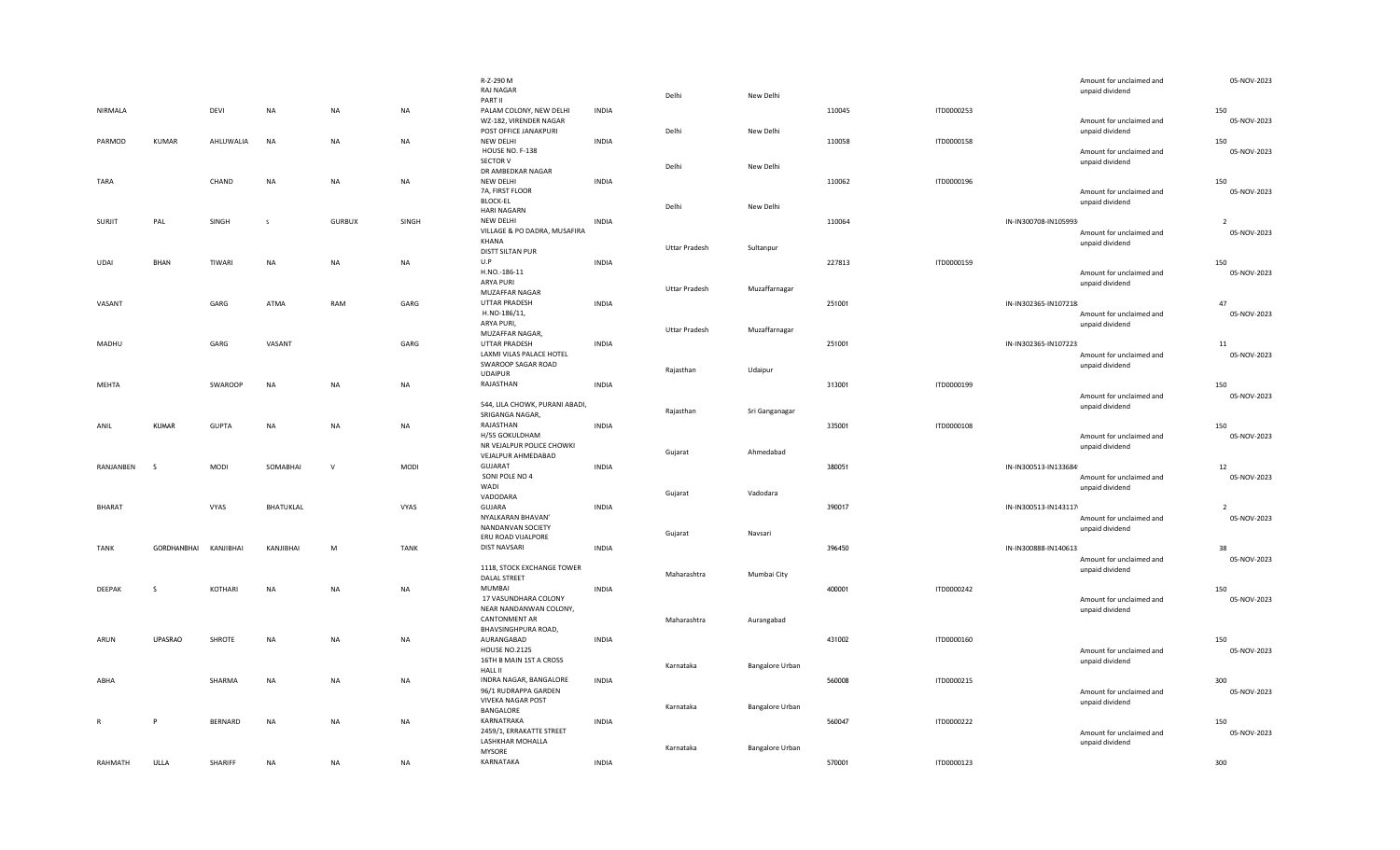|               |                |                |                  |               |             | R-Z-290 M<br><b>RAJ NAGAR</b>                                     |              | Delhi                | New Delhi              |        |            |                      | Amount for unclaimed and<br>unpaid dividend | 05-NOV-2023        |
|---------------|----------------|----------------|------------------|---------------|-------------|-------------------------------------------------------------------|--------------|----------------------|------------------------|--------|------------|----------------------|---------------------------------------------|--------------------|
| NIRMALA       |                | DEVI           | <b>NA</b>        | <b>NA</b>     | <b>NA</b>   | PART II<br>PALAM COLONY, NEW DELHI<br>WZ-182, VIRENDER NAGAR      | <b>INDIA</b> |                      |                        | 110045 | ITD0000253 |                      | Amount for unclaimed and                    | 150<br>05-NOV-2023 |
| PARMOD        | KUMAR          | AHLUWALIA      | <b>NA</b>        | <b>NA</b>     | <b>NA</b>   | POST OFFICE JANAKPURI<br>NEW DELHI<br>HOUSE NO. F-138             | <b>INDIA</b> | Delhi                | New Delhi              | 110058 | ITD0000158 |                      | unpaid dividend<br>Amount for unclaimed and | 150<br>05-NOV-2023 |
| TARA          |                | CHAND          | <b>NA</b>        | NA            | NA          | SECTOR V<br>DR AMBEDKAR NAGAR<br>NEW DELHI                        | <b>INDIA</b> | Delhi                | New Delhi              | 110062 | ITD0000196 |                      | unpaid dividend                             | 150                |
|               |                |                |                  |               |             | 7A, FIRST FLOOR<br><b>BLOCK-EL</b>                                |              | Delhi                | New Delhi              |        |            |                      | Amount for unclaimed and<br>unpaid dividend | 05-NOV-2023        |
| SURJIT        | PAL            | SINGH          |                  | <b>GURBUX</b> | SINGH       | <b>HARI NAGARN</b><br>NEW DELHI                                   | <b>INDIA</b> |                      |                        | 110064 |            | IN-IN300708-IN105993 |                                             |                    |
|               |                |                |                  |               |             | VILLAGE & PO DADRA, MUSAFIRA<br>KHANA<br>DISTT SILTAN PUR         |              | <b>Uttar Pradesh</b> | Sultanpur              |        |            |                      | Amount for unclaimed and<br>unpaid dividend | 05-NOV-2023        |
| UDAI          | BHAN           | TIWARI         | <b>NA</b>        | <b>NA</b>     | NA          | U.P                                                               | <b>INDIA</b> |                      |                        | 227813 | ITD0000159 |                      |                                             | 150                |
|               |                |                |                  |               |             | H.NO.-186-11<br>ARYA PURI<br>MUZAFFAR NAGAR                       |              | <b>Uttar Pradesh</b> | Muzaffarnagar          |        |            |                      | Amount for unclaimed and<br>unpaid dividend | 05-NOV-2023        |
| VASANT        |                | GARG           | ATMA             | RAM           | GARG        | UTTAR PRADESH                                                     | <b>INDIA</b> |                      |                        | 251001 |            | IN-IN302365-IN107218 |                                             | 47                 |
|               |                |                |                  |               |             | H.NO-186/11,<br>ARYA PURI,<br>MUZAFFAR NAGAR,                     |              | Uttar Pradesh        | Muzaffarnagar          |        |            |                      | Amount for unclaimed and<br>unpaid dividend | 05-NOV-2023        |
| MADHU         |                | GARG           | VASANT           |               | GARG        | UTTAR PRADESH                                                     | <b>INDIA</b> |                      |                        | 251001 |            | IN-IN302365-IN107223 |                                             | 11                 |
|               |                |                |                  |               |             | LAXMI VILAS PALACE HOTEL<br>SWAROOP SAGAR ROAD<br><b>UDAIPUR</b>  |              | Rajasthan            | Udaipur                |        |            |                      | Amount for unclaimed and<br>unpaid dividend | 05-NOV-2023        |
| MEHTA         |                | SWAROOP        | <b>NA</b>        | <b>NA</b>     | NA          | RAJASTHAN                                                         | <b>INDIA</b> |                      |                        | 313001 | ITD0000199 |                      |                                             | 150                |
|               |                |                |                  |               |             | 544, LILA CHOWK, PURANI ABADI,<br>SRIGANGA NAGAR,                 |              | Rajasthan            | Sri Ganganagar         |        |            |                      | Amount for unclaimed and<br>unpaid dividend | 05-NOV-2023        |
| ANIL          | <b>KUMAR</b>   | <b>GUPTA</b>   | <b>NA</b>        | NA            | <b>NA</b>   | RAJASTHAN                                                         | <b>INDIA</b> |                      |                        | 335001 | ITD0000108 |                      |                                             | 150                |
|               |                |                |                  |               |             | H/55 GOKULDHAM<br>NR VEJALPUR POLICE CHOWKI<br>VEJALPUR AHMEDABAD |              | Gujarat              | Ahmedabad              |        |            |                      | Amount for unclaimed and<br>unpaid dividend | 05-NOV-2023        |
| RANJANBEN     | - S            | <b>MODI</b>    | SOMABHAI         | $\mathsf{V}$  | <b>MODI</b> | GUJARAT<br>SONI POLE NO 4                                         | <b>INDIA</b> |                      |                        | 380051 |            | IN-IN300513-IN133684 | Amount for unclaimed and                    | 12<br>05-NOV-2023  |
|               |                |                |                  |               |             | WADI<br>VADODARA                                                  |              | Gujarat              | Vadodara               |        |            |                      | unpaid dividend                             |                    |
| <b>BHARAT</b> |                | VYAS           | <b>BHATUKLAL</b> |               | VYAS        | GUJARA                                                            | <b>INDIA</b> |                      |                        | 390017 |            | IN-IN300513-IN143117 |                                             | $\overline{2}$     |
|               |                |                |                  |               |             | NYALKARAN BHAVAN'<br>NANDANVAN SOCIETY<br>ERU ROAD VIJALPORE      |              | Gujarat              | Navsari                |        |            |                      | Amount for unclaimed and<br>unpaid dividend | 05-NOV-2023        |
| TANK          | GORDHANBHAI    | KANJIBHAI      | KANJIBHAI        | M             | <b>TANK</b> | <b>DIST NAVSARI</b>                                               | <b>INDIA</b> |                      |                        | 396450 |            | IN-IN300888-IN140613 |                                             | 38                 |
|               |                |                |                  |               |             | 1118, STOCK EXCHANGE TOWER<br><b>DALAL STREET</b>                 |              | Maharashtra          | Mumbai City            |        |            |                      | Amount for unclaimed and<br>unpaid dividend | 05-NOV-2023        |
| DEEPAK        | -S             | KOTHARI        | <b>NA</b>        | <b>NA</b>     | <b>NA</b>   | MUMBAI                                                            | <b>INDIA</b> |                      |                        | 400001 | ITD0000242 |                      |                                             | 150                |
|               |                |                |                  |               |             | 17 VASUNDHARA COLONY<br>NEAR NANDANWAN COLONY,<br>CANTONMENT AR   |              | Maharashtra          | Aurangabad             |        |            |                      | Amount for unclaimed and<br>unpaid dividend | 05-NOV-2023        |
| ARUN          | <b>UPASRAO</b> | SHROTE         | <b>NA</b>        | <b>NA</b>     | <b>NA</b>   | BHAVSINGHPURA ROAD,<br>AURANGABAD                                 | <b>INDIA</b> |                      |                        | 431002 | ITD0000160 |                      |                                             | 150                |
|               |                |                |                  |               |             | <b>HOUSE NO.2125</b><br>16TH B MAIN 1ST A CROSS<br><b>HALL II</b> |              | Karnataka            | Bangalore Urban        |        |            |                      | Amount for unclaimed and<br>unpaid dividend | 05-NOV-2023        |
| ABHA          |                | SHARMA         | <b>NA</b>        | <b>NA</b>     | <b>NA</b>   | INDRA NAGAR, BANGALORE                                            | <b>INDIA</b> |                      |                        | 560008 | ITD0000215 |                      |                                             | 300                |
|               |                |                |                  |               |             | 96/1 RUDRAPPA GARDEN<br><b>VIVEKA NAGAR POST</b>                  |              | Karnataka            | Bangalore Urban        |        |            |                      | Amount for unclaimed and<br>unpaid dividend | 05-NOV-2023        |
| $\mathbb{R}$  | P              | <b>BERNARD</b> | <b>NA</b>        | <b>NA</b>     | <b>NA</b>   | BANGALORE<br>KARNATRAKA                                           | <b>INDIA</b> |                      |                        | 560047 | ITD0000222 |                      |                                             | 150                |
|               |                |                |                  |               |             | 2459/1, ERRAKATTE STREET<br>LASHKHAR MOHALLA<br><b>MYSORE</b>     |              | Karnataka            | <b>Bangalore Urban</b> |        |            |                      | Amount for unclaimed and<br>unpaid dividend | 05-NOV-2023        |
| RAHMATH       | ULLA           | SHARIFF        | <b>NA</b>        | <b>NA</b>     | <b>NA</b>   | KARNATAKA                                                         | <b>INDIA</b> |                      |                        | 570001 | ITD0000123 |                      |                                             | 300                |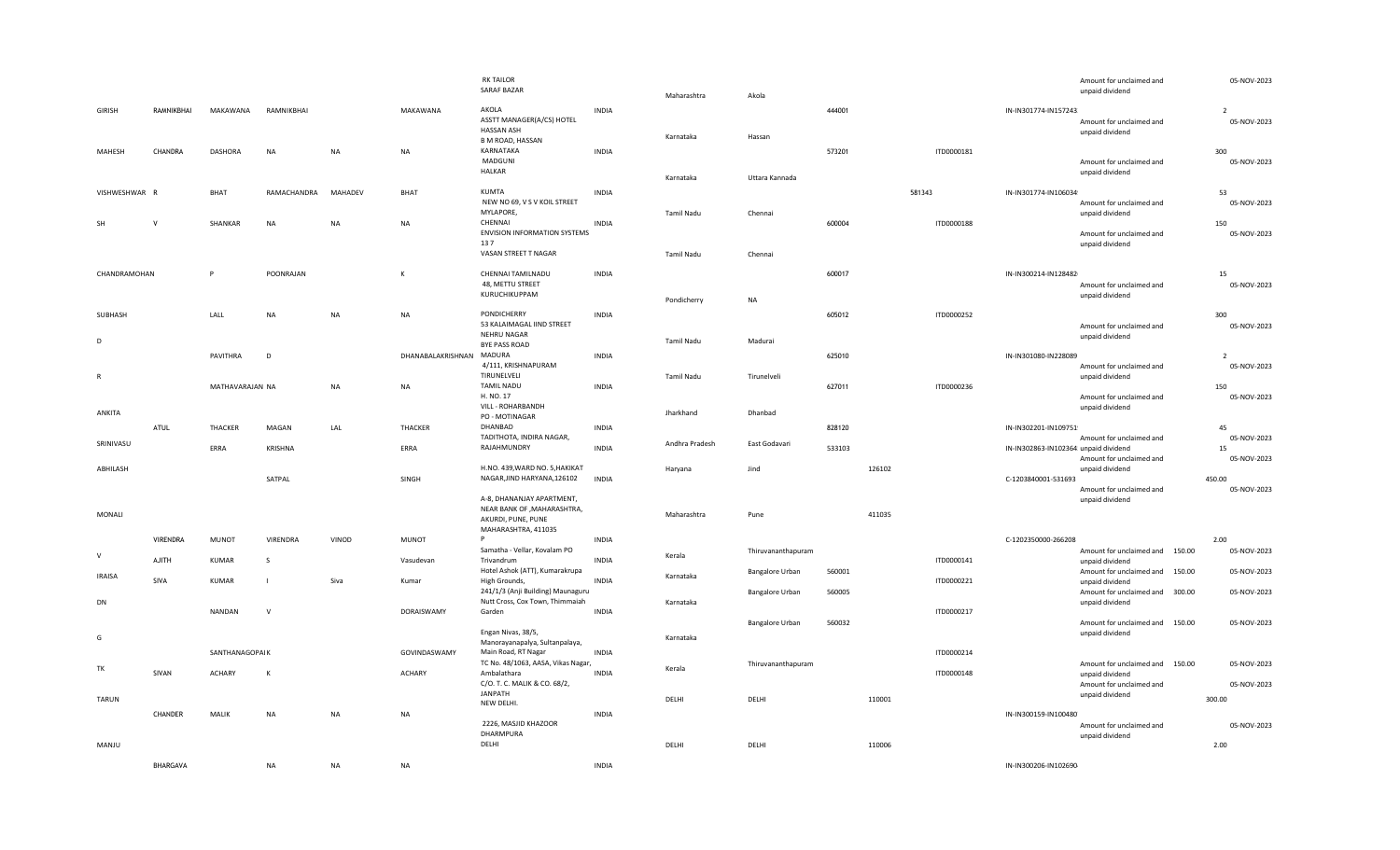|                     |                 |                 |                          |                      |                   | <b>RK TAILOR</b><br><b>SARAF BAZAR</b>                                            |                              |                |                    |        |        |            |                                       | Amount for unclaimed and<br>unpaid dividend                                    | 05-NOV-2023                             |
|---------------------|-----------------|-----------------|--------------------------|----------------------|-------------------|-----------------------------------------------------------------------------------|------------------------------|----------------|--------------------|--------|--------|------------|---------------------------------------|--------------------------------------------------------------------------------|-----------------------------------------|
|                     |                 |                 |                          |                      |                   |                                                                                   |                              | Maharashtra    | Akola              |        |        |            |                                       |                                                                                |                                         |
| <b>GIRISH</b>       | RAMNIKBHAI      | MAKAWANA        | RAMNIKBHAI               |                      | MAKAWANA          | AKOLA<br>ASSTT MANAGER(A/CS) HOTEL<br><b>HASSAN ASH</b>                           | <b>INDIA</b>                 | Karnataka      | Hassan             | 444001 |        |            | IN-IN301774-IN157243                  | Amount for unclaimed and<br>unpaid dividend                                    | $\overline{\phantom{a}}$<br>05-NOV-2023 |
| MAHESH              | CHANDRA         | <b>DASHORA</b>  | <b>NA</b>                | <b>NA</b>            | <b>NA</b>         | <b>B M ROAD, HASSAN</b><br>KARNATAKA<br>MADGUNI<br>HALKAR                         | <b>INDIA</b>                 |                |                    | 573201 |        | ITD0000181 |                                       | Amount for unclaimed and<br>unpaid dividend                                    | 300<br>05-NOV-2023                      |
|                     |                 |                 |                          |                      |                   |                                                                                   |                              | Karnataka      | Uttara Kannada     |        |        |            |                                       |                                                                                |                                         |
| VISHWESHWAR R<br>SF | V               | BHAT<br>SHANKAR | RAMACHANDRA<br><b>NA</b> | MAHADEV<br><b>NA</b> | BHAT<br>NA        | <b>KUMTA</b><br>NEW NO 69, V S V KOIL STREET<br>MYLAPORE,<br>CHENNAI              | <b>INDIA</b><br><b>INDIA</b> | Tamil Nadu     | Chennai            | 600004 | 581343 | ITD0000188 | IN-IN301774-IN106034                  | Amount for unclaimed and<br>unpaid dividend                                    | 53<br>05-NOV-2023<br>150                |
|                     |                 |                 |                          |                      |                   | ENVISION INFORMATION SYSTEMS<br>137<br>VASAN STREET T NAGAR                       |                              | Tamil Nadu     | Chennai            |        |        |            |                                       | Amount for unclaimed and<br>unpaid dividend                                    | 05-NOV-2023                             |
| CHANDRAMOHAN        |                 | P               | POONRAJAN                |                      | К                 | CHENNAI TAMILNADU                                                                 | <b>INDIA</b>                 |                |                    | 600017 |        |            | IN-IN300214-IN128482                  |                                                                                | 15                                      |
|                     |                 |                 |                          |                      |                   | 48, METTU STREET<br>KURUCHIKUPPAM                                                 |                              | Pondicherry    | <b>NA</b>          |        |        |            |                                       | Amount for unclaimed and<br>unpaid dividend                                    | 05-NOV-2023                             |
| SUBHASH             |                 | LALL            | <b>NA</b>                | <b>NA</b>            | <b>NA</b>         | PONDICHERRY<br>53 KALAIMAGAL IIND STREET<br>NEHRU NAGAR                           | <b>INDIA</b>                 |                |                    | 605012 |        | ITD0000252 |                                       | Amount for unclaimed and                                                       | 300<br>05-NOV-2023                      |
| D                   |                 |                 |                          |                      |                   | <b>BYE PASS ROAD</b>                                                              |                              | Tamil Nadu     | Madurai            |        |        |            |                                       | unpaid dividend                                                                |                                         |
| $\mathsf{R}$        |                 | PAVITHRA        | D                        |                      | DHANABALAKRISHNAN | MADURA<br>4/111, KRISHNAPURAM<br>TIRUNELVELI                                      | <b>INDIA</b>                 | Tamil Nadu     | Tirunelveli        | 625010 |        |            | IN-IN301080-IN228089                  | Amount for unclaimed and<br>unpaid dividend                                    | 05-NOV-2023                             |
|                     |                 | MATHAVARAJAN NA |                          | <b>NA</b>            | <b>NA</b>         | <b>TAMIL NADU</b><br>H. NO. 17<br>VILL - ROHARBANDH                               | <b>INDIA</b>                 |                |                    | 627011 |        | ITD0000236 |                                       | Amount for unclaimed and<br>unpaid dividend                                    | 150<br>05-NOV-2023                      |
| ANKITA              |                 |                 |                          |                      |                   | PO - MOTINAGAR                                                                    |                              | Jharkhand      | Dhanbad            |        |        |            |                                       |                                                                                |                                         |
|                     | ATUL            | THACKER         | MAGAN                    | LAL                  | THACKER           | DHANBAD                                                                           | <b>INDIA</b>                 |                |                    | 828120 |        |            | IN-IN302201-IN109751                  |                                                                                | 45                                      |
|                     |                 |                 |                          |                      |                   |                                                                                   |                              |                |                    |        |        |            |                                       |                                                                                |                                         |
| SRINIVASU           |                 | ERRA            | KRISHNA                  |                      | ERRA              | TADITHOTA, INDIRA NAGAR,<br>RAJAHMUNDRY                                           | <b>INDIA</b>                 | Andhra Pradesh | East Godavari      | 533103 |        |            | IN-IN302863-IN102364! unpaid dividend | Amount for unclaimed and<br>Amount for unclaimed and                           | 05-NOV-2023<br>15<br>05-NOV-2023        |
| ABHILASH            |                 |                 | SATPAL                   |                      | SINGH             | H.NO. 439, WARD NO. 5, HAKIKAT<br>NAGAR, JIND HARYANA, 126102                     | <b>INDIA</b>                 | Haryana        | Jind               |        | 126102 |            | C-1203840001-531693                   | unpaid dividend                                                                | 450.00                                  |
| MONALI              |                 |                 |                          |                      |                   | A-8, DHANANJAY APARTMENT,<br>NEAR BANK OF , MAHARASHTRA,<br>AKURDI, PUNE, PUNE    |                              | Maharashtra    | Pune               |        | 411035 |            |                                       | Amount for unclaimed and<br>unpaid dividend                                    | 05-NOV-2023                             |
|                     | <b>VIRENDRA</b> | <b>MUNOT</b>    | VIRENDRA                 | VINOD                | MUNOT             | MAHARASHTRA, 411035<br>P.                                                         | <b>INDIA</b>                 |                |                    |        |        |            | C-1202350000-266208                   |                                                                                | 2.00                                    |
| $\vee$              | <b>AJITH</b>    | KUMAR           | <sub>S</sub>             |                      | Vasudevan         | Samatha - Vellar, Kovalam PO<br>Trivandrum                                        | <b>INDIA</b>                 | Kerala         | Thiruvananthapuram |        |        | ITD0000141 |                                       | Amount for unclaimed and 150.00<br>unpaid dividend                             | 05-NOV-2023                             |
| <b>IRAISA</b>       | SIVA            | <b>KUMAR</b>    | $\blacksquare$           | Siva                 | Kumar             | Hotel Ashok (ATT), Kumarakrupa<br>High Grounds,                                   | <b>INDIA</b>                 | Karnataka      | Bangalore Urban    | 560001 |        | ITD0000221 |                                       | Amount for unclaimed and 150.00<br>unpaid dividend                             | 05-NOV-2023                             |
| DN                  |                 | NANDAN          | $\mathsf{v}$             |                      | DORAISWAMY        | 241/1/3 (Anji Building) Maunaguru<br>Nutt Cross, Cox Town, Thimmaiah<br>Garden    | <b>INDIA</b>                 | Karnataka      | Bangalore Urban    | 560005 |        | ITD0000217 |                                       | Amount for unclaimed and 300.00<br>unpaid dividend                             | 05-NOV-2023                             |
| G                   |                 |                 |                          |                      |                   | Engan Nivas, 38/5,<br>Manorayanapalya, Sultanpalaya,                              |                              | Karnataka      | Bangalore Urban    | 560032 |        |            |                                       | Amount for unclaimed and 150.00<br>unpaid dividend                             | 05-NOV-2023                             |
|                     |                 | SANTHANAGOPAI K |                          |                      | GOVINDASWAMY      | Main Road, RT Nagar                                                               | <b>INDIA</b>                 |                |                    |        |        | ITD0000214 |                                       |                                                                                |                                         |
| TK                  | SIVAN           | <b>ACHARY</b>   | $\mathsf{K}$             |                      | <b>ACHARY</b>     | TC No. 48/1063, AASA, Vikas Nagar,<br>Ambalathara<br>C/O. T. C. MALIK & CO. 68/2, | <b>INDIA</b>                 | Kerala         | Thiruvananthapuram |        |        | ITD0000148 |                                       | Amount for unclaimed and 150.00<br>unpaid dividend<br>Amount for unclaimed and | 05-NOV-2023<br>05-NOV-2023              |
| TARUN               |                 |                 |                          |                      |                   | <b>JANPATH</b>                                                                    |                              | DELHI          | DELHI              |        | 110001 |            |                                       | unpaid dividend                                                                | 300.00                                  |
|                     | CHANDER         | MALIK           | NA                       | NA                   | NA                | NEW DELHI.                                                                        | <b>INDIA</b>                 |                |                    |        |        |            | IN-IN300159-IN100480                  |                                                                                |                                         |
| MANJU               |                 |                 |                          |                      |                   | 2226, MASJID KHAZOOR<br>DHARMPURA<br>DELHI                                        |                              | DELHI          | DELHI              |        | 110006 |            |                                       | Amount for unclaimed and<br>unpaid dividend                                    | 05-NOV-2023<br>2.00                     |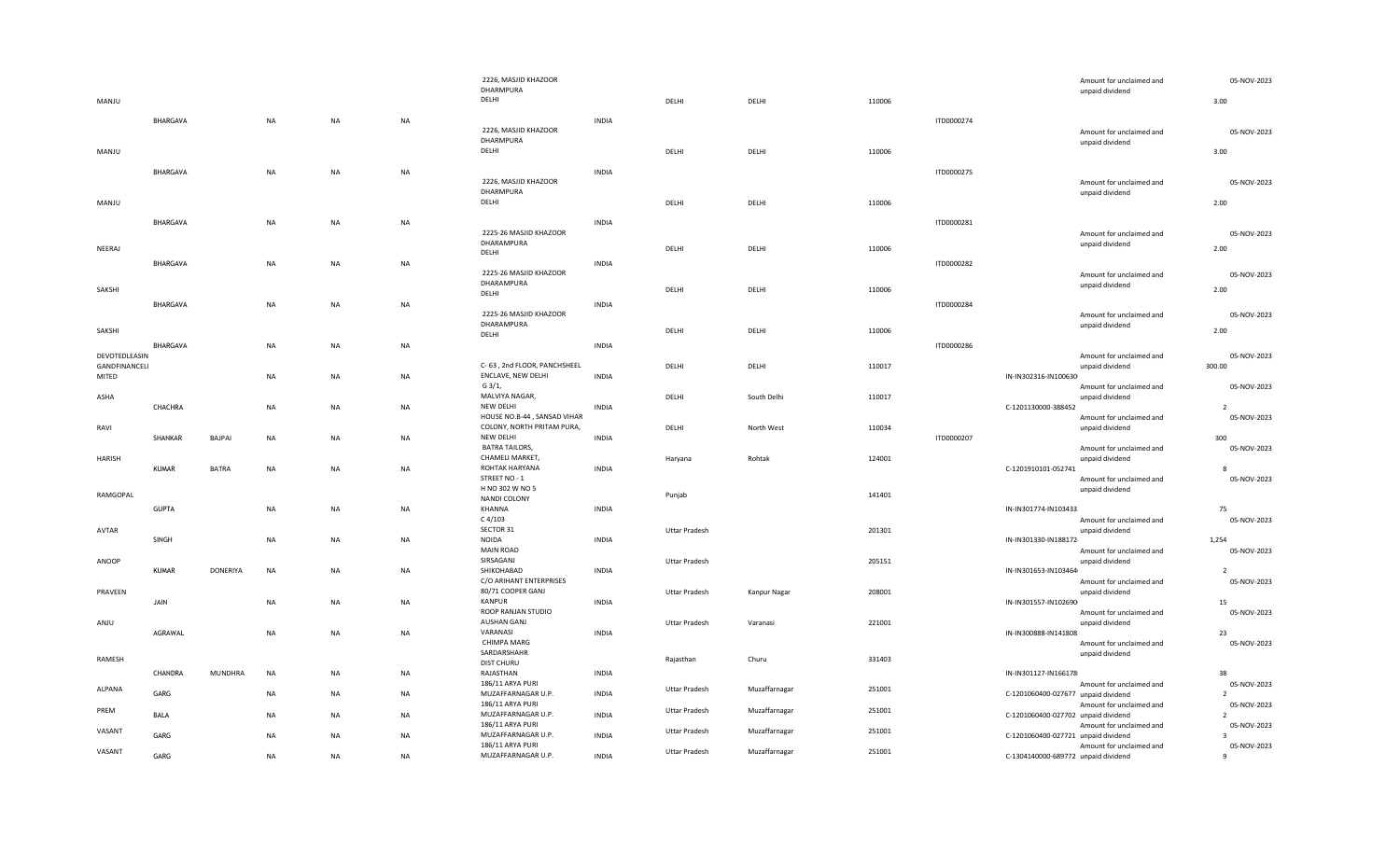|          |               |                 |           |           |           | 2226, MASJID KHAZOOR                              |              |                      |               |        |                                     | Amount for unclaimed and                    | 05-NOV-2023      |
|----------|---------------|-----------------|-----------|-----------|-----------|---------------------------------------------------|--------------|----------------------|---------------|--------|-------------------------------------|---------------------------------------------|------------------|
|          |               |                 |           |           |           | DHARMPURA                                         |              |                      |               |        |                                     | unpaid dividend                             |                  |
| MANJU    |               |                 |           |           |           | DELHI                                             |              | DELHI                | DELHI         | 110006 |                                     |                                             | 3.00             |
|          | BHARGAVA      |                 | <b>NA</b> | NA        | <b>NA</b> |                                                   | <b>INDIA</b> |                      |               |        | ITD0000274                          |                                             |                  |
|          |               |                 |           |           |           | 2226, MASJID KHAZOOR                              |              |                      |               |        |                                     | Amount for unclaimed and                    | 05-NOV-2023      |
|          |               |                 |           |           |           | DHARMPURA                                         |              |                      |               |        |                                     | unpaid dividend                             |                  |
| MANJU    |               |                 |           |           |           | DELHI                                             |              | DELHI                | DELHI         | 110006 |                                     |                                             | 3.00             |
|          |               |                 |           |           |           |                                                   |              |                      |               |        |                                     |                                             |                  |
|          | BHARGAVA      |                 | <b>NA</b> | NA        | <b>NA</b> | 2226, MASJID KHAZOOR                              | <b>INDIA</b> |                      |               |        | ITD0000275                          |                                             | 05-NOV-2023      |
|          |               |                 |           |           |           | DHARMPURA                                         |              |                      |               |        |                                     | Amount for unclaimed and<br>unpaid dividend |                  |
| MANJU    |               |                 |           |           |           | DELHI                                             |              | DELHI                | DELHI         | 110006 |                                     |                                             | 2.00             |
|          |               |                 |           |           |           |                                                   |              |                      |               |        |                                     |                                             |                  |
|          | BHARGAVA      |                 | <b>NA</b> | NA        | NA        |                                                   | <b>INDIA</b> |                      |               |        | ITD0000281                          |                                             |                  |
|          |               |                 |           |           |           | 2225-26 MASJID KHAZOOR<br>DHARAMPURA              |              |                      |               |        |                                     | Amount for unclaimed and                    | 05-NOV-2023      |
| NEERAJ   |               |                 |           |           |           | DELHI                                             |              | DELHI                | DELHI         | 110006 |                                     | unpaid dividend                             | 2.00             |
|          | BHARGAVA      |                 | NA        | NA        | NA        |                                                   | <b>INDIA</b> |                      |               |        | ITD0000282                          |                                             |                  |
|          |               |                 |           |           |           | 2225-26 MASJID KHAZOOR                            |              |                      |               |        |                                     | Amount for unclaimed and                    | 05-NOV-2023      |
| SAKSHI   |               |                 |           |           |           | DHARAMPURA                                        |              | DELHI                | DELHI         | 110006 |                                     | unpaid dividend                             | 2.00             |
|          |               |                 |           |           |           | DELHI                                             |              |                      |               |        |                                     |                                             |                  |
|          | BHARGAVA      |                 | <b>NA</b> | NA        | NA        | 2225-26 MASJID KHAZOOR                            | <b>INDIA</b> |                      |               |        | ITD0000284                          |                                             |                  |
|          |               |                 |           |           |           | DHARAMPURA                                        |              |                      |               |        |                                     | Amount for unclaimed and<br>unpaid dividend | 05-NOV-2023      |
| SAKSHI   |               |                 |           |           |           | DELHI                                             |              | DELHI                | DELHI         | 110006 |                                     |                                             | 2.00             |
|          | BHARGAVA      |                 | <b>NA</b> | NA        | NA        |                                                   | <b>INDIA</b> |                      |               |        | ITD0000286                          |                                             |                  |
|          | DEVOTEDLEASIN |                 |           |           |           |                                                   |              |                      |               |        |                                     | Amount for unclaimed and                    | 05-NOV-2023      |
|          | GANDFINANCELI |                 |           |           |           | C-63, 2nd FLOOR, PANCHSHEEL<br>ENCLAVE, NEW DELHI |              | DELHI                | DELHI         | 110017 |                                     | unpaid dividend                             | 300.00           |
| MITED    |               |                 | <b>NA</b> | NA        | <b>NA</b> | G 3/1,                                            | <b>INDIA</b> |                      |               |        | IN-IN302316-IN100630                | Amount for unclaimed and                    | 05-NOV-2023      |
| ASHA     |               |                 |           |           |           | MALVIYA NAGAR,                                    |              | DELHI                | South Delhi   | 110017 |                                     | unpaid dividend                             |                  |
|          | CHACHRA       |                 | <b>NA</b> | NA        | NA        | NEW DELHI                                         | <b>INDIA</b> |                      |               |        | C-1201130000-388452                 |                                             | $\overline{z}$   |
|          |               |                 |           |           |           | HOUSE NO.B-44, SANSAD VIHAR                       |              |                      |               |        |                                     | Amount for unclaimed and                    | 05-NOV-2023      |
| RAVI     |               |                 |           |           |           | COLONY, NORTH PRITAM PURA,                        |              | DELHI                | North West    | 110034 |                                     | unpaid dividend                             |                  |
|          | SHANKAR       | BAJPAI          | NA        | NA        | NA        | NEW DELHI                                         | <b>INDIA</b> |                      |               |        | ITD0000207                          |                                             | 300              |
|          |               |                 |           |           |           | <b>BATRA TAILORS,</b><br>CHAMELI MARKET,          |              |                      |               |        |                                     | Amount for unclaimed and                    | 05-NOV-2023      |
| HARISH   | <b>KUMAR</b>  | <b>BATRA</b>    | <b>NA</b> | NA        | NA        | ROHTAK HARYANA                                    | <b>INDIA</b> | Haryana              | Rohtak        | 124001 | C-1201910101-052741                 | unpaid dividend                             |                  |
|          |               |                 |           |           |           | STREET NO - 1                                     |              |                      |               |        |                                     | Amount for unclaimed and                    | 05-NOV-2023      |
|          |               |                 |           |           |           | H NO 302 W NO 5                                   |              |                      |               |        |                                     | unpaid dividend                             |                  |
| RAMGOPAL |               |                 |           |           |           | NANDI COLONY                                      |              | Punjab               |               | 141401 |                                     |                                             |                  |
|          | <b>GUPTA</b>  |                 | <b>NA</b> | NA        | <b>NA</b> | KHANNA                                            | <b>INDIA</b> |                      |               |        | IN-IN301774-IN103433.               |                                             | 75               |
|          |               |                 |           |           |           | $C$ 4/103<br>SECTOR 31                            |              |                      |               |        |                                     | Amount for unclaimed and                    | 05-NOV-2023      |
| AVTAR    | SINGH         |                 | <b>NA</b> | NA        | NA        | <b>NOIDA</b>                                      | <b>INDIA</b> | <b>Uttar Pradesh</b> |               | 201301 | IN-IN301330-IN188172-               | unpaid dividend                             | 1,254            |
|          |               |                 |           |           |           | <b>MAIN ROAD</b>                                  |              |                      |               |        |                                     | Amount for unclaimed and                    | 05-NOV-2023      |
| ANOOP    |               |                 |           |           |           | SIRSAGANJ                                         |              | <b>Uttar Pradesh</b> |               | 205151 |                                     | unpaid dividend                             |                  |
|          | <b>KUMAR</b>  | <b>DONERIYA</b> | <b>NA</b> | NA        | NA        | SHIKOHABAD                                        | <b>INDIA</b> |                      |               |        | IN-IN301653-IN103464                |                                             | $\overline{z}$   |
|          |               |                 |           |           |           | C/O ARIHANT ENTERPRISES                           |              |                      |               |        |                                     | Amount for unclaimed and                    | 05-NOV-2023      |
| PRAVEEN  | JAIN          |                 | <b>NA</b> | NA        | <b>NA</b> | 80/71 COOPER GANJ<br>KANPUR                       | <b>INDIA</b> | Uttar Pradesh        | Kanpur Nagar  | 208001 | IN-IN301557-IN102690                | unpaid dividend                             | 15               |
|          |               |                 |           |           |           | ROOP RANJAN STUDIO                                |              |                      |               |        |                                     | Amount for unclaimed and                    | 05-NOV-2023      |
| ANJU     |               |                 |           |           |           | <b>AUSHAN GANJ</b>                                |              | Uttar Pradesh        | Varanasi      | 221001 |                                     | unpaid dividend                             |                  |
|          | AGRAWAL       |                 | <b>NA</b> | NA        | NA        | VARANASI                                          | <b>INDIA</b> |                      |               |        | IN-IN300888-IN141808                |                                             | 23               |
|          |               |                 |           |           |           | CHIMPA MARG                                       |              |                      |               |        |                                     | Amount for unclaimed and                    | 05-NOV-2023      |
| RAMESH   |               |                 |           |           |           | SARDARSHAHR                                       |              | Rajasthan            | Churu         | 331403 |                                     | unpaid dividend                             |                  |
|          | CHANDRA       |                 |           |           |           | <b>DIST CHURU</b><br>RAJASTHAN                    |              |                      |               |        | IN-IN301127-IN166178                |                                             | 38               |
|          |               | MUNDHRA         | NA        | NA        | NA        | 186/11 ARYA PURI                                  | <b>INDIA</b> |                      |               |        |                                     | Amount for unclaimed and                    | 05-NOV-2023      |
| ALPANA   | GARG          |                 | <b>NA</b> | NA        | NA        | MUZAFFARNAGAR U.P.                                | <b>INDIA</b> | Uttar Pradesh        | Muzaffarnagar | 251001 | C-1201060400-027677 unpaid dividend |                                             | $\overline{2}$   |
|          |               |                 |           |           |           | 186/11 ARYA PURI                                  |              |                      |               |        |                                     | Amount for unclaimed and                    | 05-NOV-2023      |
| PREM     | BALA          |                 | <b>NA</b> | NA        | NA        | MUZAFFARNAGAR U.P.                                | INDIA        | Uttar Pradesh        | Muzaffarnagar | 251001 | C-1201060400-027702 unpaid dividend |                                             | 2                |
| VASANT   |               |                 |           |           |           | 186/11 ARYA PURI                                  |              | Uttar Pradesh        | Muzaffarnagar | 251001 |                                     | Amount for unclaimed and                    | 05-NOV-2023      |
|          | GARG          |                 | <b>NA</b> | <b>NA</b> | NA        | MUZAFFARNAGAR U.P.<br>186/11 ARYA PURI            | <b>INDIA</b> |                      |               |        | C-1201060400-027721 unpaid dividend |                                             | $\overline{3}$   |
| VASANT   | GARG          |                 | <b>NA</b> | NA        | NA        | MUZAFFARNAGAR U.P.                                | <b>INDIA</b> | <b>Uttar Pradesh</b> | Muzaffarnagar | 251001 | C-1304140000-689772 unpaid dividend | Amount for unclaimed and                    | 05-NOV-2023<br>9 |
|          |               |                 |           |           |           |                                                   |              |                      |               |        |                                     |                                             |                  |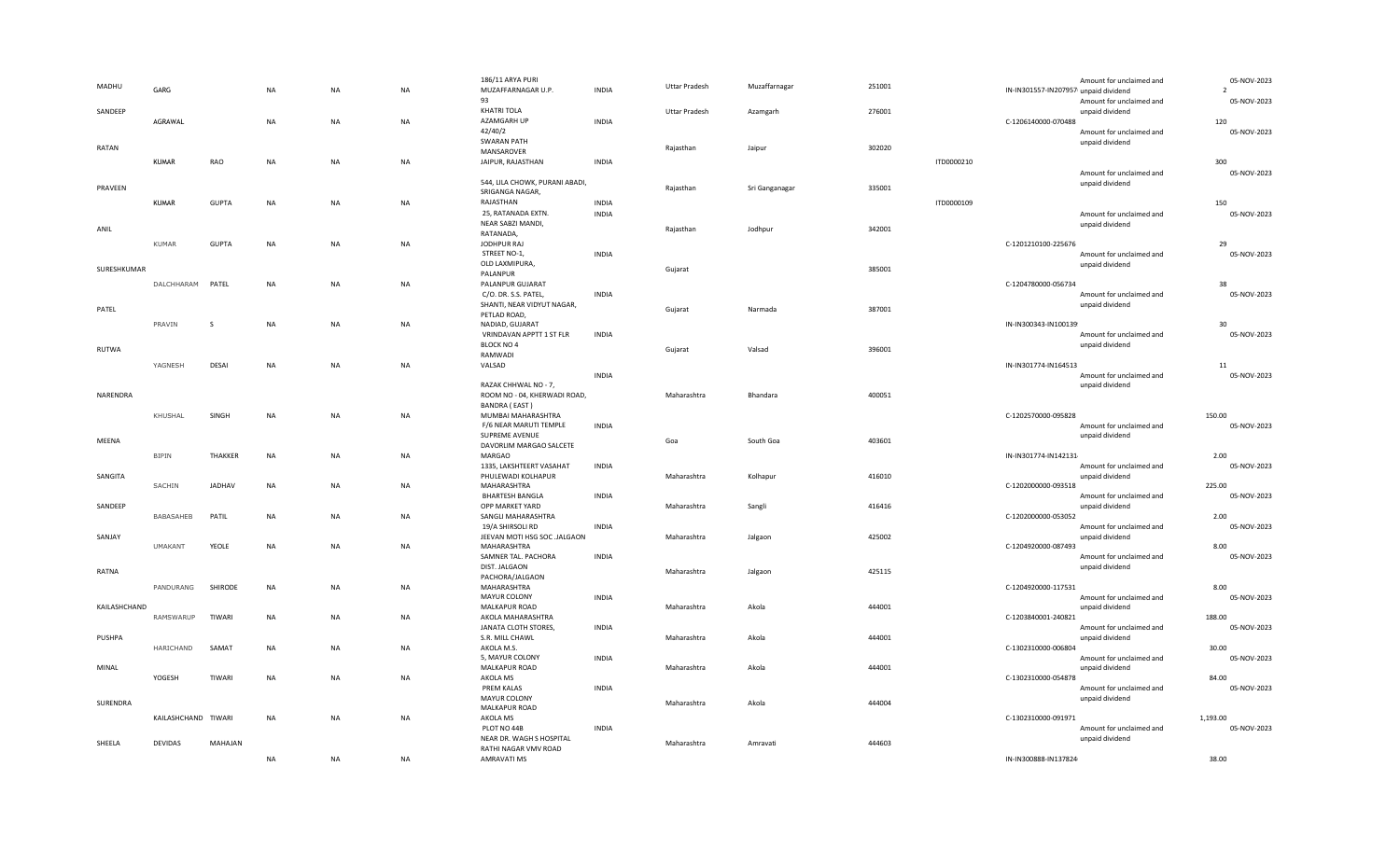| MADHU        | GARG                |              | <b>NA</b> | <b>NA</b> | <b>NA</b> | 186/11 ARYA PURI<br>MUZAFFARNAGAR U.P.<br>93         | <b>INDIA</b> | <b>Uttar Pradesh</b> | Muzaffarnagar  | 251001 |            | IN-IN301557-IN207957 unpaid dividend | Amount for unclaimed and<br>Amount for unclaimed and | 05-NOV-2023<br>$\overline{2}$<br>05-NOV-2023 |
|--------------|---------------------|--------------|-----------|-----------|-----------|------------------------------------------------------|--------------|----------------------|----------------|--------|------------|--------------------------------------|------------------------------------------------------|----------------------------------------------|
| SANDEEP      | AGRAWAL             |              | <b>NA</b> | <b>NA</b> | <b>NA</b> | KHATRI TOLA<br>AZAMGARH UP                           | <b>INDIA</b> | <b>Uttar Pradesh</b> | Azamgarh       | 276001 |            | C-1206140000-070488                  | unpaid dividend                                      | 120                                          |
| RATAN        |                     |              |           |           |           | 42/40/2<br><b>SWARAN PATH</b><br>MANSAROVER          |              | Rajasthan            | Jaipur         | 302020 |            |                                      | Amount for unclaimed and<br>unpaid dividend          | 05-NOV-2023                                  |
|              | <b>KUMAR</b>        | <b>RAO</b>   | <b>NA</b> | <b>NA</b> | <b>NA</b> | JAIPUR, RAJASTHAN                                    | <b>INDIA</b> |                      |                |        | ITD0000210 |                                      |                                                      | 300                                          |
| PRAVEEN      |                     |              |           |           |           | 544, LILA CHOWK, PURANI ABADI,<br>SRIGANGA NAGAR,    |              | Rajasthan            | Sri Ganganagar | 335001 |            |                                      | Amount for unclaimed and<br>unpaid dividend          | 05-NOV-2023                                  |
|              | <b>KUMAR</b>        | <b>GUPTA</b> | <b>NA</b> | <b>NA</b> | <b>NA</b> | RAJASTHAN                                            | <b>INDIA</b> |                      |                |        | ITD0000109 |                                      |                                                      | 150                                          |
| ANIL         |                     |              |           |           |           | 25, RATANADA EXTN.<br>NEAR SABZI MANDI,<br>RATANADA, | <b>INDIA</b> | Rajasthan            | Jodhpur        | 342001 |            |                                      | Amount for unclaimed and<br>unpaid dividend          | 05-NOV-2023                                  |
|              | KUMAR               | GUPTA        | <b>NA</b> | NA        | <b>NA</b> | JODHPUR RAJ                                          |              |                      |                |        |            | C-1201210100-225676                  |                                                      | 29                                           |
|              |                     |              |           |           |           | STREET NO-1,                                         | <b>INDIA</b> |                      |                |        |            |                                      | Amount for unclaimed and                             | 05-NOV-2023                                  |
| SURESHKUMAR  |                     |              |           |           |           | OLD LAXMIPURA,<br>PALANPUR                           |              | Gujarat              |                | 385001 |            |                                      | unpaid dividend                                      |                                              |
|              | DALCHHARAM PATEL    |              | NA        | NA        | <b>NA</b> | PALANPUR GUJARAT                                     |              |                      |                |        |            | C-1204780000-056734                  |                                                      | 38                                           |
|              |                     |              |           |           |           | C/O. DR. S.S. PATEL,<br>SHANTI, NEAR VIDYUT NAGAR,   | <b>INDIA</b> |                      |                |        |            |                                      | Amount for unclaimed and<br>unpaid dividend          | 05-NOV-2023                                  |
| PATEL        |                     |              |           |           |           | PETLAD ROAD,                                         |              | Gujarat              | Narmada        | 387001 |            |                                      |                                                      |                                              |
|              | PRAVIN              | <sub>S</sub> | <b>NA</b> | NA        | NA        | NADIAD, GUJARAT                                      |              |                      |                |        |            | IN-IN300343-IN100139                 |                                                      | 30                                           |
|              |                     |              |           |           |           | VRINDAVAN APPTT 1 ST FLR<br>BLOCK NO 4               | <b>INDIA</b> |                      |                |        |            |                                      | Amount for unclaimed and<br>unpaid dividend          | 05-NOV-2023                                  |
| RUTWA        |                     |              |           |           |           | RAMWADI                                              |              | Gujarat              | Valsad         | 396001 |            |                                      |                                                      |                                              |
|              | YAGNESH             | DESAI        | <b>NA</b> | <b>NA</b> | <b>NA</b> | VALSAD                                               |              |                      |                |        |            | IN-IN301774-IN164513                 |                                                      | $11\,$<br>05-NOV-2023                        |
|              |                     |              |           |           |           | RAZAK CHHWAL NO - 7,                                 | <b>INDIA</b> |                      |                |        |            |                                      | Amount for unclaimed and<br>unpaid dividend          |                                              |
| NARENDRA     |                     |              |           |           |           | ROOM NO - 04, KHERWADI ROAD,                         |              | Maharashtra          | Bhandara       | 400051 |            |                                      |                                                      |                                              |
|              | KHUSHAL             | SINGH        | <b>NA</b> | NA        | <b>NA</b> | BANDRA (EAST)<br>MUMBAI MAHARASHTRA                  |              |                      |                |        |            | C-1202570000-095828                  |                                                      | 150.00                                       |
|              |                     |              |           |           |           | F/6 NEAR MARUTI TEMPLE                               | <b>INDIA</b> |                      |                |        |            |                                      | Amount for unclaimed and                             | 05-NOV-2023                                  |
| MEENA        |                     |              |           |           |           | SUPREME AVENUE                                       |              | Goa                  | South Goa      | 403601 |            |                                      | unpaid dividend                                      |                                              |
|              | <b>BIPIN</b>        | THAKKER      | <b>NA</b> | NA        | NA        | DAVORLIM MARGAO SALCETE<br>MARGAO                    |              |                      |                |        |            | IN-IN301774-IN142131                 |                                                      | 2.00                                         |
|              |                     |              |           |           |           | 1335, LAKSHTEERT VASAHAT                             | <b>INDIA</b> |                      |                |        |            |                                      | Amount for unclaimed and                             | 05-NOV-2023                                  |
| SANGITA      | SACHIN              | JADHAV       | <b>NA</b> | <b>NA</b> | NA        | PHULEWADI KOLHAPUR<br>MAHARASHTRA                    |              | Maharashtra          | Kolhapur       | 416010 |            | C-1202000000-093518                  | unpaid dividend                                      | 225.00                                       |
|              |                     |              |           |           |           | <b>BHARTESH BANGLA</b>                               | <b>INDIA</b> |                      |                |        |            |                                      | Amount for unclaimed and                             | 05-NOV-2023                                  |
| SANDEEP      |                     |              |           |           |           | OPP MARKET YARD                                      |              | Maharashtra          | Sangli         | 416416 |            |                                      | unpaid dividend                                      |                                              |
|              | BABASAHEB           | PATIL        | NA        | NA.       | NA        | SANGLI MAHARASHTRA<br>19/A SHIRSOLI RD               | <b>INDIA</b> |                      |                |        |            | C-1202000000-053052                  | Amount for unclaimed and                             | 2.00<br>05-NOV-2023                          |
| SANJAY       |                     |              |           |           |           | JEEVAN MOTI HSG SOC .JALGAON                         |              | Maharashtra          | Jalgaon        | 425002 |            |                                      | unpaid dividend                                      |                                              |
|              | <b>UMAKANT</b>      | YEOLE        | NA        | NA        | <b>NA</b> | MAHARASHTRA<br>SAMNER TAL. PACHORA                   | <b>INDIA</b> |                      |                |        |            | C-1204920000-087493                  | Amount for unclaimed and                             | 8.00<br>05-NOV-2023                          |
|              |                     |              |           |           |           | DIST. JALGAON                                        |              |                      |                |        |            |                                      | unpaid dividend                                      |                                              |
| RATNA        |                     |              |           |           |           | PACHORA/JALGAON                                      |              | Maharashtra          | Jalgaon        | 425115 |            |                                      |                                                      |                                              |
|              | PANDURANG           | SHIRODE      | <b>NA</b> | NA        | NA        | MAHARASHTRA<br>MAYUR COLONY                          | <b>INDIA</b> |                      |                |        |            | C-1204920000-117531                  | Amount for unclaimed and                             | 8.00<br>05-NOV-2023                          |
| KAILASHCHAND |                     |              |           |           |           | MALKAPUR ROAD                                        |              | Maharashtra          | Akola          | 444001 |            |                                      | unpaid dividend                                      |                                              |
|              | RAMSWARUP           | TIWARI       | <b>NA</b> | NA        | NA        | AKOLA MAHARASHTRA<br>JANATA CLOTH STORES,            | <b>INDIA</b> |                      |                |        |            | C-1203840001-240821                  | Amount for unclaimed and                             | 188.00<br>05-NOV-2023                        |
| PUSHPA       |                     |              |           |           |           | S.R. MILL CHAWL                                      |              | Maharashtra          | Akola          | 444001 |            |                                      | unpaid dividend                                      |                                              |
|              | HARICHAND           | SAMAT        | NA        | NA        | NA        | AKOLA M.S.                                           |              |                      |                |        |            | C-1302310000-006804                  |                                                      | 30.00                                        |
| MINAL        |                     |              |           |           |           | 5, MAYUR COLONY<br>MALKAPUR ROAD                     | <b>INDIA</b> | Maharashtra          | Akola          | 444001 |            |                                      | Amount for unclaimed and<br>unpaid dividend          | 05-NOV-2023                                  |
|              | YOGESH              | TIWARI       | <b>NA</b> | <b>NA</b> | NA        | AKOLA MS                                             |              |                      |                |        |            | C-1302310000-054878                  |                                                      | 84.00                                        |
|              |                     |              |           |           |           | <b>PREM KALAS</b><br>MAYUR COLONY                    | <b>INDIA</b> |                      |                |        |            |                                      | Amount for unclaimed and                             | 05-NOV-2023                                  |
| SURENDRA     |                     |              |           |           |           | MALKAPUR ROAD                                        |              | Maharashtra          | Akola          | 444004 |            |                                      | unpaid dividend                                      |                                              |
|              | KAILASHCHAND TIWARI |              | NA        | NA        | <b>NA</b> | AKOLA MS                                             |              |                      |                |        |            | C-1302310000-091971                  |                                                      | 1,193.00                                     |
|              |                     |              |           |           |           | PLOT NO 44B<br>NEAR DR. WAGH S HOSPITAL              | <b>INDIA</b> |                      |                |        |            |                                      | Amount for unclaimed and<br>unpaid dividend          | 05-NOV-2023                                  |
| SHEELA       | <b>DEVIDAS</b>      | MAHAJAN      |           |           |           | RATHI NAGAR VMV ROAD                                 |              | Maharashtra          | Amravati       | 444603 |            |                                      |                                                      |                                              |
|              |                     |              | NA        | NA        | NA        | AMRAVATI MS                                          |              |                      |                |        |            | IN-IN300888-IN137824                 |                                                      | 38.00                                        |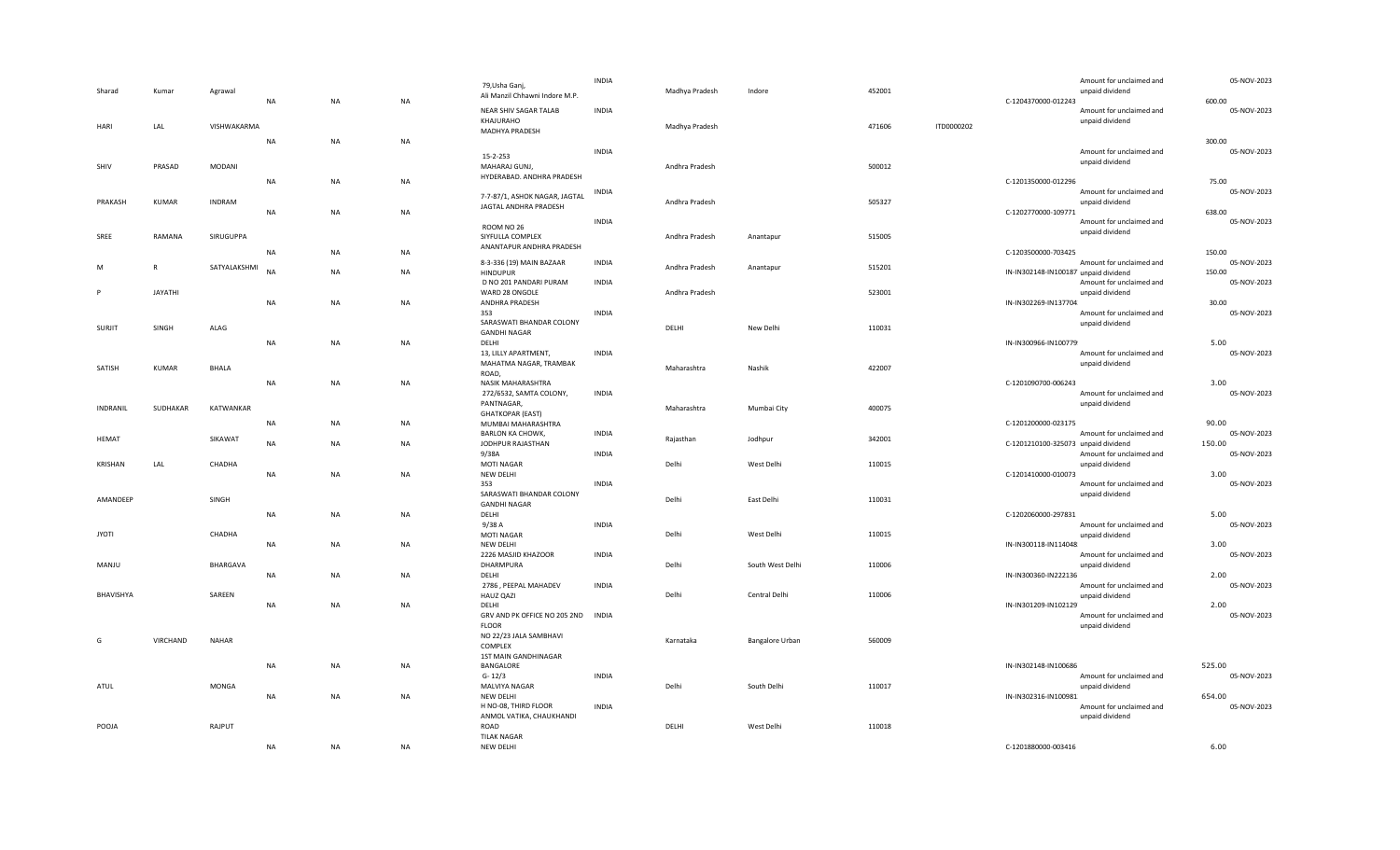| Sharad       | Kumar          | Agrawal       | NA        | NA        | <b>NA</b> | 79, Usha Ganj,<br>Ali Manzil Chhawni Indore M.P.       | <b>INDIA</b> | Madhya Pradesh | Indore           | 452001 |            | Amount for unclaimed and<br>unpaid dividend<br>C-1204370000-012243 | 05-NOV-2023<br>600.00 |
|--------------|----------------|---------------|-----------|-----------|-----------|--------------------------------------------------------|--------------|----------------|------------------|--------|------------|--------------------------------------------------------------------|-----------------------|
| HARI         | LAL            | VISHWAKARMA   |           |           |           | NEAR SHIV SAGAR TALAB<br>KHAJURAHO<br>MADHYA PRADESH   | <b>INDIA</b> | Madhya Pradesh |                  | 471606 | ITD0000202 | Amount for unclaimed and<br>unpaid dividend                        | 05-NOV-2023           |
|              |                |               | <b>NA</b> | NA        | <b>NA</b> |                                                        |              |                |                  |        |            |                                                                    | 300.00                |
| SHIV         | PRASAD         | MODANI        |           |           |           | 15-2-253<br>MAHARAJ GUNJ,                              | <b>INDIA</b> | Andhra Pradesh |                  | 500012 |            | Amount for unclaimed and<br>unpaid dividend                        | 05-NOV-2023           |
|              |                |               | <b>NA</b> | NA        | <b>NA</b> | HYDERABAD. ANDHRA PRADESH                              |              |                |                  |        |            | C-1201350000-012296                                                | 75.00                 |
|              |                |               |           |           |           |                                                        | INDIA        |                |                  |        |            | Amount for unclaimed and                                           | 05-NOV-2023           |
| PRAKASH      | KUMAR          | <b>INDRAM</b> |           |           |           | 7-7-87/1, ASHOK NAGAR, JAGTAL<br>JAGTAL ANDHRA PRADESH |              | Andhra Pradesh |                  | 505327 |            | unpaid dividend                                                    |                       |
|              |                |               | <b>NA</b> | <b>NA</b> | NA        |                                                        |              |                |                  |        |            | C-1202770000-109771                                                | 638.00                |
|              |                |               |           |           |           | ROOM NO 26                                             | <b>INDIA</b> |                |                  |        |            | Amount for unclaimed and                                           | 05-NOV-2023           |
| SREE         | RAMANA         | SIRUGUPPA     |           |           |           | SIYFULLA COMPLEX                                       |              | Andhra Pradesh | Anantapur        | 515005 |            | unpaid dividend                                                    |                       |
|              |                |               | <b>NA</b> | NA        | NA        | ANANTAPUR ANDHRA PRADESH                               |              |                |                  |        |            | C-1203500000-703425                                                | 150.00                |
| M            | R              | SATYALAKSHMI  |           |           |           | 8-3-336 (19) MAIN BAZAAR                               | <b>INDIA</b> | Andhra Pradesh | Anantapur        | 515201 |            | Amount for unclaimed and                                           | 05-NOV-2023           |
|              |                |               | <b>NA</b> | NA        | NA        | <b>HINDUPUR</b>                                        |              |                |                  |        |            | IN-IN302148-IN100187 unpaid dividend<br>Amount for unclaimed and   | 150.00<br>05-NOV-2023 |
|              | <b>JAYATHI</b> |               |           |           |           | D NO 201 PANDARI PURAM<br>WARD 28 ONGOLE               | <b>INDIA</b> | Andhra Pradesh |                  | 523001 |            | unpaid dividend                                                    |                       |
|              |                |               | <b>NA</b> | NA        | NA        | ANDHRA PRADESH                                         |              |                |                  |        |            | IN-IN302269-IN137704                                               | 30.00                 |
|              |                |               |           |           |           | 353                                                    | <b>INDIA</b> |                |                  |        |            | Amount for unclaimed and                                           | 05-NOV-2023           |
| SURJIT       | SINGH          | ALAG          |           |           |           | SARASWATI BHANDAR COLONY                               |              | DELHI          | New Delhi        | 110031 |            | unpaid dividend                                                    |                       |
|              |                |               | <b>NA</b> | <b>NA</b> | <b>NA</b> | <b>GANDHI NAGAR</b><br>DELHI                           |              |                |                  |        |            | IN-IN300966-IN100779                                               | 5.00                  |
|              |                |               |           |           |           | 13, LILLY APARTMENT,                                   | <b>INDIA</b> |                |                  |        |            | Amount for unclaimed and                                           | 05-NOV-2023           |
| SATISH       | KUMAR          | <b>BHALA</b>  |           |           |           | MAHATMA NAGAR, TRAMBAK                                 |              | Maharashtra    | Nashik           | 422007 |            | unpaid dividend                                                    |                       |
|              |                |               |           |           |           | ROAD,                                                  |              |                |                  |        |            |                                                                    |                       |
|              |                |               | <b>NA</b> | <b>NA</b> | <b>NA</b> | NASIK MAHARASHTRA                                      |              |                |                  |        |            | C-1201090700-006243                                                | 3.00<br>05-NOV-2023   |
|              |                |               |           |           |           | 272/6532, SAMTA COLONY,<br>PANTNAGAR,                  | <b>INDIA</b> |                |                  |        |            | Amount for unclaimed and<br>unpaid dividend                        |                       |
| INDRANIL     | SUDHAKAR       | KATWANKAR     |           |           |           | <b>GHATKOPAR (EAST)</b>                                |              | Maharashtra    | Mumbai City      | 400075 |            |                                                                    |                       |
|              |                |               |           |           |           |                                                        |              |                |                  |        |            |                                                                    |                       |
|              |                |               | <b>NA</b> | <b>NA</b> | <b>NA</b> | MUMBAI MAHARASHTRA                                     |              |                |                  |        |            | C-1201200000-023175                                                | 90.00                 |
| HEMAT        |                | SIKAWAT       |           |           |           | <b>BARLON KA CHOWK,</b>                                | <b>INDIA</b> | Rajasthan      | Jodhpur          | 342001 |            | Amount for unclaimed and                                           | 05-NOV-2023           |
|              |                |               | <b>NA</b> | <b>NA</b> | <b>NA</b> | JODHPUR RAJASTHAN                                      |              |                |                  |        |            | C-1201210100-325073 unpaid dividend                                | 150.00                |
| KRISHAN      | LAL            | CHADHA        |           |           |           | 9/38A                                                  | <b>INDIA</b> | Delhi          | West Delhi       | 110015 |            | Amount for unclaimed and<br>unpaid dividend                        | 05-NOV-2023           |
|              |                |               | NA        | NA        | NA        | MOTI NAGAR<br>NEW DELHI                                |              |                |                  |        |            | C-1201410000-010073                                                | 3.00                  |
|              |                |               |           |           |           | 353                                                    | <b>INDIA</b> |                |                  |        |            | Amount for unclaimed and                                           | 05-NOV-2023           |
| AMANDEEP     |                | SINGH         |           |           |           | SARASWATI BHANDAR COLONY                               |              | Delhi          | East Delhi       | 110031 |            | unpaid dividend                                                    |                       |
|              |                |               |           |           |           | <b>GANDHI NAGAR</b>                                    |              |                |                  |        |            |                                                                    |                       |
|              |                |               | <b>NA</b> | <b>NA</b> | <b>NA</b> | DELHI<br>9/38 A                                        | <b>INDIA</b> |                |                  |        |            | C-1202060000-297831<br>Amount for unclaimed and                    | 5.00<br>05-NOV-2023   |
| <b>JYOTI</b> |                | CHADHA        |           |           |           | MOTI NAGAR                                             |              | Delhi          | West Delhi       | 110015 |            | unpaid dividend                                                    |                       |
|              |                |               | NA        | NA.       | NA        | NEW DELHI                                              |              |                |                  |        |            | IN-IN300118-IN114048                                               | 3.00                  |
|              |                |               |           |           |           | 2226 MASJID KHAZOOR                                    | <b>INDIA</b> |                |                  |        |            | Amount for unclaimed and                                           | 05-NOV-2023           |
| MANJU        |                | BHARGAVA      | <b>NA</b> | <b>NA</b> | <b>NA</b> | DHARMPURA<br>DELHI                                     |              | Delhi          | South West Delhi | 110006 |            | unpaid dividend<br>IN-IN300360-IN222136                            | 2.00                  |
|              |                |               |           |           |           | 2786, PEEPAL MAHADEV                                   | <b>INDIA</b> |                |                  |        |            | Amount for unclaimed and                                           | 05-NOV-2023           |
| BHAVISHYA    |                | SAREEN        |           |           |           | <b>HAUZ QAZI</b>                                       |              | Delhi          | Central Delhi    | 110006 |            | unpaid dividend                                                    |                       |
|              |                |               | NA        | NA        | NA        | DELHI                                                  |              |                |                  |        |            | IN-IN301209-IN102129                                               | 2.00                  |
|              |                |               |           |           |           | GRV AND PK OFFICE NO 205 2ND INDIA<br><b>FLOOR</b>     |              |                |                  |        |            | Amount for unclaimed and<br>unpaid dividend                        | 05-NOV-2023           |
|              |                |               |           |           |           | NO 22/23 JALA SAMBHAVI                                 |              |                |                  |        |            |                                                                    |                       |
| G            | VIRCHAND       | NAHAR         |           |           |           | COMPLEX                                                |              | Karnataka      | Bangalore Urban  | 560009 |            |                                                                    |                       |
|              |                |               |           |           |           | 1ST MAIN GANDHINAGAR                                   |              |                |                  |        |            |                                                                    |                       |
|              |                |               | NA        | NA.       | NA        | BANGALORE<br>$G - 12/3$                                | <b>INDIA</b> |                |                  |        |            | IN-IN302148-IN100686<br>Amount for unclaimed and                   | 525.00<br>05-NOV-2023 |
| ATUL         |                | MONGA         |           |           |           | MALVIYA NAGAR                                          |              | Delhi          | South Delhi      | 110017 |            | unpaid dividend                                                    |                       |
|              |                |               | <b>NA</b> | NA        | NA        | NEW DELHI                                              |              |                |                  |        |            | IN-IN302316-IN100981                                               | 654.00                |
|              |                |               |           |           |           | H NO-08, THIRD FLOOR                                   | <b>INDIA</b> |                |                  |        |            | Amount for unclaimed and                                           | 05-NOV-2023           |
| POOJA        |                | RAJPUT        |           |           |           | ANMOL VATIKA, CHAUKHANDI<br>ROAD                       |              | DELHI          | West Delhi       | 110018 |            | unpaid dividend                                                    |                       |
|              |                |               | <b>NA</b> | NA        | <b>NA</b> | <b>TILAK NAGAR</b><br>NEW DELHI                        |              |                |                  |        |            | C-1201880000-003416                                                | 6.00                  |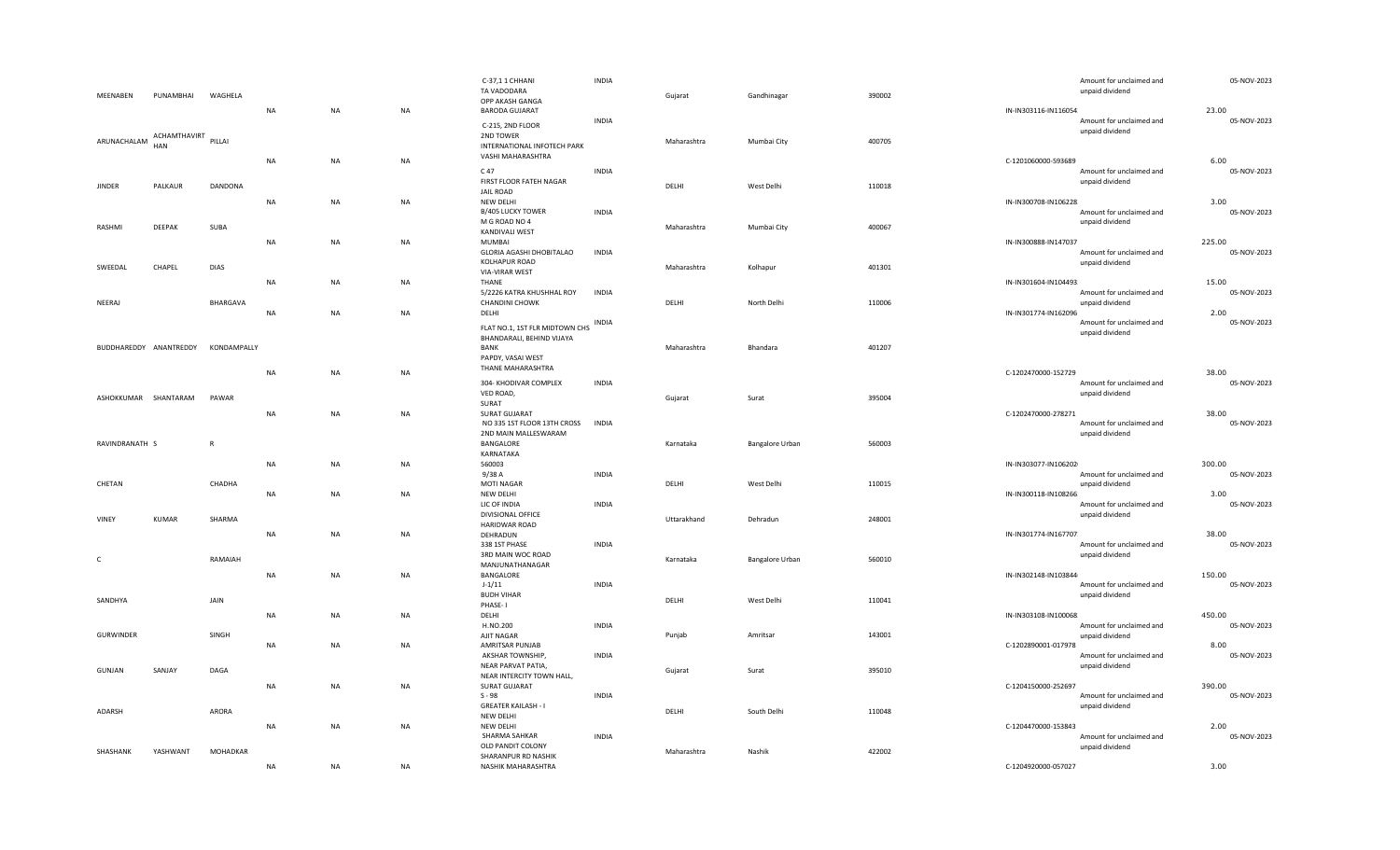|                        |                     |              |           |           |           | C-37,11 CHHANI                             | <b>INDIA</b> |             |                 |        |                       | Amount for unclaimed and | 05-NOV-2023          |
|------------------------|---------------------|--------------|-----------|-----------|-----------|--------------------------------------------|--------------|-------------|-----------------|--------|-----------------------|--------------------------|----------------------|
| MEENABEN               | PUNAMBHAI           | WAGHELA      |           |           |           | TA VADODARA                                |              | Gujarat     | Gandhinagar     | 390002 |                       | unpaid dividend          |                      |
|                        |                     |              |           |           |           | OPP AKASH GANGA                            |              |             |                 |        |                       |                          |                      |
|                        |                     |              | <b>NA</b> | NA        | NA        | <b>BARODA GUJARAT</b>                      | <b>INDIA</b> |             |                 |        | IN-IN303116-IN116054. | Amount for unclaimed and | 23.00<br>05-NOV-2023 |
|                        |                     |              |           |           |           | C-215, 2ND FLOOR                           |              |             |                 |        |                       | unpaid dividend          |                      |
| ARUNACHALAM            | ACHAMTHAVIRT PILLAI |              |           |           |           | 2ND TOWER                                  |              | Maharashtra | Mumbai City     | 400705 |                       |                          |                      |
|                        | <b>HAN</b>          |              |           |           |           | INTERNATIONAL INFOTECH PARK                |              |             |                 |        |                       |                          |                      |
|                        |                     |              | NA        | NA        | NA        | VASHI MAHARASHTRA                          |              |             |                 |        | C-1201060000-593689   |                          | 6.00                 |
|                        |                     |              |           |           |           | C 47                                       | <b>INDIA</b> |             |                 |        |                       | Amount for unclaimed and | 05-NOV-2023          |
| <b>JINDER</b>          | PALKAUR             | DANDONA      |           |           |           | FIRST FLOOR FATEH NAGAR                    |              | DELHI       | West Delhi      | 110018 |                       | unpaid dividend          |                      |
|                        |                     |              |           |           |           | JAIL ROAD                                  |              |             |                 |        |                       |                          |                      |
|                        |                     |              | <b>NA</b> | NA        | NA        | NEW DELHI<br>B/405 LUCKY TOWER             | <b>INDIA</b> |             |                 |        | IN-IN300708-IN106228  | Amount for unclaimed and | 3.00<br>05-NOV-2023  |
|                        |                     |              |           |           |           | M G ROAD NO 4                              |              |             |                 |        |                       | unpaid dividend          |                      |
| RASHMI                 | DEEPAK              | SUBA         |           |           |           | KANDIVALI WEST                             |              | Maharashtra | Mumbai City     | 400067 |                       |                          |                      |
|                        |                     |              | NA        | NA        | <b>NA</b> | MUMBAI                                     |              |             |                 |        | IN-IN300888-IN147037  |                          | 225.00               |
|                        |                     |              |           |           |           | GLORIA AGASHI DHOBITALAO                   | <b>INDIA</b> |             |                 |        |                       | Amount for unclaimed and | 05-NOV-2023          |
| SWEEDAL                | CHAPEL              | <b>DIAS</b>  |           |           |           | KOLHAPUR ROAD                              |              | Maharashtra | Kolhapur        | 401301 |                       | unpaid dividend          |                      |
|                        |                     |              |           |           |           | VIA-VIRAR WEST                             |              |             |                 |        |                       |                          |                      |
|                        |                     |              | <b>NA</b> | NA        | NA        | THANE                                      |              |             |                 |        | IN-IN301604-IN104493  |                          | 15.00                |
|                        |                     | BHARGAVA     |           |           |           | 5/2226 KATRA KHUSHHAL ROY                  | <b>INDIA</b> | DELHI       |                 |        |                       | Amount for unclaimed and | 05-NOV-2023          |
| NEERAJ                 |                     |              | <b>NA</b> | NA        | <b>NA</b> | CHANDINI CHOWK<br>DELHI                    |              |             | North Delhi     | 110006 | IN-IN301774-IN162096  | unpaid dividend          | 2.00                 |
|                        |                     |              |           |           |           |                                            | INDIA        |             |                 |        |                       | Amount for unclaimed and | 05-NOV-2023          |
|                        |                     |              |           |           |           | FLAT NO.1, 1ST FLR MIDTOWN CHS             |              |             |                 |        |                       | unpaid dividend          |                      |
|                        |                     |              |           |           |           | BHANDARALI, BEHIND VIJAYA                  |              |             |                 |        |                       |                          |                      |
| BUDDHAREDDY ANANTREDDY |                     | KONDAMPALLY  |           |           |           | BANK<br>PAPDY, VASAI WEST                  |              | Maharashtra | Bhandara        | 401207 |                       |                          |                      |
|                        |                     |              |           |           |           | THANE MAHARASHTRA                          |              |             |                 |        |                       |                          |                      |
|                        |                     |              | <b>NA</b> | NA        | <b>NA</b> |                                            |              |             |                 |        | C-1202470000-152729   |                          | 38.00                |
|                        |                     |              |           |           |           | 304- KHODIVAR COMPLEX                      | <b>INDIA</b> |             |                 |        |                       | Amount for unclaimed and | 05-NOV-2023          |
| ASHOKKUMAR SHANTARAM   |                     | PAWAR        |           |           |           | VED ROAD,<br>SURAT                         |              | Gujarat     | Surat           | 395004 |                       | unpaid dividend          |                      |
|                        |                     |              | NA        | NA        | <b>NA</b> | <b>SURAT GUJARAT</b>                       |              |             |                 |        | C-1202470000-278271   |                          | 38.00                |
|                        |                     |              |           |           |           | NO 335 1ST FLOOR 13TH CROSS                | <b>INDIA</b> |             |                 |        |                       | Amount for unclaimed and | 05-NOV-2023          |
|                        |                     |              |           |           |           |                                            |              |             |                 |        |                       |                          |                      |
|                        |                     |              |           |           |           | 2ND MAIN MALLESWARAM                       |              |             |                 |        |                       | unpaid dividend          |                      |
| RAVINDRANATH S         |                     | $\mathbb{R}$ |           |           |           | BANGALORE                                  |              | Karnataka   | Bangalore Urban | 560003 |                       |                          |                      |
|                        |                     |              |           |           |           | KARNATAKA                                  |              |             |                 |        |                       |                          |                      |
|                        |                     |              | <b>NA</b> | NA        | NA        | 560003                                     |              |             |                 |        | IN-IN303077-IN106202  |                          | 300.00               |
|                        |                     |              |           |           |           | 9/38A                                      | <b>INDIA</b> |             |                 |        |                       | Amount for unclaimed and | 05-NOV-2023          |
| CHETAN                 |                     | CHADHA       |           |           |           | MOTI NAGAR                                 |              | DELHI       | West Delhi      | 110015 |                       | unpaid dividend          |                      |
|                        |                     |              | <b>NA</b> | NA        | NA        | NEW DELHI                                  |              |             |                 |        | IN-IN300118-IN108266. |                          | 3.00                 |
|                        |                     |              |           |           |           | LIC OF INDIA                               | <b>INDIA</b> |             |                 |        |                       | Amount for unclaimed and | 05-NOV-2023          |
| VINEY                  | KUMAR               | SHARMA       |           |           |           | DIVISIONAL OFFICE<br><b>HARIDWAR ROAD</b>  |              | Uttarakhand | Dehradun        | 248001 |                       | unpaid dividend          |                      |
|                        |                     |              | <b>NA</b> | NA        | <b>NA</b> | DEHRADUN                                   |              |             |                 |        | IN-IN301774-IN167707  |                          | 38.00                |
|                        |                     |              |           |           |           | 338 1ST PHASE                              | INDIA        |             |                 |        |                       | Amount for unclaimed and | 05-NOV-2023          |
| C                      |                     | RAMAIAH      |           |           |           | 3RD MAIN WOC ROAD                          |              | Karnataka   |                 | 560010 |                       | unpaid dividend          |                      |
|                        |                     |              |           |           |           | MANJUNATHANAGAR                            |              |             | Bangalore Urban |        |                       |                          |                      |
|                        |                     |              | <b>NA</b> | NA        | <b>NA</b> | BANGALORE                                  |              |             |                 |        | IN-IN302148-IN103844  |                          | 150.00               |
|                        |                     |              |           |           |           | $J-1/11$<br><b>BUDH VIHAR</b>              | <b>INDIA</b> |             |                 |        |                       | Amount for unclaimed and | 05-NOV-2023          |
| SANDHYA                |                     | JAIN         |           |           |           | PHASE-1                                    |              | DELHI       | West Delhi      | 110041 |                       | unpaid dividend          |                      |
|                        |                     |              | NA        | NA        | NA        | DELHI                                      |              |             |                 |        | IN-IN303108-IN100068  |                          | 450.00               |
|                        |                     |              |           |           |           | H.NO.200                                   | <b>INDIA</b> |             |                 |        |                       | Amount for unclaimed and | 05-NOV-2023          |
| GURWINDER              |                     | SINGH        |           |           |           | AJIT NAGAR                                 |              | Punjab      | Amritsar        | 143001 |                       | unpaid dividend          |                      |
|                        |                     |              | <b>NA</b> | NA        | <b>NA</b> | AMRITSAR PUNJAB                            |              |             |                 |        | C-1202890001-017978   |                          | 8.00                 |
|                        |                     |              |           |           |           | AKSHAR TOWNSHIP,                           | <b>INDIA</b> |             |                 |        |                       | Amount for unclaimed and | 05-NOV-2023          |
| GUNJAN                 | SANJAY              | DAGA         |           |           |           | NEAR PARVAT PATIA,                         |              | Gujarat     | Surat           | 395010 |                       | unpaid dividend          |                      |
|                        |                     |              | <b>NA</b> | NA        | NA        | NEAR INTERCITY TOWN HALL,<br>SURAT GUJARAT |              |             |                 |        | C-1204150000-252697   |                          | 390.00               |
|                        |                     |              |           |           |           | $S - 98$                                   | <b>INDIA</b> |             |                 |        |                       | Amount for unclaimed and | 05-NOV-2023          |
|                        |                     |              |           |           |           | <b>GREATER KAILASH - I</b>                 |              |             |                 |        |                       | unpaid dividend          |                      |
| ADARSH                 |                     | ARORA        |           |           |           | NEW DELHI                                  |              | DELHI       | South Delhi     | 110048 |                       |                          |                      |
|                        |                     |              | NA        | <b>NA</b> | <b>NA</b> | NEW DELHI                                  |              |             |                 |        | C-1204470000-153843   |                          | 2.00                 |
|                        |                     |              |           |           |           | SHARMA SAHKAR                              | <b>INDIA</b> |             |                 |        |                       | Amount for unclaimed and | 05-NOV-2023          |
| SHASHANK               | YASHWANT            | MOHADKAR     |           |           |           | OLD PANDIT COLONY                          |              | Maharashtra | Nashik          | 422002 |                       | unpaid dividend          |                      |
|                        |                     |              | <b>NA</b> | NA        | <b>NA</b> | SHARANPUR RD NASHIK<br>NASHIK MAHARASHTRA  |              |             |                 |        | C-1204920000-057027   |                          | 3.00                 |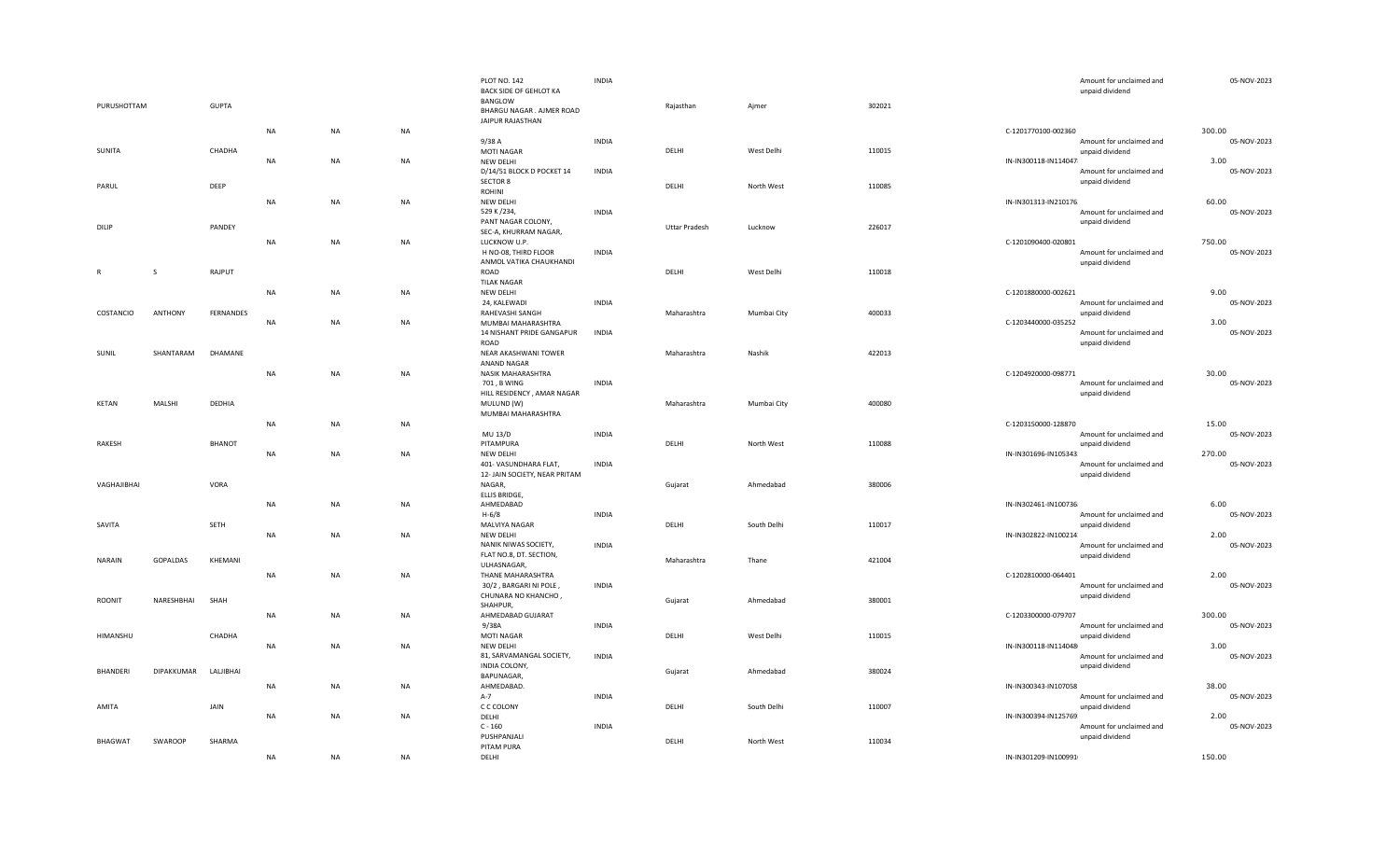| PURUSHOTTAM  |               | <b>GUPTA</b>  |           |           |           | <b>PLOT NO. 142</b><br>BACK SIDE OF GEHLOT KA<br>BANGLOW<br>BHARGU NAGAR . AJMER ROAD | <b>INDIA</b> | Rajasthan            | Ajmer       | 302021 | Amount for unclaimed and<br>unpaid dividend       | 05-NOV-2023           |
|--------------|---------------|---------------|-----------|-----------|-----------|---------------------------------------------------------------------------------------|--------------|----------------------|-------------|--------|---------------------------------------------------|-----------------------|
|              |               |               | <b>NA</b> | <b>NA</b> | <b>NA</b> | JAIPUR RAJASTHAN                                                                      |              |                      |             |        | C-1201770100-002360                               | 300.00                |
|              |               |               |           |           |           | 9/38A                                                                                 | <b>INDIA</b> |                      |             |        | Amount for unclaimed and                          | 05-NOV-2023           |
| SUNITA       |               | CHADHA        | <b>NA</b> | NA        | <b>NA</b> | <b>MOTI NAGAR</b><br>NEW DELHI                                                        |              | DELHI                | West Delhi  | 110015 | unpaid dividend<br>IN-IN300118-IN114047           | 3.00                  |
|              |               |               |           |           |           | D/14/51 BLOCK D POCKET 14                                                             | <b>INDIA</b> |                      |             |        | Amount for unclaimed and                          | 05-NOV-2023           |
| PARUL        |               | DEEP          |           |           |           | SECTOR 8                                                                              |              | DELHI                | North West  | 110085 | unpaid dividend                                   |                       |
|              |               |               | <b>NA</b> | <b>NA</b> | NA        | ROHINI<br>NEW DELHI                                                                   |              |                      |             |        | IN-IN301313-IN210176                              | 60.00                 |
|              |               |               |           |           |           | 529 K /234,                                                                           | <b>INDIA</b> |                      |             |        | Amount for unclaimed and                          | 05-NOV-2023           |
| DILIP        |               | PANDEY        |           |           |           | PANT NAGAR COLONY,                                                                    |              | <b>Uttar Pradesh</b> | Lucknow     | 226017 | unpaid dividend                                   |                       |
|              |               |               | <b>NA</b> | NA        | <b>NA</b> | SEC-A, KHURRAM NAGAR,<br>LUCKNOW U.P.                                                 |              |                      |             |        | C-1201090400-020801                               | 750.00                |
|              |               |               |           |           |           | H NO-08, THIRD FLOOR                                                                  | <b>INDIA</b> |                      |             |        | Amount for unclaimed and                          | 05-NOV-2023           |
|              |               |               |           |           |           | ANMOL VATIKA CHAUKHANDI                                                               |              |                      |             |        | unpaid dividend                                   |                       |
| $\mathsf{R}$ | $\mathcal{S}$ | RAJPUT        |           |           |           | ROAD<br><b>TILAK NAGAR</b>                                                            |              | DELHI                | West Delhi  | 110018 |                                                   |                       |
|              |               |               | <b>NA</b> | <b>NA</b> | <b>NA</b> | NEW DELHI                                                                             |              |                      |             |        | C-1201880000-002621                               | 9.00                  |
|              |               |               |           |           |           | 24, KALEWADI                                                                          | <b>INDIA</b> |                      |             |        | Amount for unclaimed and                          | 05-NOV-2023           |
| COSTANCIO    | ANTHONY       | FERNANDES     | <b>NA</b> | NA        | <b>NA</b> | RAHEVASHI SANGH<br>MUMBAI MAHARASHTRA                                                 |              | Maharashtra          | Mumbai City | 400033 | unpaid dividend<br>C-1203440000-035252            | 3.00                  |
|              |               |               |           |           |           | 14 NISHANT PRIDE GANGAPUR                                                             | <b>INDIA</b> |                      |             |        | Amount for unclaimed and                          | 05-NOV-2023           |
|              |               |               |           |           |           | ROAD                                                                                  |              |                      |             |        | unpaid dividend                                   |                       |
| SUNIL        | SHANTARAM     | DHAMANE       |           |           |           | NEAR AKASHWANI TOWER<br>ANAND NAGAR                                                   |              | Maharashtra          | Nashik      | 422013 |                                                   |                       |
|              |               |               | <b>NA</b> | <b>NA</b> | <b>NA</b> | <b>NASIK MAHARASHTRA</b>                                                              |              |                      |             |        | C-1204920000-098771                               | 30.00                 |
|              |               |               |           |           |           | 701, B WING                                                                           | <b>INDIA</b> |                      |             |        | Amount for unclaimed and                          | 05-NOV-2023           |
| KETAN        | MALSHI        | DEDHIA        |           |           |           | HILL RESIDENCY, AMAR NAGAR<br>MULUND (W)                                              |              | Maharashtra          | Mumbai City | 400080 | unpaid dividend                                   |                       |
|              |               |               |           |           |           | MUMBAI MAHARASHTRA                                                                    |              |                      |             |        |                                                   |                       |
|              |               |               | <b>NA</b> | <b>NA</b> | NA        |                                                                                       |              |                      |             |        | C-1203150000-128870                               | 15.00                 |
|              |               |               |           |           |           |                                                                                       |              |                      |             |        |                                                   |                       |
|              |               |               |           |           |           | MU 13/D                                                                               | <b>INDIA</b> |                      |             |        | Amount for unclaimed and                          | 05-NOV-2023           |
| RAKESH       |               | <b>BHANOT</b> | <b>NA</b> | NA        | <b>NA</b> | PITAMPURA<br>NEW DELHI                                                                |              | DELHI                | North West  | 110088 | unpaid dividend<br>IN-IN301696-IN105343           | 270.00                |
|              |               |               |           |           |           | 401- VASUNDHARA FLAT,<br>12- JAIN SOCIETY, NEAR PRITAM                                | <b>INDIA</b> |                      |             |        | Amount for unclaimed and<br>unpaid dividend       | 05-NOV-2023           |
| VAGHAJIBHAI  |               | VORA          |           |           |           | NAGAR,                                                                                |              | Gujarat              | Ahmedabad   | 380006 |                                                   |                       |
|              |               |               | <b>NA</b> | NA        | NA        | ELLIS BRIDGE,<br>AHMEDABAD                                                            |              |                      |             |        | IN-IN302461-IN100736                              | 6.00                  |
|              |               |               |           |           |           | $H - 6/8$                                                                             | <b>INDIA</b> |                      |             |        | Amount for unclaimed and                          | 05-NOV-2023           |
| SAVITA       |               | SETH          |           |           |           | MALVIYA NAGAR                                                                         |              | DELHI                | South Delhi | 110017 | unpaid dividend                                   |                       |
|              |               |               | <b>NA</b> | <b>NA</b> | <b>NA</b> | NEW DELHI<br>NANIK NIWAS SOCIETY,                                                     | <b>INDIA</b> |                      |             |        | IN-IN302822-IN100214.<br>Amount for unclaimed and | 2.00<br>05-NOV-2023   |
| NARAIN       | GOPALDAS      | KHEMANI       |           |           |           | FLAT NO.8, DT. SECTION,                                                               |              | Maharashtra          | Thane       | 421004 | unpaid dividend                                   |                       |
|              |               |               |           |           |           | ULHASNAGAR,                                                                           |              |                      |             |        |                                                   |                       |
|              |               |               | <b>NA</b> | NA        | NA        | THANE MAHARASHTRA<br>30/2, BARGARI NI POLE,                                           | <b>INDIA</b> |                      |             |        | C-1202810000-064401<br>Amount for unclaimed and   | 2.00<br>05-NOV-2023   |
| ROONIT       | NARESHBHAI    | SHAH          |           |           |           | CHUNARA NO KHANCHO,                                                                   |              | Gujarat              | Ahmedabad   | 380001 | unpaid dividend                                   |                       |
|              |               |               |           |           |           | SHAHPUR,                                                                              |              |                      |             |        |                                                   |                       |
|              |               |               | <b>NA</b> | <b>NA</b> | <b>NA</b> | AHMEDABAD GUJARAT<br>9/38A                                                            | <b>INDIA</b> |                      |             |        | C-1203300000-079707<br>Amount for unclaimed and   | 300.00<br>05-NOV-2023 |
| HIMANSHU     |               | CHADHA        |           |           |           | MOTI NAGAR                                                                            |              | DELHI                | West Delhi  | 110015 | unpaid dividend                                   |                       |
|              |               |               | <b>NA</b> | <b>NA</b> | <b>NA</b> | NEW DELHI                                                                             |              |                      |             |        | IN-IN300118-IN114048                              | 3.00                  |
|              |               |               |           |           |           | 81, SARVAMANGAL SOCIETY,<br>INDIA COLONY,                                             | <b>INDIA</b> |                      |             |        | Amount for unclaimed and<br>unpaid dividend       | 05-NOV-2023           |
| BHANDERI     | DIPAKKUMAR    | LALJIBHAI     |           |           |           | BAPUNAGAR,                                                                            |              | Gujarat              | Ahmedabad   | 380024 |                                                   |                       |
|              |               |               | <b>NA</b> | NA        | NA        | AHMEDABAD<br>$A-7$                                                                    |              |                      |             |        | IN-IN300343-IN107058<br>Amount for unclaimed and  | 38.00<br>05-NOV-2023  |
| AMITA        |               | JAIN          |           |           |           | C C COLONY                                                                            | <b>INDIA</b> | DELHI                | South Delhi | 110007 | unpaid dividend                                   |                       |
|              |               |               | <b>NA</b> | NA        | NA        | DELHI                                                                                 |              |                      |             |        | IN-IN300394-IN125769.                             | 2.00                  |
|              |               |               |           |           |           | $C - 160$                                                                             | <b>INDIA</b> |                      |             |        | Amount for unclaimed and                          | 05-NOV-2023           |
| BHAGWAT      | SWAROOP       | SHARMA        | <b>NA</b> | <b>NA</b> | <b>NA</b> | PUSHPANJALI<br>PITAM PURA<br>DELHI                                                    |              | DELHI                | North West  | 110034 | unpaid dividend<br>IN-IN301209-IN100991           | 150.00                |